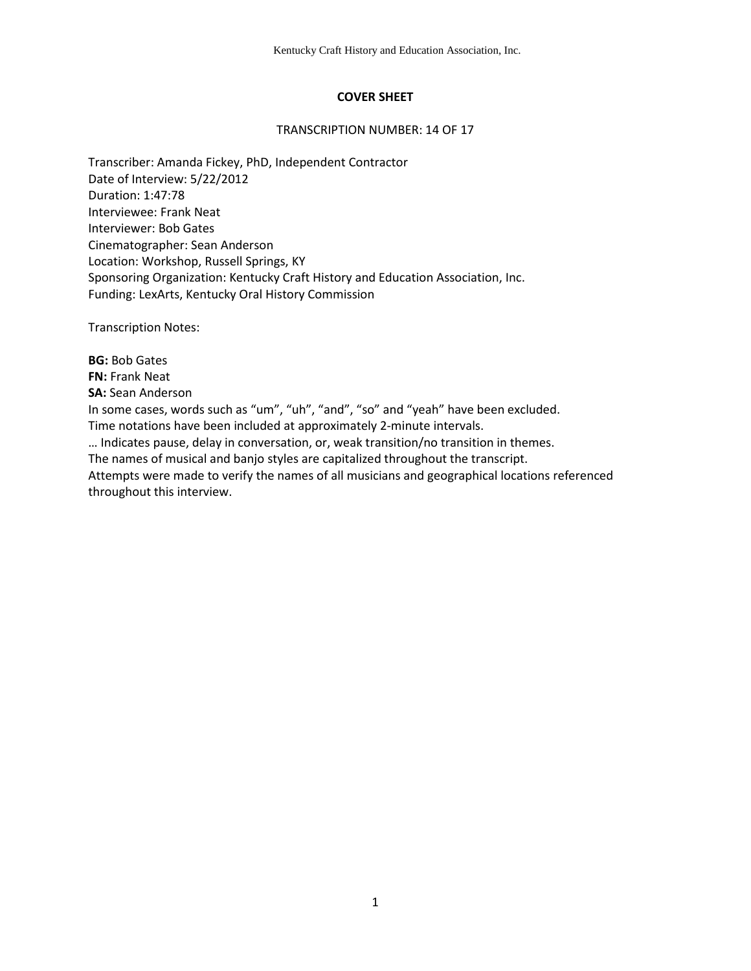# **COVER SHEET**

### TRANSCRIPTION NUMBER: 14 OF 17

Transcriber: Amanda Fickey, PhD, Independent Contractor Date of Interview: 5/22/2012 Duration: 1:47:78 Interviewee: Frank Neat Interviewer: Bob Gates Cinematographer: Sean Anderson Location: Workshop, Russell Springs, KY Sponsoring Organization: Kentucky Craft History and Education Association, Inc. Funding: LexArts, Kentucky Oral History Commission

Transcription Notes:

**BG:** Bob Gates **FN:** Frank Neat **SA:** Sean Anderson In some cases, words such as "um", "uh", "and", "so" and "yeah" have been excluded. Time notations have been included at approximately 2-minute intervals. … Indicates pause, delay in conversation, or, weak transition/no transition in themes. The names of musical and banjo styles are capitalized throughout the transcript. Attempts were made to verify the names of all musicians and geographical locations referenced throughout this interview.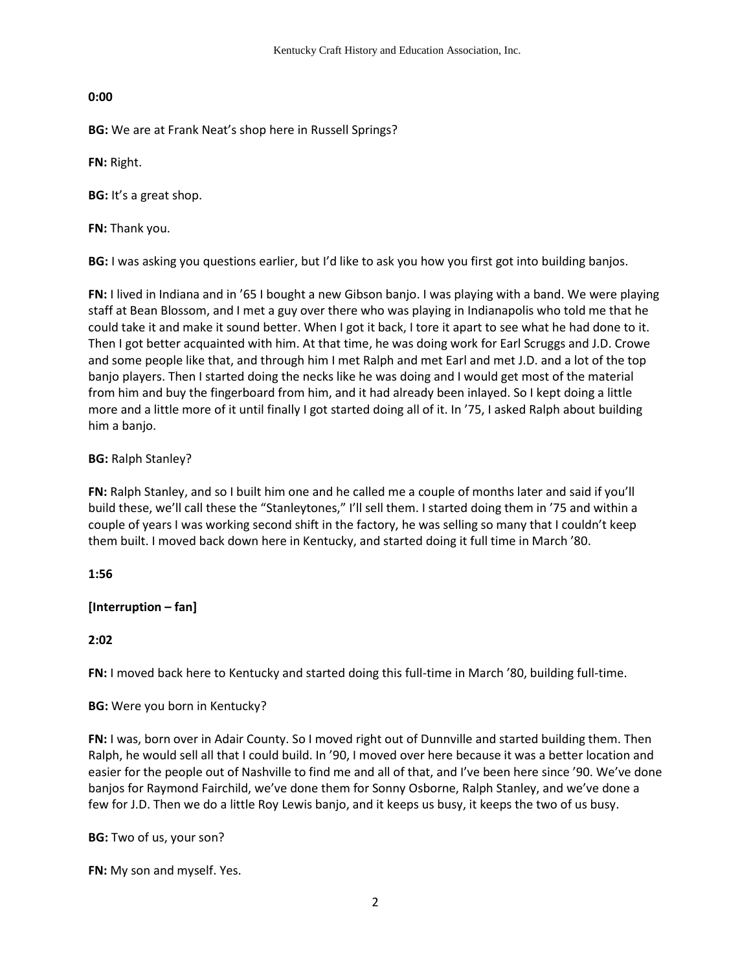# **0:00**

**BG:** We are at Frank Neat's shop here in Russell Springs?

**FN:** Right.

**BG:** It's a great shop.

**FN:** Thank you.

**BG:** I was asking you questions earlier, but I'd like to ask you how you first got into building banjos.

**FN:** I lived in Indiana and in '65 I bought a new Gibson banjo. I was playing with a band. We were playing staff at Bean Blossom, and I met a guy over there who was playing in Indianapolis who told me that he could take it and make it sound better. When I got it back, I tore it apart to see what he had done to it. Then I got better acquainted with him. At that time, he was doing work for Earl Scruggs and J.D. Crowe and some people like that, and through him I met Ralph and met Earl and met J.D. and a lot of the top banjo players. Then I started doing the necks like he was doing and I would get most of the material from him and buy the fingerboard from him, and it had already been inlayed. So I kept doing a little more and a little more of it until finally I got started doing all of it. In '75, I asked Ralph about building him a banjo.

# **BG:** Ralph Stanley?

**FN:** Ralph Stanley, and so I built him one and he called me a couple of months later and said if you'll build these, we'll call these the "Stanleytones," I'll sell them. I started doing them in '75 and within a couple of years I was working second shift in the factory, he was selling so many that I couldn't keep them built. I moved back down here in Kentucky, and started doing it full time in March '80.

# **1:56**

# **[Interruption – fan]**

# **2:02**

**FN:** I moved back here to Kentucky and started doing this full-time in March '80, building full-time.

# **BG:** Were you born in Kentucky?

**FN:** I was, born over in Adair County. So I moved right out of Dunnville and started building them. Then Ralph, he would sell all that I could build. In '90, I moved over here because it was a better location and easier for the people out of Nashville to find me and all of that, and I've been here since '90. We've done banjos for Raymond Fairchild, we've done them for Sonny Osborne, Ralph Stanley, and we've done a few for J.D. Then we do a little Roy Lewis banjo, and it keeps us busy, it keeps the two of us busy.

**BG:** Two of us, your son?

**FN:** My son and myself. Yes.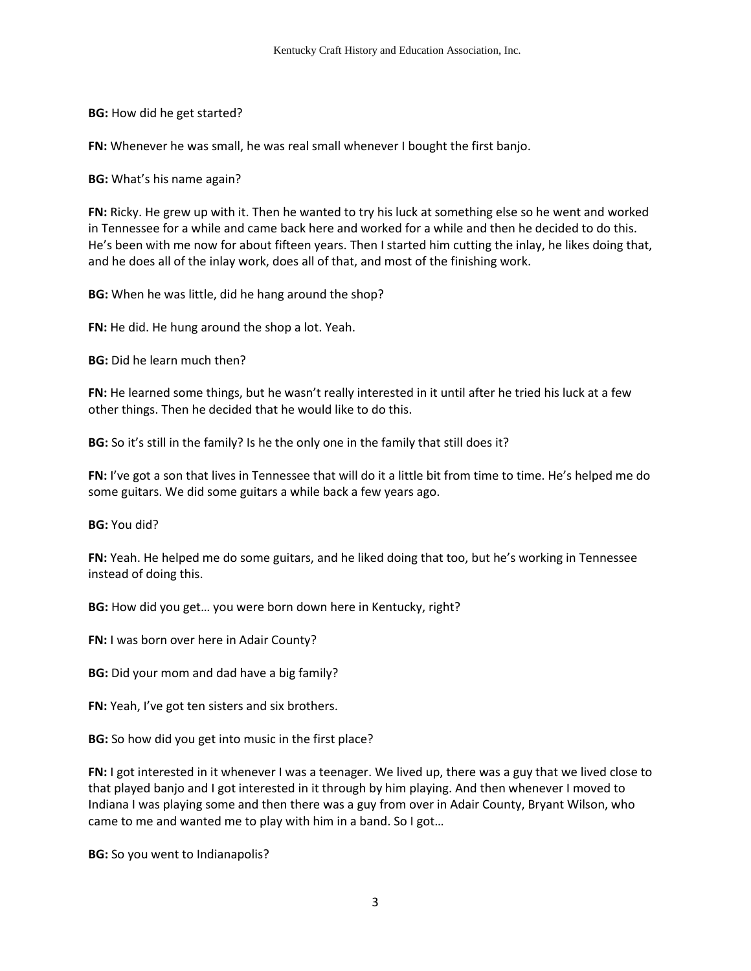**BG:** How did he get started?

**FN:** Whenever he was small, he was real small whenever I bought the first banjo.

**BG:** What's his name again?

**FN:** Ricky. He grew up with it. Then he wanted to try his luck at something else so he went and worked in Tennessee for a while and came back here and worked for a while and then he decided to do this. He's been with me now for about fifteen years. Then I started him cutting the inlay, he likes doing that, and he does all of the inlay work, does all of that, and most of the finishing work.

**BG:** When he was little, did he hang around the shop?

**FN:** He did. He hung around the shop a lot. Yeah.

**BG:** Did he learn much then?

**FN:** He learned some things, but he wasn't really interested in it until after he tried his luck at a few other things. Then he decided that he would like to do this.

**BG:** So it's still in the family? Is he the only one in the family that still does it?

**FN:** I've got a son that lives in Tennessee that will do it a little bit from time to time. He's helped me do some guitars. We did some guitars a while back a few years ago.

**BG:** You did?

**FN:** Yeah. He helped me do some guitars, and he liked doing that too, but he's working in Tennessee instead of doing this.

**BG:** How did you get… you were born down here in Kentucky, right?

**FN:** I was born over here in Adair County?

**BG:** Did your mom and dad have a big family?

**FN:** Yeah, I've got ten sisters and six brothers.

**BG:** So how did you get into music in the first place?

**FN:** I got interested in it whenever I was a teenager. We lived up, there was a guy that we lived close to that played banjo and I got interested in it through by him playing. And then whenever I moved to Indiana I was playing some and then there was a guy from over in Adair County, Bryant Wilson, who came to me and wanted me to play with him in a band. So I got…

**BG:** So you went to Indianapolis?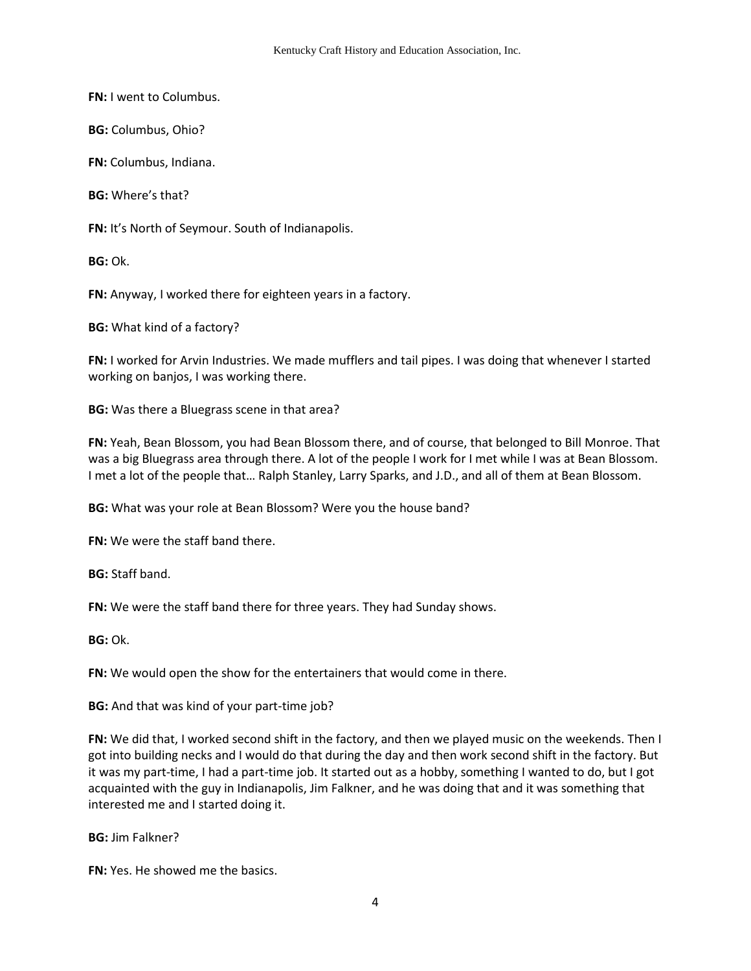**FN:** I went to Columbus.

**BG:** Columbus, Ohio?

**FN:** Columbus, Indiana.

**BG:** Where's that?

**FN:** It's North of Seymour. South of Indianapolis.

**BG:** Ok.

**FN:** Anyway, I worked there for eighteen years in a factory.

**BG:** What kind of a factory?

**FN:** I worked for Arvin Industries. We made mufflers and tail pipes. I was doing that whenever I started working on banjos, I was working there.

**BG:** Was there a Bluegrass scene in that area?

**FN:** Yeah, Bean Blossom, you had Bean Blossom there, and of course, that belonged to Bill Monroe. That was a big Bluegrass area through there. A lot of the people I work for I met while I was at Bean Blossom. I met a lot of the people that… Ralph Stanley, Larry Sparks, and J.D., and all of them at Bean Blossom.

**BG:** What was your role at Bean Blossom? Were you the house band?

**FN:** We were the staff band there.

**BG:** Staff band.

**FN:** We were the staff band there for three years. They had Sunday shows.

**BG:** Ok.

**FN:** We would open the show for the entertainers that would come in there.

**BG:** And that was kind of your part-time job?

**FN:** We did that, I worked second shift in the factory, and then we played music on the weekends. Then I got into building necks and I would do that during the day and then work second shift in the factory. But it was my part-time, I had a part-time job. It started out as a hobby, something I wanted to do, but I got acquainted with the guy in Indianapolis, Jim Falkner, and he was doing that and it was something that interested me and I started doing it.

**BG:** Jim Falkner?

**FN:** Yes. He showed me the basics.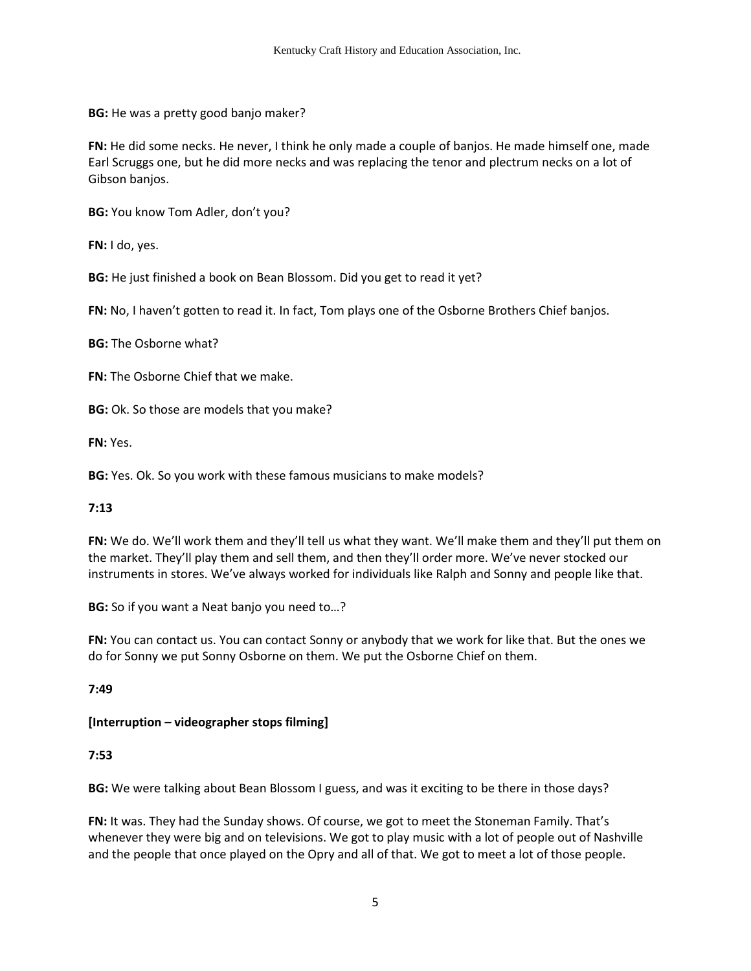**BG:** He was a pretty good banjo maker?

**FN:** He did some necks. He never, I think he only made a couple of banjos. He made himself one, made Earl Scruggs one, but he did more necks and was replacing the tenor and plectrum necks on a lot of Gibson banjos.

**BG:** You know Tom Adler, don't you?

**FN:** I do, yes.

**BG:** He just finished a book on Bean Blossom. Did you get to read it yet?

**FN:** No, I haven't gotten to read it. In fact, Tom plays one of the Osborne Brothers Chief banjos.

**BG:** The Osborne what?

**FN:** The Osborne Chief that we make.

**BG:** Ok. So those are models that you make?

**FN:** Yes.

**BG:** Yes. Ok. So you work with these famous musicians to make models?

## **7:13**

**FN:** We do. We'll work them and they'll tell us what they want. We'll make them and they'll put them on the market. They'll play them and sell them, and then they'll order more. We've never stocked our instruments in stores. We've always worked for individuals like Ralph and Sonny and people like that.

**BG:** So if you want a Neat banjo you need to…?

**FN:** You can contact us. You can contact Sonny or anybody that we work for like that. But the ones we do for Sonny we put Sonny Osborne on them. We put the Osborne Chief on them.

**7:49** 

## **[Interruption – videographer stops filming]**

# **7:53**

**BG:** We were talking about Bean Blossom I guess, and was it exciting to be there in those days?

**FN:** It was. They had the Sunday shows. Of course, we got to meet the Stoneman Family. That's whenever they were big and on televisions. We got to play music with a lot of people out of Nashville and the people that once played on the Opry and all of that. We got to meet a lot of those people.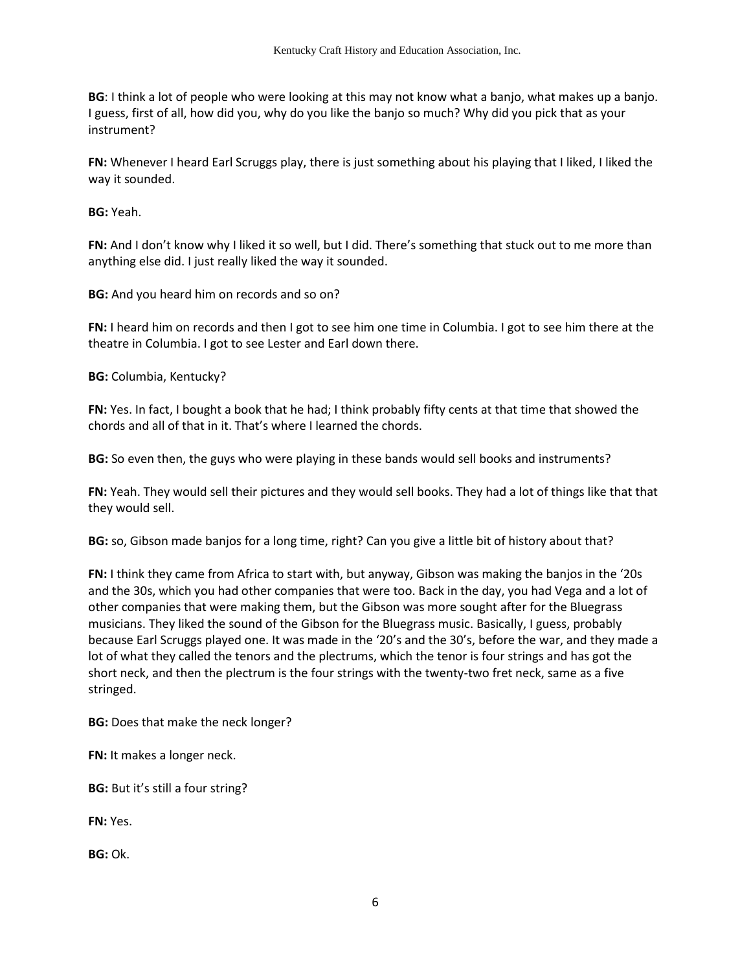**BG**: I think a lot of people who were looking at this may not know what a banjo, what makes up a banjo. I guess, first of all, how did you, why do you like the banjo so much? Why did you pick that as your instrument?

**FN:** Whenever I heard Earl Scruggs play, there is just something about his playing that I liked, I liked the way it sounded.

**BG:** Yeah.

**FN:** And I don't know why I liked it so well, but I did. There's something that stuck out to me more than anything else did. I just really liked the way it sounded.

**BG:** And you heard him on records and so on?

**FN:** I heard him on records and then I got to see him one time in Columbia. I got to see him there at the theatre in Columbia. I got to see Lester and Earl down there.

**BG:** Columbia, Kentucky?

**FN:** Yes. In fact, I bought a book that he had; I think probably fifty cents at that time that showed the chords and all of that in it. That's where I learned the chords.

**BG:** So even then, the guys who were playing in these bands would sell books and instruments?

**FN:** Yeah. They would sell their pictures and they would sell books. They had a lot of things like that that they would sell.

**BG:** so, Gibson made banjos for a long time, right? Can you give a little bit of history about that?

**FN:** I think they came from Africa to start with, but anyway, Gibson was making the banjos in the '20s and the 30s, which you had other companies that were too. Back in the day, you had Vega and a lot of other companies that were making them, but the Gibson was more sought after for the Bluegrass musicians. They liked the sound of the Gibson for the Bluegrass music. Basically, I guess, probably because Earl Scruggs played one. It was made in the '20's and the 30's, before the war, and they made a lot of what they called the tenors and the plectrums, which the tenor is four strings and has got the short neck, and then the plectrum is the four strings with the twenty-two fret neck, same as a five stringed.

**BG:** Does that make the neck longer?

**FN:** It makes a longer neck.

**BG:** But it's still a four string?

**FN:** Yes.

**BG:** Ok.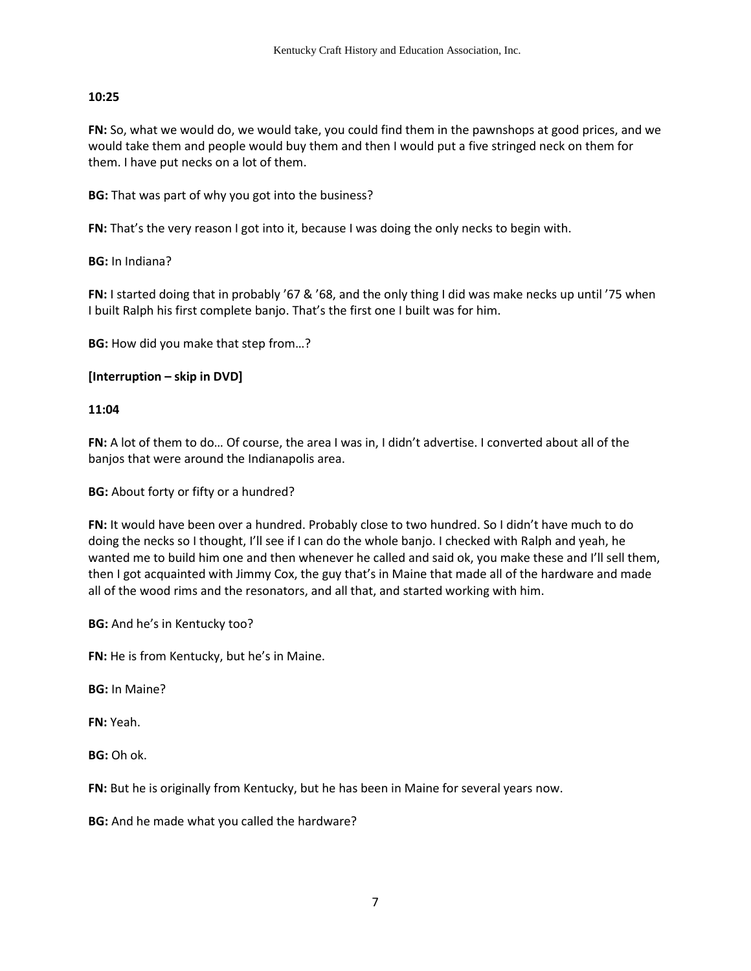# **10:25**

**FN:** So, what we would do, we would take, you could find them in the pawnshops at good prices, and we would take them and people would buy them and then I would put a five stringed neck on them for them. I have put necks on a lot of them.

**BG:** That was part of why you got into the business?

**FN:** That's the very reason I got into it, because I was doing the only necks to begin with.

**BG:** In Indiana?

**FN:** I started doing that in probably '67 & '68, and the only thing I did was make necks up until '75 when I built Ralph his first complete banjo. That's the first one I built was for him.

**BG:** How did you make that step from…?

# **[Interruption – skip in DVD]**

## **11:04**

**FN:** A lot of them to do… Of course, the area I was in, I didn't advertise. I converted about all of the banjos that were around the Indianapolis area.

**BG:** About forty or fifty or a hundred?

**FN:** It would have been over a hundred. Probably close to two hundred. So I didn't have much to do doing the necks so I thought, I'll see if I can do the whole banjo. I checked with Ralph and yeah, he wanted me to build him one and then whenever he called and said ok, you make these and I'll sell them, then I got acquainted with Jimmy Cox, the guy that's in Maine that made all of the hardware and made all of the wood rims and the resonators, and all that, and started working with him.

**BG:** And he's in Kentucky too?

**FN:** He is from Kentucky, but he's in Maine.

**BG:** In Maine?

**FN:** Yeah.

**BG:** Oh ok.

FN: But he is originally from Kentucky, but he has been in Maine for several years now.

**BG:** And he made what you called the hardware?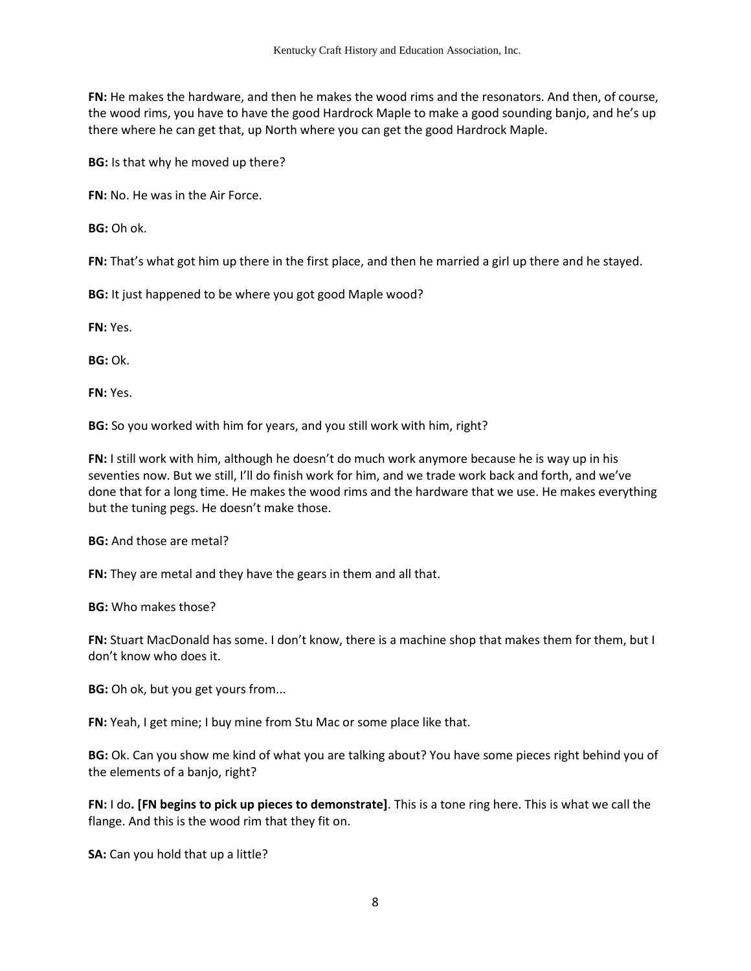**FN:** He makes the hardware, and then he makes the wood rims and the resonators. And then, of course, the wood rims, you have to have the good Hardrock Maple to make a good sounding banjo, and he's up there where he can get that, up North where you can get the good Hardrock Maple.

**BG:** Is that why he moved up there?

**FN:** No. He was in the Air Force.

**BG:** Oh ok.

**FN:** That's what got him up there in the first place, and then he married a girl up there and he stayed.

**BG:** It just happened to be where you got good Maple wood?

**FN:** Yes.

**BG:** Ok.

**FN:** Yes.

**BG:** So you worked with him for years, and you still work with him, right?

**FN:** I still work with him, although he doesn't do much work anymore because he is way up in his seventies now. But we still, I'll do finish work for him, and we trade work back and forth, and we've done that for a long time. He makes the wood rims and the hardware that we use. He makes everything but the tuning pegs. He doesn't make those.

**BG:** And those are metal?

**FN:** They are metal and they have the gears in them and all that.

**BG:** Who makes those?

**FN:** Stuart MacDonald has some. I don't know, there is a machine shop that makes them for them, but I don't know who does it.

**BG:** Oh ok, but you get yours from...

**FN:** Yeah, I get mine; I buy mine from Stu Mac or some place like that.

**BG:** Ok. Can you show me kind of what you are talking about? You have some pieces right behind you of the elements of a banjo, right?

**FN:** I do**. [FN begins to pick up pieces to demonstrate]**. This is a tone ring here. This is what we call the flange. And this is the wood rim that they fit on.

**SA:** Can you hold that up a little?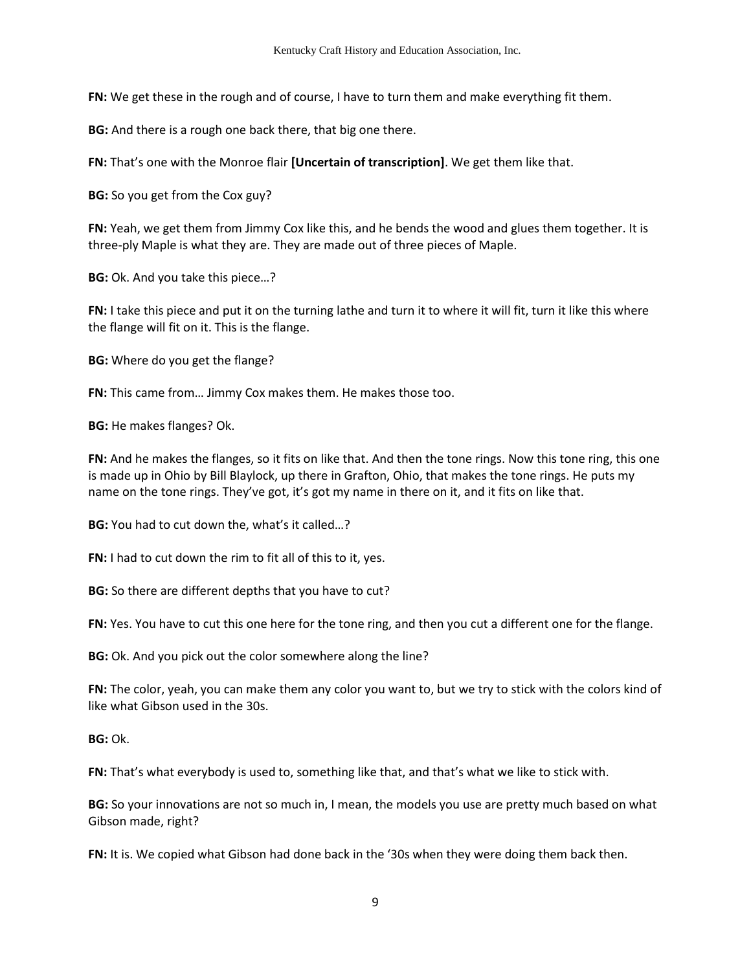**FN:** We get these in the rough and of course, I have to turn them and make everything fit them.

**BG:** And there is a rough one back there, that big one there.

**FN:** That's one with the Monroe flair **[Uncertain of transcription]**. We get them like that.

**BG:** So you get from the Cox guy?

**FN:** Yeah, we get them from Jimmy Cox like this, and he bends the wood and glues them together. It is three-ply Maple is what they are. They are made out of three pieces of Maple.

**BG:** Ok. And you take this piece…?

**FN:** I take this piece and put it on the turning lathe and turn it to where it will fit, turn it like this where the flange will fit on it. This is the flange.

**BG:** Where do you get the flange?

**FN:** This came from… Jimmy Cox makes them. He makes those too.

**BG:** He makes flanges? Ok.

**FN:** And he makes the flanges, so it fits on like that. And then the tone rings. Now this tone ring, this one is made up in Ohio by Bill Blaylock, up there in Grafton, Ohio, that makes the tone rings. He puts my name on the tone rings. They've got, it's got my name in there on it, and it fits on like that.

**BG:** You had to cut down the, what's it called…?

**FN:** I had to cut down the rim to fit all of this to it, yes.

**BG:** So there are different depths that you have to cut?

**FN:** Yes. You have to cut this one here for the tone ring, and then you cut a different one for the flange.

**BG:** Ok. And you pick out the color somewhere along the line?

**FN:** The color, yeah, you can make them any color you want to, but we try to stick with the colors kind of like what Gibson used in the 30s.

**BG:** Ok.

**FN:** That's what everybody is used to, something like that, and that's what we like to stick with.

**BG:** So your innovations are not so much in, I mean, the models you use are pretty much based on what Gibson made, right?

**FN:** It is. We copied what Gibson had done back in the '30s when they were doing them back then.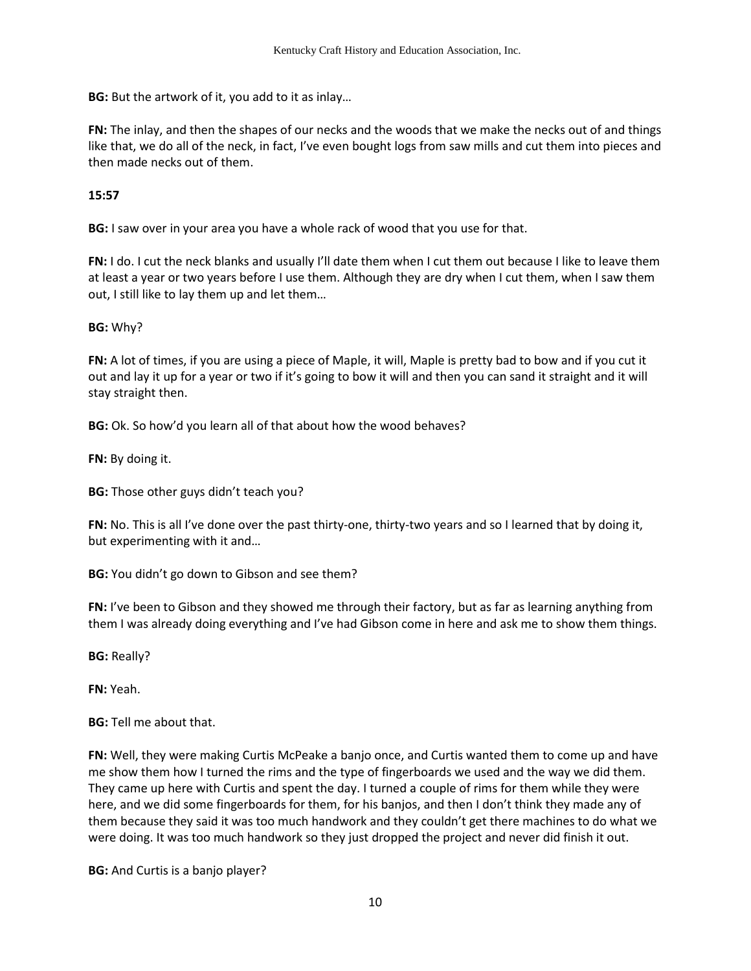**BG:** But the artwork of it, you add to it as inlay…

**FN:** The inlay, and then the shapes of our necks and the woods that we make the necks out of and things like that, we do all of the neck, in fact, I've even bought logs from saw mills and cut them into pieces and then made necks out of them.

# **15:57**

**BG:** I saw over in your area you have a whole rack of wood that you use for that.

**FN:** I do. I cut the neck blanks and usually I'll date them when I cut them out because I like to leave them at least a year or two years before I use them. Although they are dry when I cut them, when I saw them out, I still like to lay them up and let them…

# **BG:** Why?

**FN:** A lot of times, if you are using a piece of Maple, it will, Maple is pretty bad to bow and if you cut it out and lay it up for a year or two if it's going to bow it will and then you can sand it straight and it will stay straight then.

**BG:** Ok. So how'd you learn all of that about how the wood behaves?

**FN:** By doing it.

**BG:** Those other guys didn't teach you?

**FN:** No. This is all I've done over the past thirty-one, thirty-two years and so I learned that by doing it, but experimenting with it and…

**BG:** You didn't go down to Gibson and see them?

**FN:** I've been to Gibson and they showed me through their factory, but as far as learning anything from them I was already doing everything and I've had Gibson come in here and ask me to show them things.

**BG:** Really?

**FN:** Yeah.

**BG:** Tell me about that.

**FN:** Well, they were making Curtis McPeake a banjo once, and Curtis wanted them to come up and have me show them how I turned the rims and the type of fingerboards we used and the way we did them. They came up here with Curtis and spent the day. I turned a couple of rims for them while they were here, and we did some fingerboards for them, for his banjos, and then I don't think they made any of them because they said it was too much handwork and they couldn't get there machines to do what we were doing. It was too much handwork so they just dropped the project and never did finish it out.

**BG:** And Curtis is a banjo player?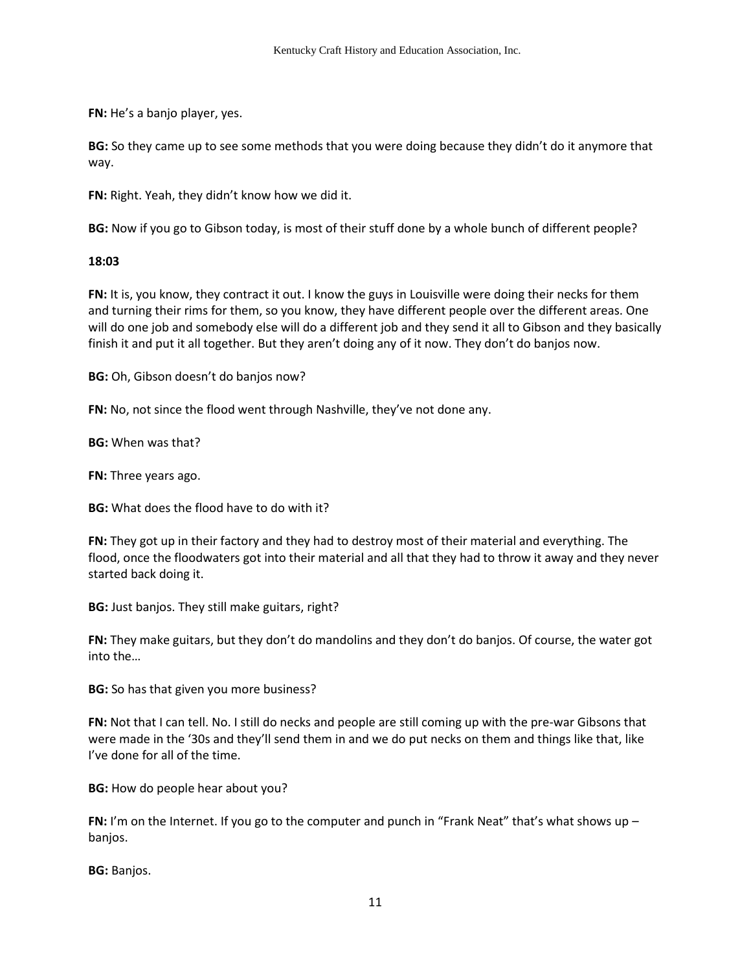**FN:** He's a banjo player, yes.

**BG:** So they came up to see some methods that you were doing because they didn't do it anymore that way.

**FN:** Right. Yeah, they didn't know how we did it.

**BG:** Now if you go to Gibson today, is most of their stuff done by a whole bunch of different people?

### **18:03**

**FN:** It is, you know, they contract it out. I know the guys in Louisville were doing their necks for them and turning their rims for them, so you know, they have different people over the different areas. One will do one job and somebody else will do a different job and they send it all to Gibson and they basically finish it and put it all together. But they aren't doing any of it now. They don't do banjos now.

**BG:** Oh, Gibson doesn't do banjos now?

**FN:** No, not since the flood went through Nashville, they've not done any.

**BG:** When was that?

**FN:** Three years ago.

**BG:** What does the flood have to do with it?

**FN:** They got up in their factory and they had to destroy most of their material and everything. The flood, once the floodwaters got into their material and all that they had to throw it away and they never started back doing it.

**BG:** Just banjos. They still make guitars, right?

**FN:** They make guitars, but they don't do mandolins and they don't do banjos. Of course, the water got into the…

**BG:** So has that given you more business?

**FN:** Not that I can tell. No. I still do necks and people are still coming up with the pre-war Gibsons that were made in the '30s and they'll send them in and we do put necks on them and things like that, like I've done for all of the time.

**BG:** How do people hear about you?

**FN:** I'm on the Internet. If you go to the computer and punch in "Frank Neat" that's what shows up banjos.

**BG:** Banjos.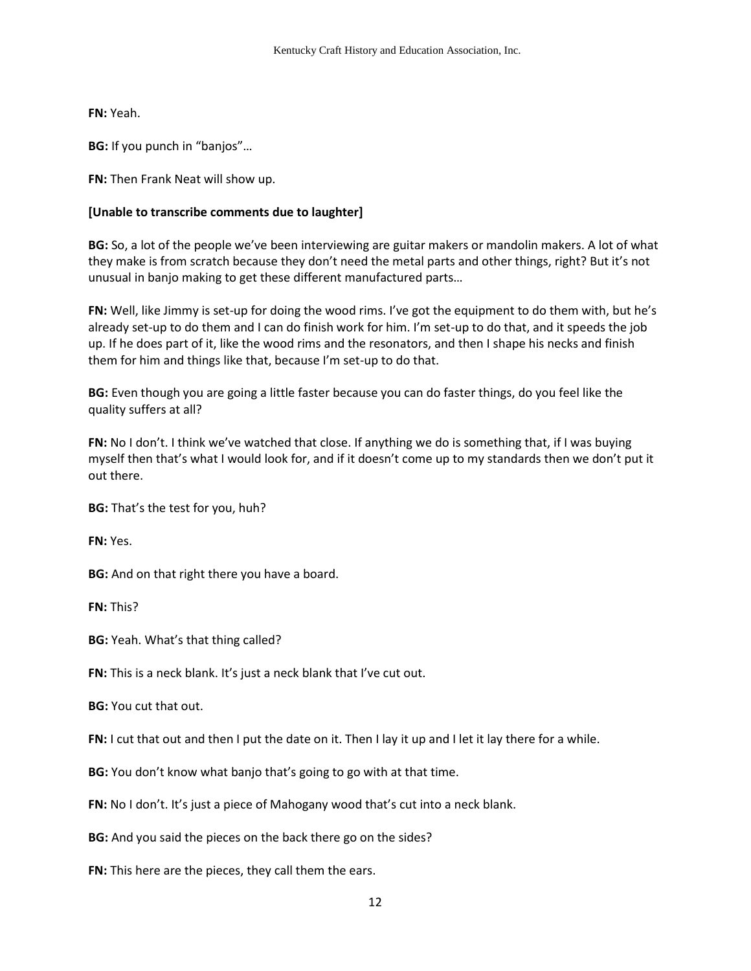**FN:** Yeah.

**BG:** If you punch in "banjos"…

**FN:** Then Frank Neat will show up.

# **[Unable to transcribe comments due to laughter]**

**BG:** So, a lot of the people we've been interviewing are guitar makers or mandolin makers. A lot of what they make is from scratch because they don't need the metal parts and other things, right? But it's not unusual in banjo making to get these different manufactured parts…

**FN:** Well, like Jimmy is set-up for doing the wood rims. I've got the equipment to do them with, but he's already set-up to do them and I can do finish work for him. I'm set-up to do that, and it speeds the job up. If he does part of it, like the wood rims and the resonators, and then I shape his necks and finish them for him and things like that, because I'm set-up to do that.

**BG:** Even though you are going a little faster because you can do faster things, do you feel like the quality suffers at all?

**FN:** No I don't. I think we've watched that close. If anything we do is something that, if I was buying myself then that's what I would look for, and if it doesn't come up to my standards then we don't put it out there.

**BG:** That's the test for you, huh?

**FN:** Yes.

**BG:** And on that right there you have a board.

**FN:** This?

**BG:** Yeah. What's that thing called?

**FN:** This is a neck blank. It's just a neck blank that I've cut out.

**BG:** You cut that out.

**FN:** I cut that out and then I put the date on it. Then I lay it up and I let it lay there for a while.

**BG:** You don't know what banjo that's going to go with at that time.

**FN:** No I don't. It's just a piece of Mahogany wood that's cut into a neck blank.

**BG:** And you said the pieces on the back there go on the sides?

**FN:** This here are the pieces, they call them the ears.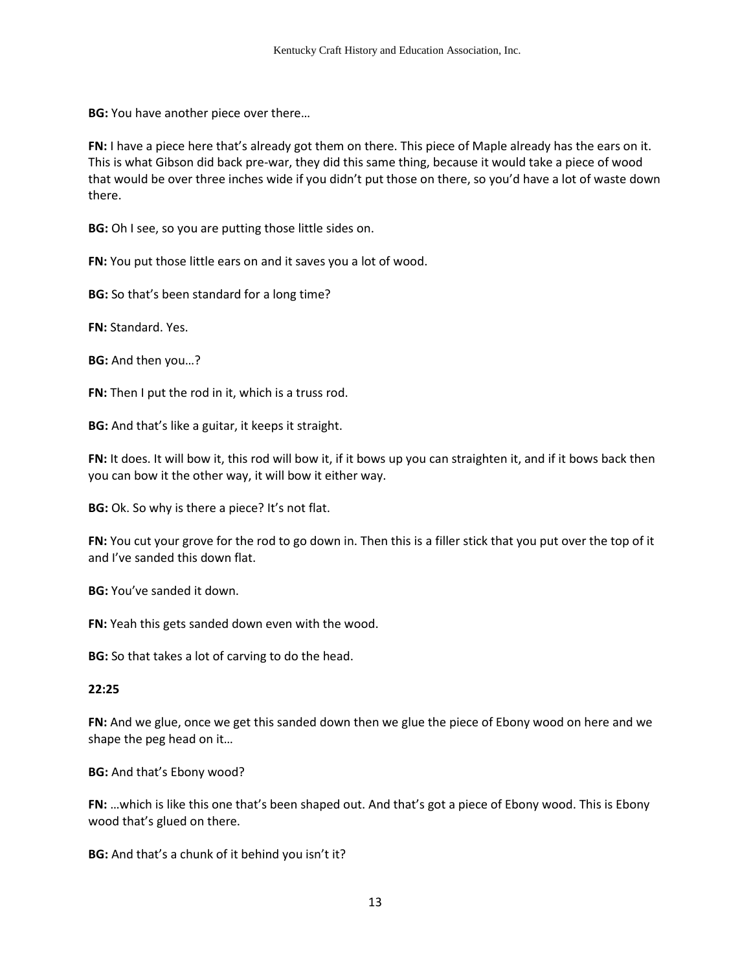**BG:** You have another piece over there…

**FN:** I have a piece here that's already got them on there. This piece of Maple already has the ears on it. This is what Gibson did back pre-war, they did this same thing, because it would take a piece of wood that would be over three inches wide if you didn't put those on there, so you'd have a lot of waste down there.

**BG:** Oh I see, so you are putting those little sides on.

**FN:** You put those little ears on and it saves you a lot of wood.

**BG:** So that's been standard for a long time?

**FN:** Standard. Yes.

**BG:** And then you…?

**FN:** Then I put the rod in it, which is a truss rod.

**BG:** And that's like a guitar, it keeps it straight.

**FN:** It does. It will bow it, this rod will bow it, if it bows up you can straighten it, and if it bows back then you can bow it the other way, it will bow it either way.

**BG:** Ok. So why is there a piece? It's not flat.

**FN:** You cut your grove for the rod to go down in. Then this is a filler stick that you put over the top of it and I've sanded this down flat.

**BG:** You've sanded it down.

**FN:** Yeah this gets sanded down even with the wood.

**BG:** So that takes a lot of carving to do the head.

#### **22:25**

**FN:** And we glue, once we get this sanded down then we glue the piece of Ebony wood on here and we shape the peg head on it…

**BG:** And that's Ebony wood?

**FN:** …which is like this one that's been shaped out. And that's got a piece of Ebony wood. This is Ebony wood that's glued on there.

**BG:** And that's a chunk of it behind you isn't it?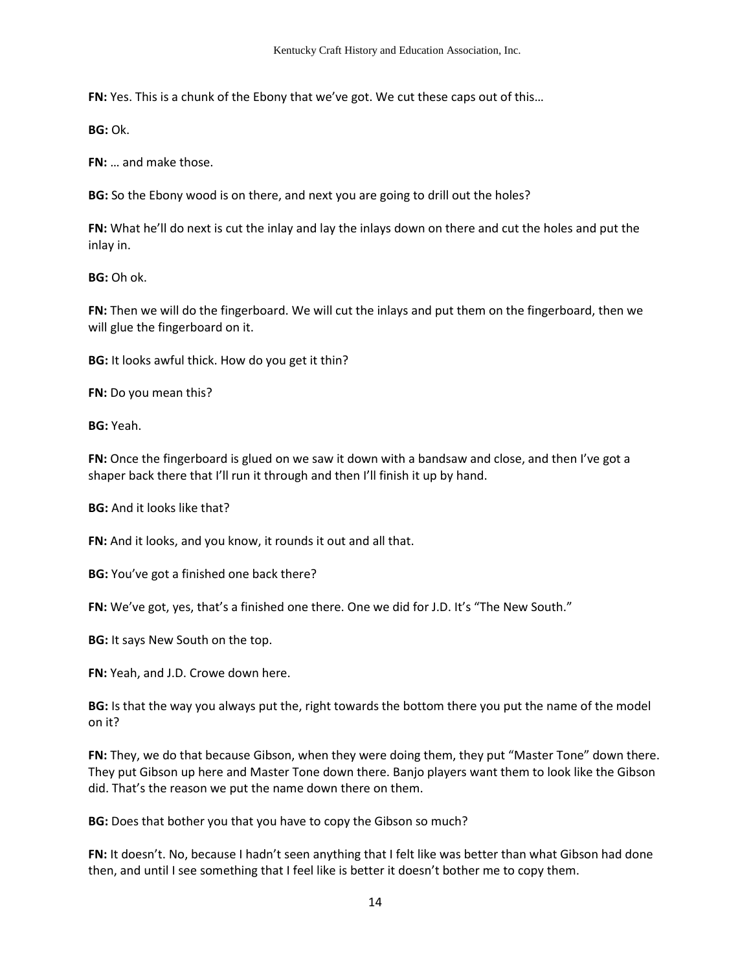**FN:** Yes. This is a chunk of the Ebony that we've got. We cut these caps out of this…

**BG:** Ok.

**FN:** … and make those.

**BG:** So the Ebony wood is on there, and next you are going to drill out the holes?

**FN:** What he'll do next is cut the inlay and lay the inlays down on there and cut the holes and put the inlay in.

**BG:** Oh ok.

**FN:** Then we will do the fingerboard. We will cut the inlays and put them on the fingerboard, then we will glue the fingerboard on it.

**BG:** It looks awful thick. How do you get it thin?

**FN:** Do you mean this?

**BG:** Yeah.

FN: Once the fingerboard is glued on we saw it down with a bandsaw and close, and then I've got a shaper back there that I'll run it through and then I'll finish it up by hand.

**BG:** And it looks like that?

**FN:** And it looks, and you know, it rounds it out and all that.

**BG:** You've got a finished one back there?

**FN:** We've got, yes, that's a finished one there. One we did for J.D. It's "The New South."

**BG:** It says New South on the top.

**FN:** Yeah, and J.D. Crowe down here.

**BG:** Is that the way you always put the, right towards the bottom there you put the name of the model on it?

**FN:** They, we do that because Gibson, when they were doing them, they put "Master Tone" down there. They put Gibson up here and Master Tone down there. Banjo players want them to look like the Gibson did. That's the reason we put the name down there on them.

**BG:** Does that bother you that you have to copy the Gibson so much?

**FN:** It doesn't. No, because I hadn't seen anything that I felt like was better than what Gibson had done then, and until I see something that I feel like is better it doesn't bother me to copy them.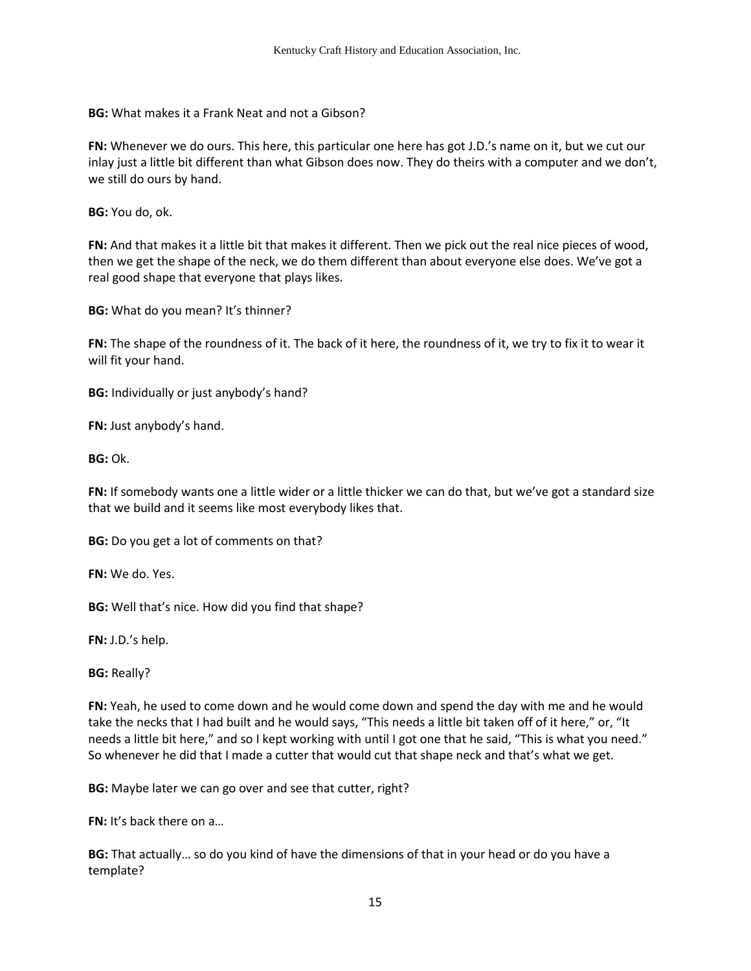**BG:** What makes it a Frank Neat and not a Gibson?

**FN:** Whenever we do ours. This here, this particular one here has got J.D.'s name on it, but we cut our inlay just a little bit different than what Gibson does now. They do theirs with a computer and we don't, we still do ours by hand.

**BG:** You do, ok.

**FN:** And that makes it a little bit that makes it different. Then we pick out the real nice pieces of wood, then we get the shape of the neck, we do them different than about everyone else does. We've got a real good shape that everyone that plays likes.

**BG:** What do you mean? It's thinner?

**FN:** The shape of the roundness of it. The back of it here, the roundness of it, we try to fix it to wear it will fit your hand.

**BG:** Individually or just anybody's hand?

**FN:** Just anybody's hand.

**BG:** Ok.

**FN:** If somebody wants one a little wider or a little thicker we can do that, but we've got a standard size that we build and it seems like most everybody likes that.

**BG:** Do you get a lot of comments on that?

**FN:** We do. Yes.

**BG:** Well that's nice. How did you find that shape?

**FN:** J.D.'s help.

**BG:** Really?

**FN:** Yeah, he used to come down and he would come down and spend the day with me and he would take the necks that I had built and he would says, "This needs a little bit taken off of it here," or, "It needs a little bit here," and so I kept working with until I got one that he said, "This is what you need." So whenever he did that I made a cutter that would cut that shape neck and that's what we get.

**BG:** Maybe later we can go over and see that cutter, right?

**FN:** It's back there on a…

**BG:** That actually… so do you kind of have the dimensions of that in your head or do you have a template?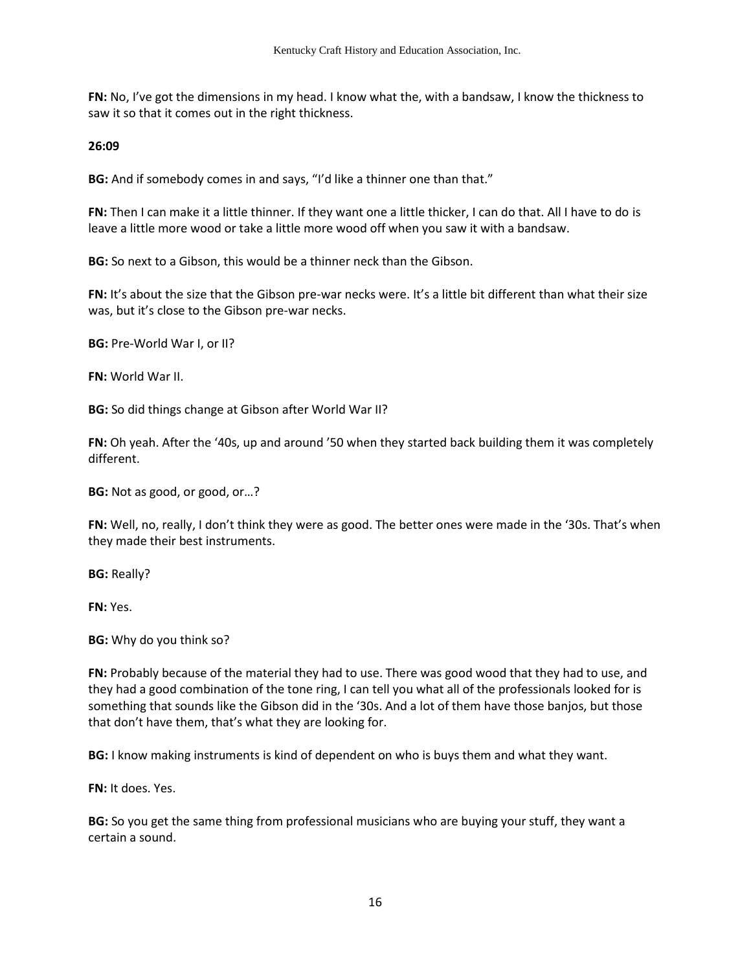**FN:** No, I've got the dimensions in my head. I know what the, with a bandsaw, I know the thickness to saw it so that it comes out in the right thickness.

**26:09** 

**BG:** And if somebody comes in and says, "I'd like a thinner one than that."

**FN:** Then I can make it a little thinner. If they want one a little thicker, I can do that. All I have to do is leave a little more wood or take a little more wood off when you saw it with a bandsaw.

**BG:** So next to a Gibson, this would be a thinner neck than the Gibson.

**FN:** It's about the size that the Gibson pre-war necks were. It's a little bit different than what their size was, but it's close to the Gibson pre-war necks.

**BG:** Pre-World War I, or II?

**FN:** World War II.

**BG:** So did things change at Gibson after World War II?

**FN:** Oh yeah. After the '40s, up and around '50 when they started back building them it was completely different.

**BG:** Not as good, or good, or…?

**FN:** Well, no, really, I don't think they were as good. The better ones were made in the '30s. That's when they made their best instruments.

**BG:** Really?

**FN:** Yes.

**BG:** Why do you think so?

**FN:** Probably because of the material they had to use. There was good wood that they had to use, and they had a good combination of the tone ring, I can tell you what all of the professionals looked for is something that sounds like the Gibson did in the '30s. And a lot of them have those banjos, but those that don't have them, that's what they are looking for.

**BG:** I know making instruments is kind of dependent on who is buys them and what they want.

**FN:** It does. Yes.

**BG:** So you get the same thing from professional musicians who are buying your stuff, they want a certain a sound.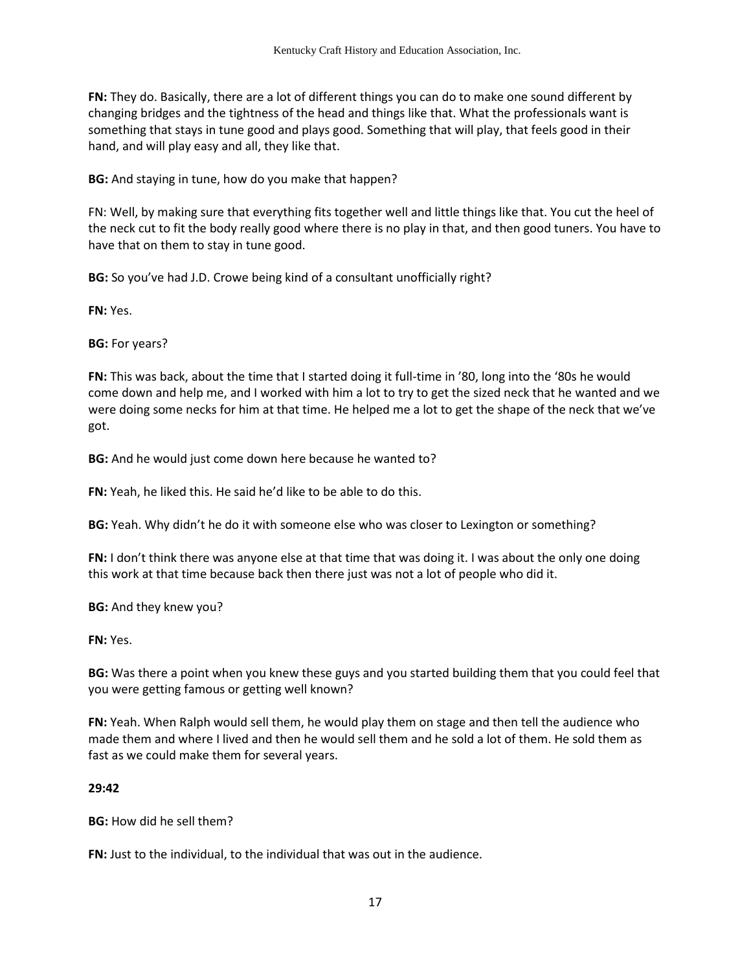**FN:** They do. Basically, there are a lot of different things you can do to make one sound different by changing bridges and the tightness of the head and things like that. What the professionals want is something that stays in tune good and plays good. Something that will play, that feels good in their hand, and will play easy and all, they like that.

**BG:** And staying in tune, how do you make that happen?

FN: Well, by making sure that everything fits together well and little things like that. You cut the heel of the neck cut to fit the body really good where there is no play in that, and then good tuners. You have to have that on them to stay in tune good.

**BG:** So you've had J.D. Crowe being kind of a consultant unofficially right?

**FN:** Yes.

**BG:** For years?

**FN:** This was back, about the time that I started doing it full-time in '80, long into the '80s he would come down and help me, and I worked with him a lot to try to get the sized neck that he wanted and we were doing some necks for him at that time. He helped me a lot to get the shape of the neck that we've got.

**BG:** And he would just come down here because he wanted to?

**FN:** Yeah, he liked this. He said he'd like to be able to do this.

**BG:** Yeah. Why didn't he do it with someone else who was closer to Lexington or something?

**FN:** I don't think there was anyone else at that time that was doing it. I was about the only one doing this work at that time because back then there just was not a lot of people who did it.

**BG:** And they knew you?

**FN:** Yes.

**BG:** Was there a point when you knew these guys and you started building them that you could feel that you were getting famous or getting well known?

**FN:** Yeah. When Ralph would sell them, he would play them on stage and then tell the audience who made them and where I lived and then he would sell them and he sold a lot of them. He sold them as fast as we could make them for several years.

## **29:42**

**BG:** How did he sell them?

**FN:** Just to the individual, to the individual that was out in the audience.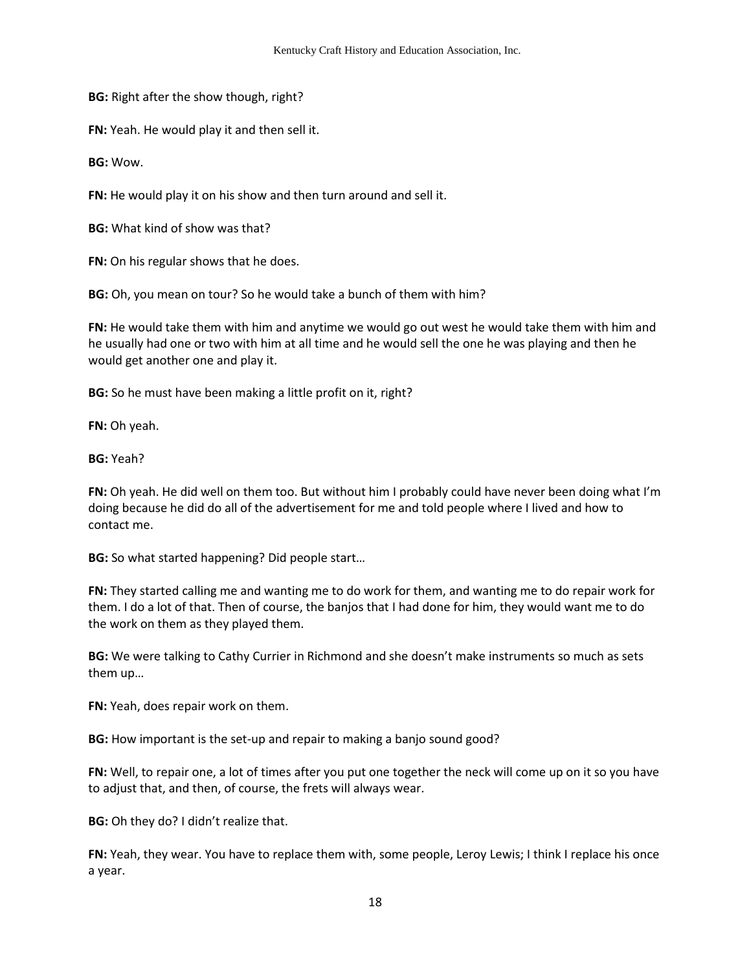**BG:** Right after the show though, right?

**FN:** Yeah. He would play it and then sell it.

**BG:** Wow.

**FN:** He would play it on his show and then turn around and sell it.

**BG:** What kind of show was that?

**FN:** On his regular shows that he does.

**BG:** Oh, you mean on tour? So he would take a bunch of them with him?

**FN:** He would take them with him and anytime we would go out west he would take them with him and he usually had one or two with him at all time and he would sell the one he was playing and then he would get another one and play it.

**BG:** So he must have been making a little profit on it, right?

**FN:** Oh yeah.

**BG:** Yeah?

**FN:** Oh yeah. He did well on them too. But without him I probably could have never been doing what I'm doing because he did do all of the advertisement for me and told people where I lived and how to contact me.

**BG:** So what started happening? Did people start…

**FN:** They started calling me and wanting me to do work for them, and wanting me to do repair work for them. I do a lot of that. Then of course, the banjos that I had done for him, they would want me to do the work on them as they played them.

**BG:** We were talking to Cathy Currier in Richmond and she doesn't make instruments so much as sets them up…

**FN:** Yeah, does repair work on them.

**BG:** How important is the set-up and repair to making a banjo sound good?

**FN:** Well, to repair one, a lot of times after you put one together the neck will come up on it so you have to adjust that, and then, of course, the frets will always wear.

**BG:** Oh they do? I didn't realize that.

**FN:** Yeah, they wear. You have to replace them with, some people, Leroy Lewis; I think I replace his once a year.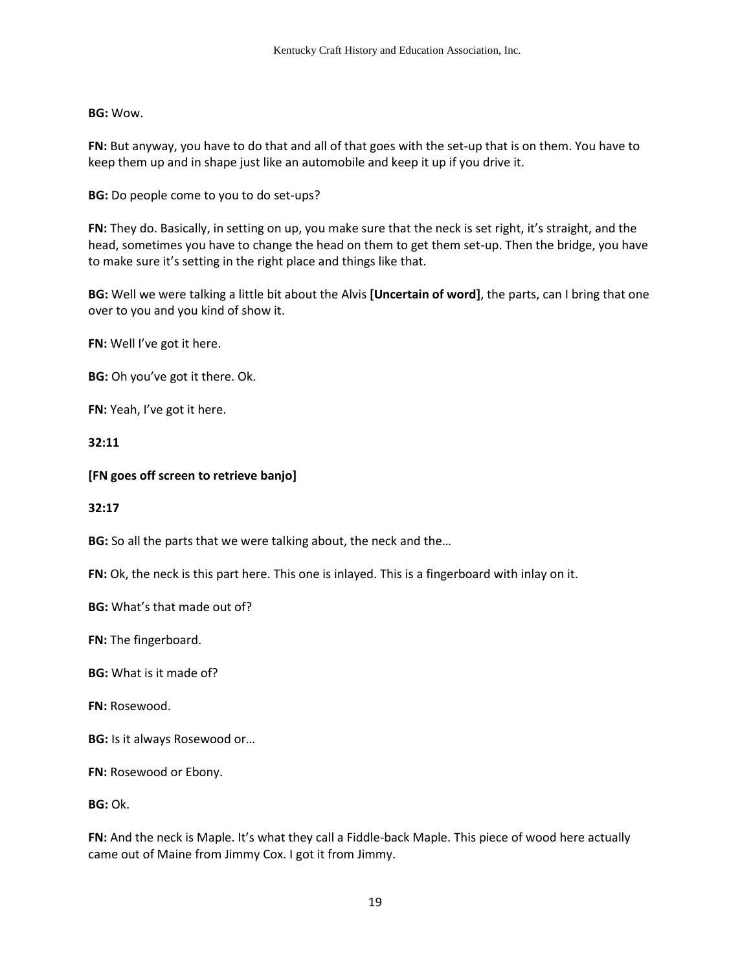## **BG:** Wow.

**FN:** But anyway, you have to do that and all of that goes with the set-up that is on them. You have to keep them up and in shape just like an automobile and keep it up if you drive it.

**BG:** Do people come to you to do set-ups?

**FN:** They do. Basically, in setting on up, you make sure that the neck is set right, it's straight, and the head, sometimes you have to change the head on them to get them set-up. Then the bridge, you have to make sure it's setting in the right place and things like that.

**BG:** Well we were talking a little bit about the Alvis **[Uncertain of word]**, the parts, can I bring that one over to you and you kind of show it.

**FN:** Well I've got it here.

**BG:** Oh you've got it there. Ok.

**FN:** Yeah, I've got it here.

**32:11** 

### **[FN goes off screen to retrieve banjo]**

#### **32:17**

**BG:** So all the parts that we were talking about, the neck and the…

**FN:** Ok, the neck is this part here. This one is inlayed. This is a fingerboard with inlay on it.

**BG:** What's that made out of?

**FN:** The fingerboard.

**BG:** What is it made of?

**FN:** Rosewood.

**BG:** Is it always Rosewood or…

**FN:** Rosewood or Ebony.

**BG:** Ok.

**FN:** And the neck is Maple. It's what they call a Fiddle-back Maple. This piece of wood here actually came out of Maine from Jimmy Cox. I got it from Jimmy.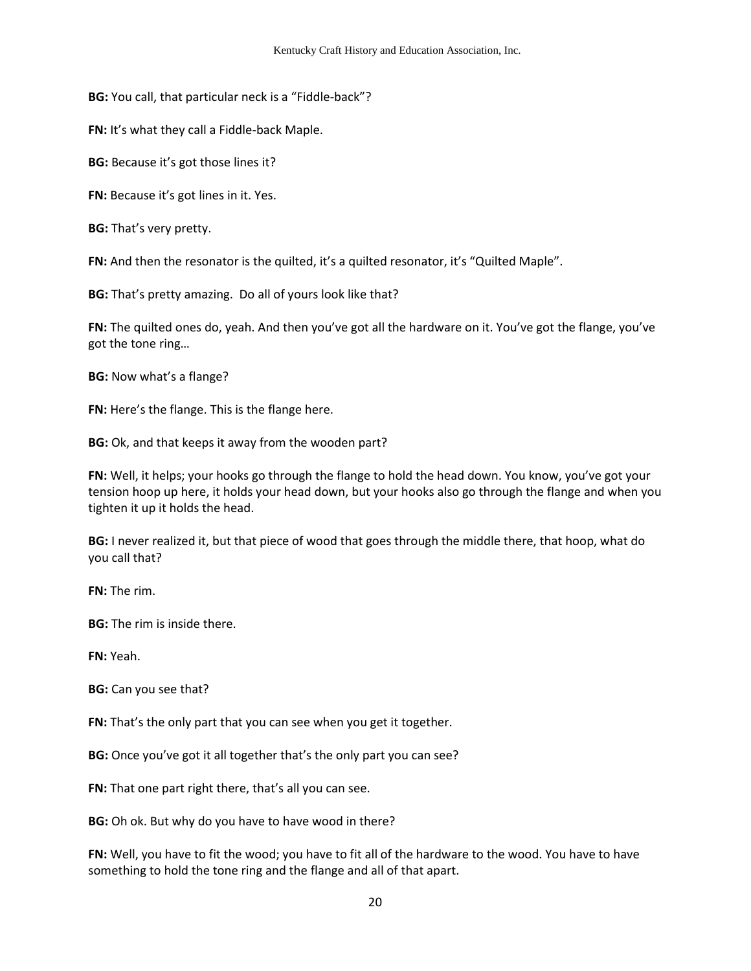**BG:** You call, that particular neck is a "Fiddle-back"?

**FN:** It's what they call a Fiddle-back Maple.

**BG:** Because it's got those lines it?

**FN:** Because it's got lines in it. Yes.

**BG:** That's very pretty.

**FN:** And then the resonator is the quilted, it's a quilted resonator, it's "Quilted Maple".

**BG:** That's pretty amazing. Do all of yours look like that?

**FN:** The quilted ones do, yeah. And then you've got all the hardware on it. You've got the flange, you've got the tone ring…

**BG:** Now what's a flange?

**FN:** Here's the flange. This is the flange here.

**BG:** Ok, and that keeps it away from the wooden part?

**FN:** Well, it helps; your hooks go through the flange to hold the head down. You know, you've got your tension hoop up here, it holds your head down, but your hooks also go through the flange and when you tighten it up it holds the head.

**BG:** I never realized it, but that piece of wood that goes through the middle there, that hoop, what do you call that?

**FN:** The rim.

**BG:** The rim is inside there.

**FN:** Yeah.

**BG:** Can you see that?

**FN:** That's the only part that you can see when you get it together.

**BG:** Once you've got it all together that's the only part you can see?

**FN:** That one part right there, that's all you can see.

**BG:** Oh ok. But why do you have to have wood in there?

**FN:** Well, you have to fit the wood; you have to fit all of the hardware to the wood. You have to have something to hold the tone ring and the flange and all of that apart.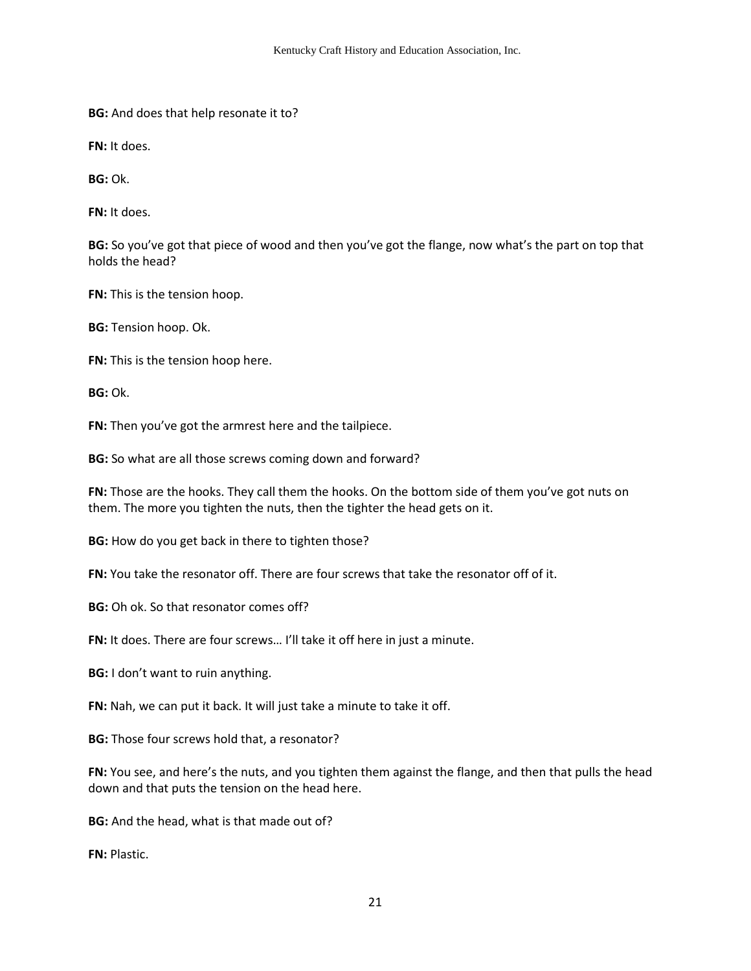**BG:** And does that help resonate it to?

**FN:** It does.

**BG:** Ok.

**FN:** It does.

**BG:** So you've got that piece of wood and then you've got the flange, now what's the part on top that holds the head?

**FN:** This is the tension hoop.

**BG:** Tension hoop. Ok.

**FN:** This is the tension hoop here.

**BG:** Ok.

**FN:** Then you've got the armrest here and the tailpiece.

**BG:** So what are all those screws coming down and forward?

**FN:** Those are the hooks. They call them the hooks. On the bottom side of them you've got nuts on them. The more you tighten the nuts, then the tighter the head gets on it.

**BG:** How do you get back in there to tighten those?

**FN:** You take the resonator off. There are four screws that take the resonator off of it.

**BG:** Oh ok. So that resonator comes off?

FN: It does. There are four screws... I'll take it off here in just a minute.

**BG:** I don't want to ruin anything.

**FN:** Nah, we can put it back. It will just take a minute to take it off.

**BG:** Those four screws hold that, a resonator?

**FN:** You see, and here's the nuts, and you tighten them against the flange, and then that pulls the head down and that puts the tension on the head here.

**BG:** And the head, what is that made out of?

**FN:** Plastic.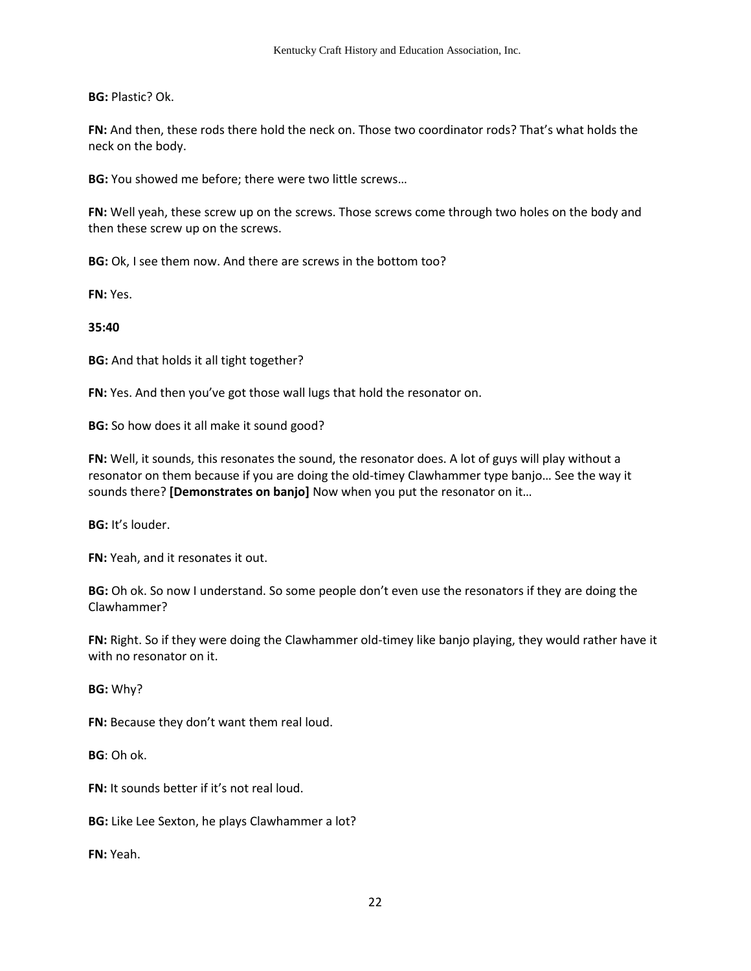**BG:** Plastic? Ok.

**FN:** And then, these rods there hold the neck on. Those two coordinator rods? That's what holds the neck on the body.

**BG:** You showed me before; there were two little screws…

**FN:** Well yeah, these screw up on the screws. Those screws come through two holes on the body and then these screw up on the screws.

**BG:** Ok, I see them now. And there are screws in the bottom too?

**FN:** Yes.

**35:40**

**BG:** And that holds it all tight together?

**FN:** Yes. And then you've got those wall lugs that hold the resonator on.

**BG:** So how does it all make it sound good?

**FN:** Well, it sounds, this resonates the sound, the resonator does. A lot of guys will play without a resonator on them because if you are doing the old-timey Clawhammer type banjo… See the way it sounds there? **[Demonstrates on banjo]** Now when you put the resonator on it…

**BG:** It's louder.

**FN:** Yeah, and it resonates it out.

**BG:** Oh ok. So now I understand. So some people don't even use the resonators if they are doing the Clawhammer?

**FN:** Right. So if they were doing the Clawhammer old-timey like banjo playing, they would rather have it with no resonator on it.

**BG:** Why?

**FN:** Because they don't want them real loud.

**BG**: Oh ok.

**FN:** It sounds better if it's not real loud.

**BG:** Like Lee Sexton, he plays Clawhammer a lot?

**FN:** Yeah.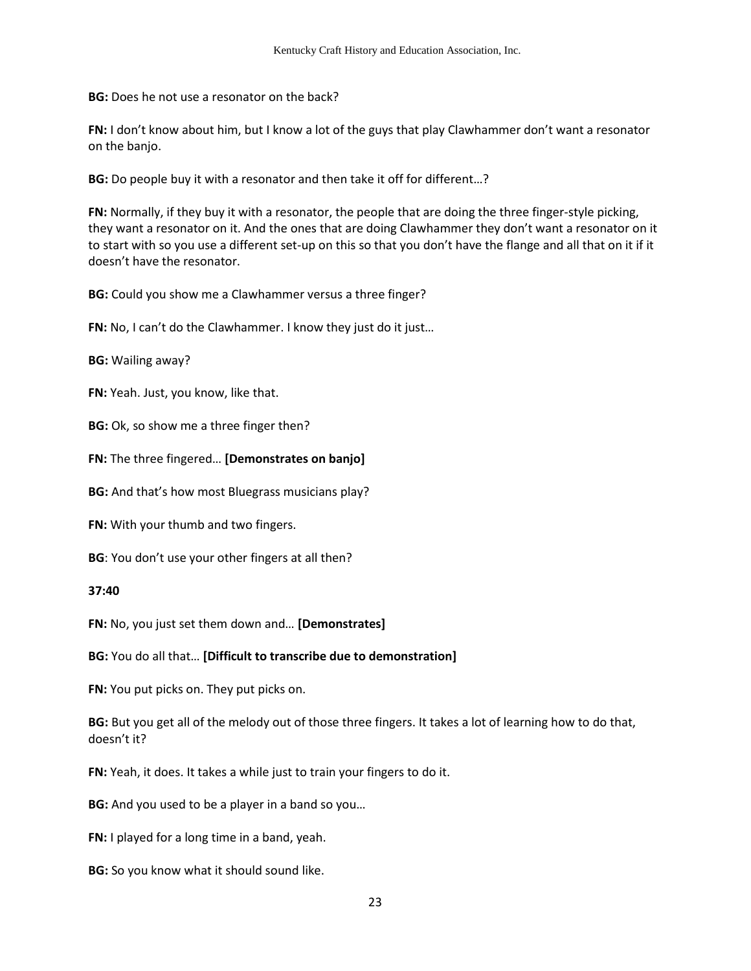**BG:** Does he not use a resonator on the back?

**FN:** I don't know about him, but I know a lot of the guys that play Clawhammer don't want a resonator on the banjo.

**BG:** Do people buy it with a resonator and then take it off for different…?

**FN:** Normally, if they buy it with a resonator, the people that are doing the three finger-style picking, they want a resonator on it. And the ones that are doing Clawhammer they don't want a resonator on it to start with so you use a different set-up on this so that you don't have the flange and all that on it if it doesn't have the resonator.

**BG:** Could you show me a Clawhammer versus a three finger?

**FN:** No, I can't do the Clawhammer. I know they just do it just...

**BG:** Wailing away?

**FN:** Yeah. Just, you know, like that.

**BG:** Ok, so show me a three finger then?

**FN:** The three fingered… **[Demonstrates on banjo]** 

**BG:** And that's how most Bluegrass musicians play?

**FN:** With your thumb and two fingers.

**BG**: You don't use your other fingers at all then?

**37:40** 

**FN:** No, you just set them down and… **[Demonstrates]**

**BG:** You do all that… **[Difficult to transcribe due to demonstration]**

**FN:** You put picks on. They put picks on.

**BG:** But you get all of the melody out of those three fingers. It takes a lot of learning how to do that, doesn't it?

**FN:** Yeah, it does. It takes a while just to train your fingers to do it.

**BG:** And you used to be a player in a band so you…

**FN:** I played for a long time in a band, yeah.

**BG:** So you know what it should sound like.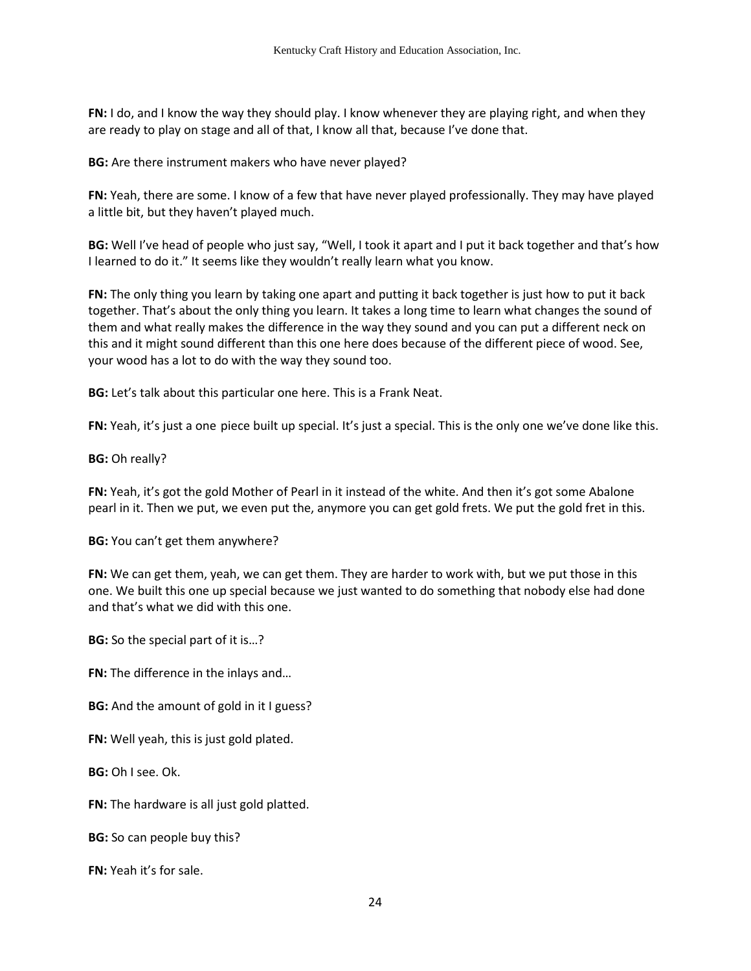**FN:** I do, and I know the way they should play. I know whenever they are playing right, and when they are ready to play on stage and all of that, I know all that, because I've done that.

**BG:** Are there instrument makers who have never played?

**FN:** Yeah, there are some. I know of a few that have never played professionally. They may have played a little bit, but they haven't played much.

**BG:** Well I've head of people who just say, "Well, I took it apart and I put it back together and that's how I learned to do it." It seems like they wouldn't really learn what you know.

**FN:** The only thing you learn by taking one apart and putting it back together is just how to put it back together. That's about the only thing you learn. It takes a long time to learn what changes the sound of them and what really makes the difference in the way they sound and you can put a different neck on this and it might sound different than this one here does because of the different piece of wood. See, your wood has a lot to do with the way they sound too.

**BG:** Let's talk about this particular one here. This is a Frank Neat.

**FN:** Yeah, it's just a one piece built up special. It's just a special. This is the only one we've done like this.

### **BG:** Oh really?

**FN:** Yeah, it's got the gold Mother of Pearl in it instead of the white. And then it's got some Abalone pearl in it. Then we put, we even put the, anymore you can get gold frets. We put the gold fret in this.

#### **BG:** You can't get them anywhere?

**FN:** We can get them, yeah, we can get them. They are harder to work with, but we put those in this one. We built this one up special because we just wanted to do something that nobody else had done and that's what we did with this one.

**BG:** So the special part of it is…?

**FN:** The difference in the inlays and…

**BG:** And the amount of gold in it I guess?

**FN:** Well yeah, this is just gold plated.

**BG:** Oh I see. Ok.

**FN:** The hardware is all just gold platted.

**BG:** So can people buy this?

**FN:** Yeah it's for sale.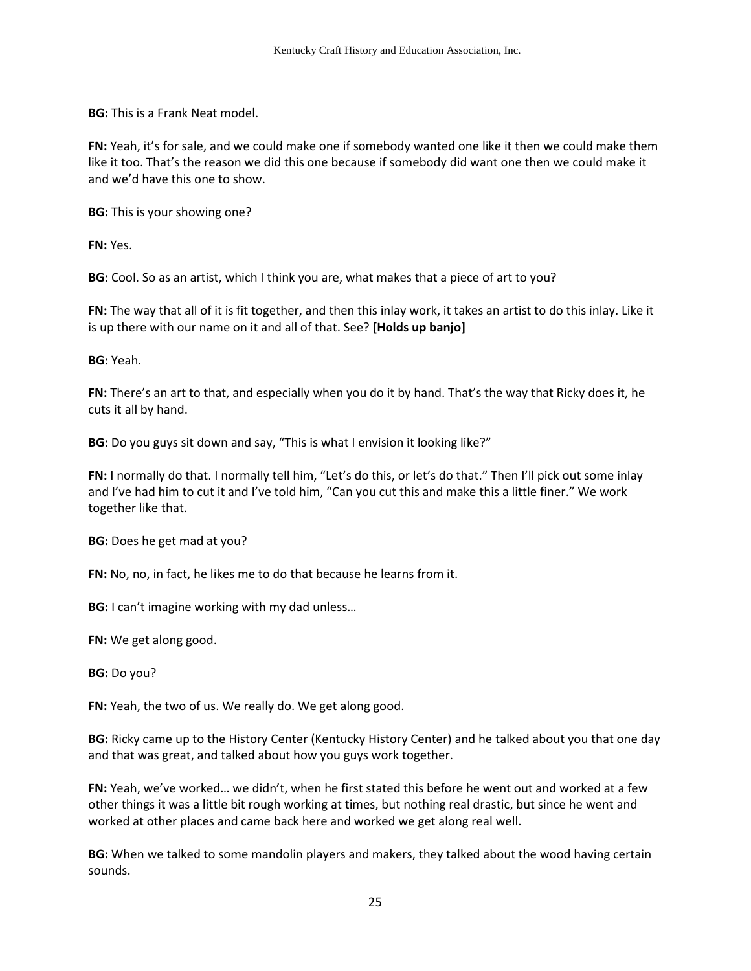**BG:** This is a Frank Neat model.

**FN:** Yeah, it's for sale, and we could make one if somebody wanted one like it then we could make them like it too. That's the reason we did this one because if somebody did want one then we could make it and we'd have this one to show.

**BG:** This is your showing one?

**FN:** Yes.

**BG:** Cool. So as an artist, which I think you are, what makes that a piece of art to you?

**FN:** The way that all of it is fit together, and then this inlay work, it takes an artist to do this inlay. Like it is up there with our name on it and all of that. See? **[Holds up banjo]**

**BG:** Yeah.

**FN:** There's an art to that, and especially when you do it by hand. That's the way that Ricky does it, he cuts it all by hand.

**BG:** Do you guys sit down and say, "This is what I envision it looking like?"

**FN:** I normally do that. I normally tell him, "Let's do this, or let's do that." Then I'll pick out some inlay and I've had him to cut it and I've told him, "Can you cut this and make this a little finer." We work together like that.

**BG:** Does he get mad at you?

**FN:** No, no, in fact, he likes me to do that because he learns from it.

**BG:** I can't imagine working with my dad unless…

**FN:** We get along good.

**BG:** Do you?

**FN:** Yeah, the two of us. We really do. We get along good.

**BG:** Ricky came up to the History Center (Kentucky History Center) and he talked about you that one day and that was great, and talked about how you guys work together.

**FN:** Yeah, we've worked… we didn't, when he first stated this before he went out and worked at a few other things it was a little bit rough working at times, but nothing real drastic, but since he went and worked at other places and came back here and worked we get along real well.

**BG:** When we talked to some mandolin players and makers, they talked about the wood having certain sounds.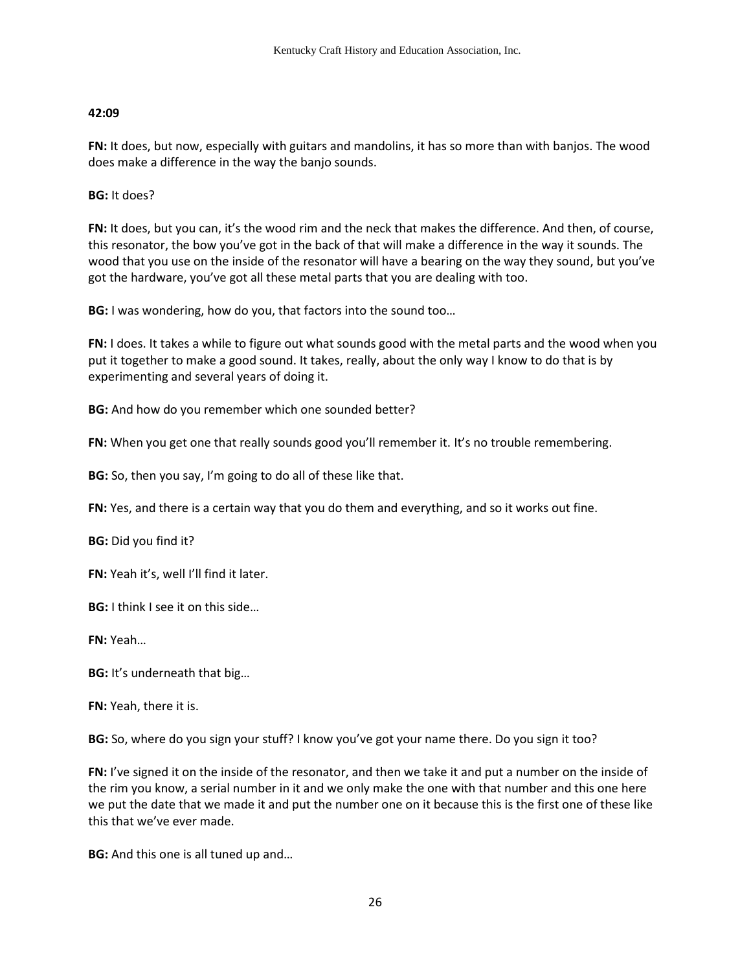# **42:09**

**FN:** It does, but now, especially with guitars and mandolins, it has so more than with banjos. The wood does make a difference in the way the banjo sounds.

**BG:** It does?

**FN:** It does, but you can, it's the wood rim and the neck that makes the difference. And then, of course, this resonator, the bow you've got in the back of that will make a difference in the way it sounds. The wood that you use on the inside of the resonator will have a bearing on the way they sound, but you've got the hardware, you've got all these metal parts that you are dealing with too.

**BG:** I was wondering, how do you, that factors into the sound too…

**FN:** I does. It takes a while to figure out what sounds good with the metal parts and the wood when you put it together to make a good sound. It takes, really, about the only way I know to do that is by experimenting and several years of doing it.

**BG:** And how do you remember which one sounded better?

FN: When you get one that really sounds good you'll remember it. It's no trouble remembering.

**BG:** So, then you say, I'm going to do all of these like that.

**FN:** Yes, and there is a certain way that you do them and everything, and so it works out fine.

**BG:** Did you find it?

**FN:** Yeah it's, well I'll find it later.

**BG:** I think I see it on this side…

**FN:** Yeah…

**BG:** It's underneath that big…

**FN:** Yeah, there it is.

**BG:** So, where do you sign your stuff? I know you've got your name there. Do you sign it too?

**FN:** I've signed it on the inside of the resonator, and then we take it and put a number on the inside of the rim you know, a serial number in it and we only make the one with that number and this one here we put the date that we made it and put the number one on it because this is the first one of these like this that we've ever made.

**BG:** And this one is all tuned up and…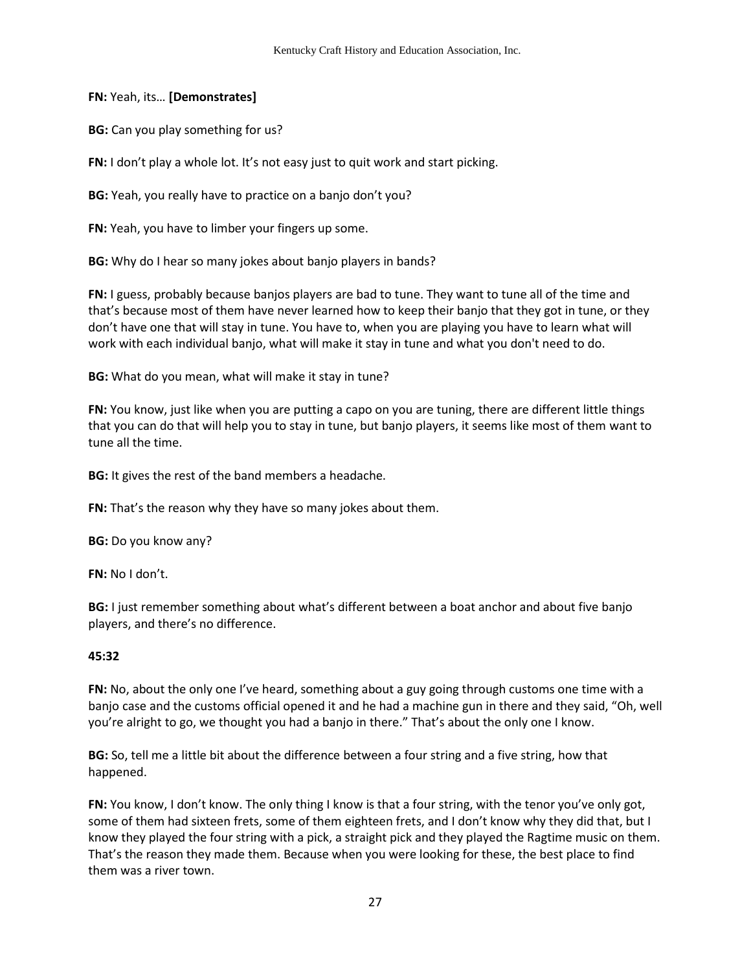**FN:** Yeah, its… **[Demonstrates]**

**BG:** Can you play something for us?

**FN:** I don't play a whole lot. It's not easy just to quit work and start picking.

**BG:** Yeah, you really have to practice on a banjo don't you?

**FN:** Yeah, you have to limber your fingers up some.

**BG:** Why do I hear so many jokes about banjo players in bands?

**FN:** I guess, probably because banjos players are bad to tune. They want to tune all of the time and that's because most of them have never learned how to keep their banjo that they got in tune, or they don't have one that will stay in tune. You have to, when you are playing you have to learn what will work with each individual banjo, what will make it stay in tune and what you don't need to do.

**BG:** What do you mean, what will make it stay in tune?

**FN:** You know, just like when you are putting a capo on you are tuning, there are different little things that you can do that will help you to stay in tune, but banjo players, it seems like most of them want to tune all the time.

**BG:** It gives the rest of the band members a headache.

**FN:** That's the reason why they have so many jokes about them.

**BG:** Do you know any?

**FN:** No I don't.

**BG:** I just remember something about what's different between a boat anchor and about five banjo players, and there's no difference.

## **45:32**

**FN:** No, about the only one I've heard, something about a guy going through customs one time with a banjo case and the customs official opened it and he had a machine gun in there and they said, "Oh, well you're alright to go, we thought you had a banjo in there." That's about the only one I know.

**BG:** So, tell me a little bit about the difference between a four string and a five string, how that happened.

**FN:** You know, I don't know. The only thing I know is that a four string, with the tenor you've only got, some of them had sixteen frets, some of them eighteen frets, and I don't know why they did that, but I know they played the four string with a pick, a straight pick and they played the Ragtime music on them. That's the reason they made them. Because when you were looking for these, the best place to find them was a river town.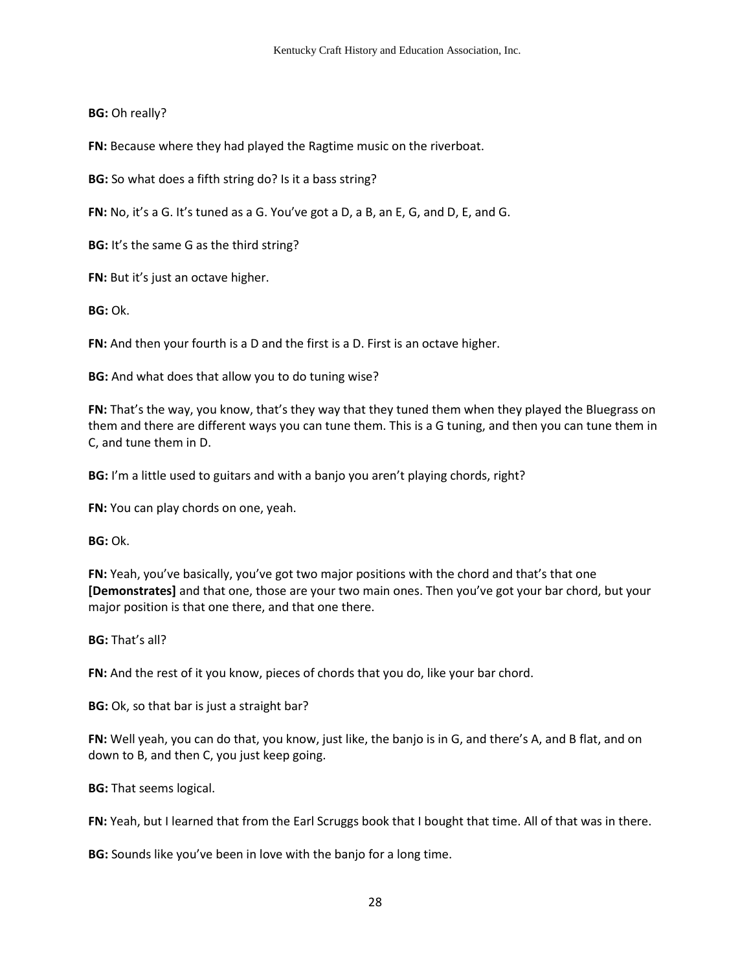**BG:** Oh really?

**FN:** Because where they had played the Ragtime music on the riverboat.

**BG:** So what does a fifth string do? Is it a bass string?

**FN:** No, it's a G. It's tuned as a G. You've got a D, a B, an E, G, and D, E, and G.

**BG:** It's the same G as the third string?

**FN:** But it's just an octave higher.

**BG:** Ok.

**FN:** And then your fourth is a D and the first is a D. First is an octave higher.

**BG:** And what does that allow you to do tuning wise?

**FN:** That's the way, you know, that's they way that they tuned them when they played the Bluegrass on them and there are different ways you can tune them. This is a G tuning, and then you can tune them in C, and tune them in D.

**BG:** I'm a little used to guitars and with a banjo you aren't playing chords, right?

**FN:** You can play chords on one, yeah.

**BG:** Ok.

**FN:** Yeah, you've basically, you've got two major positions with the chord and that's that one **[Demonstrates]** and that one, those are your two main ones. Then you've got your bar chord, but your major position is that one there, and that one there.

**BG:** That's all?

**FN:** And the rest of it you know, pieces of chords that you do, like your bar chord.

**BG:** Ok, so that bar is just a straight bar?

**FN:** Well yeah, you can do that, you know, just like, the banjo is in G, and there's A, and B flat, and on down to B, and then C, you just keep going.

**BG:** That seems logical.

**FN:** Yeah, but I learned that from the Earl Scruggs book that I bought that time. All of that was in there.

**BG:** Sounds like you've been in love with the banjo for a long time.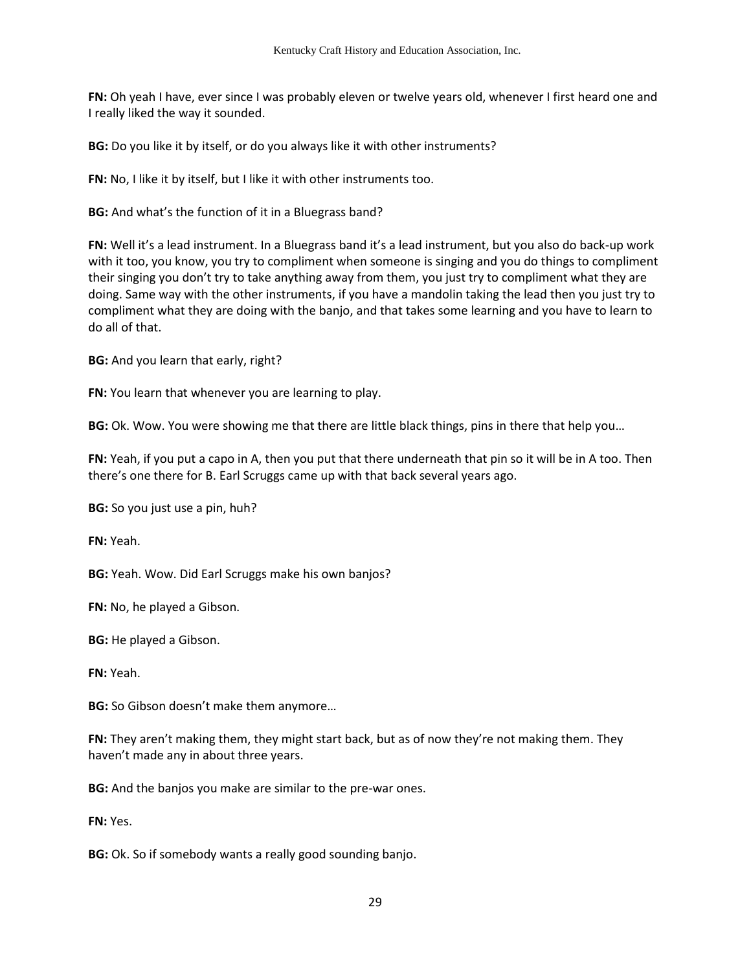**FN:** Oh yeah I have, ever since I was probably eleven or twelve years old, whenever I first heard one and I really liked the way it sounded.

**BG:** Do you like it by itself, or do you always like it with other instruments?

**FN:** No, I like it by itself, but I like it with other instruments too.

**BG:** And what's the function of it in a Bluegrass band?

**FN:** Well it's a lead instrument. In a Bluegrass band it's a lead instrument, but you also do back-up work with it too, you know, you try to compliment when someone is singing and you do things to compliment their singing you don't try to take anything away from them, you just try to compliment what they are doing. Same way with the other instruments, if you have a mandolin taking the lead then you just try to compliment what they are doing with the banjo, and that takes some learning and you have to learn to do all of that.

**BG:** And you learn that early, right?

**FN:** You learn that whenever you are learning to play.

**BG:** Ok. Wow. You were showing me that there are little black things, pins in there that help you…

**FN:** Yeah, if you put a capo in A, then you put that there underneath that pin so it will be in A too. Then there's one there for B. Earl Scruggs came up with that back several years ago.

**BG:** So you just use a pin, huh?

**FN:** Yeah.

**BG:** Yeah. Wow. Did Earl Scruggs make his own banjos?

**FN:** No, he played a Gibson.

**BG:** He played a Gibson.

**FN:** Yeah.

**BG:** So Gibson doesn't make them anymore…

**FN:** They aren't making them, they might start back, but as of now they're not making them. They haven't made any in about three years.

**BG:** And the banjos you make are similar to the pre-war ones.

**FN:** Yes.

**BG:** Ok. So if somebody wants a really good sounding banjo.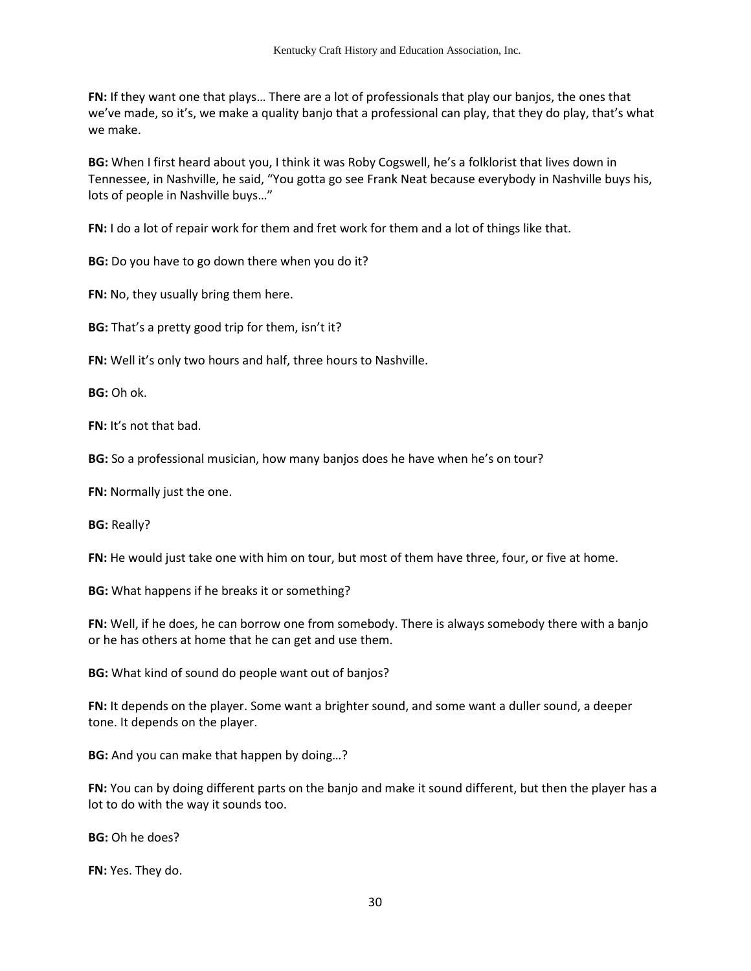**FN:** If they want one that plays… There are a lot of professionals that play our banjos, the ones that we've made, so it's, we make a quality banjo that a professional can play, that they do play, that's what we make.

**BG:** When I first heard about you, I think it was Roby Cogswell, he's a folklorist that lives down in Tennessee, in Nashville, he said, "You gotta go see Frank Neat because everybody in Nashville buys his, lots of people in Nashville buys…"

**FN:** I do a lot of repair work for them and fret work for them and a lot of things like that.

**BG:** Do you have to go down there when you do it?

**FN:** No, they usually bring them here.

**BG:** That's a pretty good trip for them, isn't it?

**FN:** Well it's only two hours and half, three hours to Nashville.

**BG:** Oh ok.

**FN:** It's not that bad.

**BG:** So a professional musician, how many banjos does he have when he's on tour?

**FN:** Normally just the one.

**BG:** Really?

**FN:** He would just take one with him on tour, but most of them have three, four, or five at home.

**BG:** What happens if he breaks it or something?

**FN:** Well, if he does, he can borrow one from somebody. There is always somebody there with a banjo or he has others at home that he can get and use them.

**BG:** What kind of sound do people want out of banjos?

**FN:** It depends on the player. Some want a brighter sound, and some want a duller sound, a deeper tone. It depends on the player.

**BG:** And you can make that happen by doing…?

**FN:** You can by doing different parts on the banjo and make it sound different, but then the player has a lot to do with the way it sounds too.

**BG:** Oh he does?

**FN:** Yes. They do.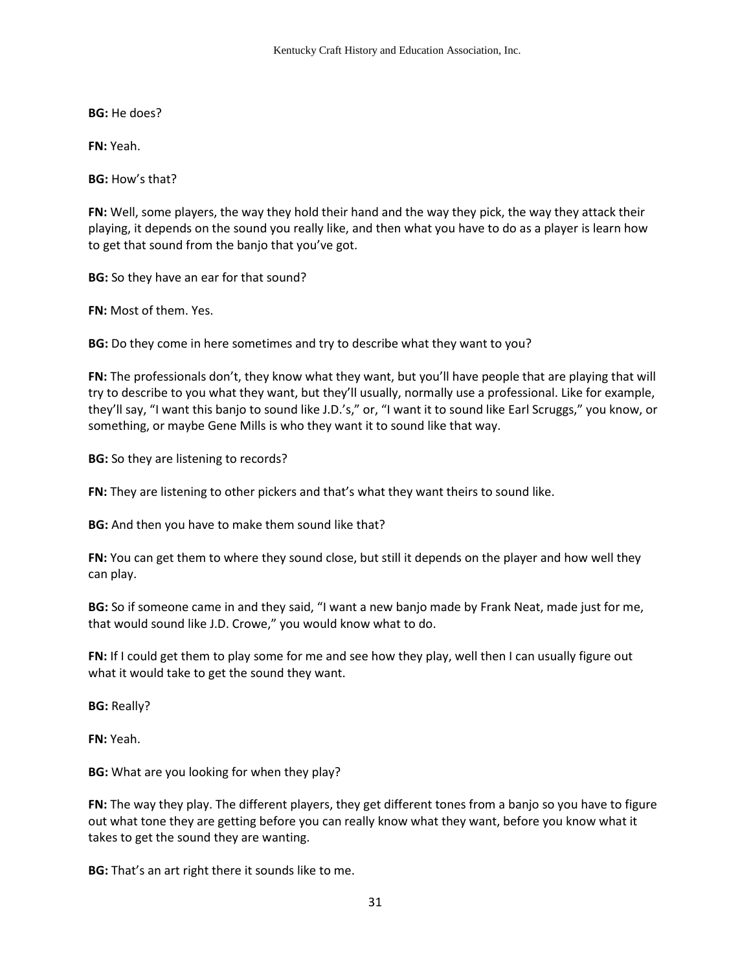**BG:** He does?

**FN:** Yeah.

**BG:** How's that?

**FN:** Well, some players, the way they hold their hand and the way they pick, the way they attack their playing, it depends on the sound you really like, and then what you have to do as a player is learn how to get that sound from the banjo that you've got.

**BG:** So they have an ear for that sound?

**FN:** Most of them. Yes.

**BG:** Do they come in here sometimes and try to describe what they want to you?

**FN:** The professionals don't, they know what they want, but you'll have people that are playing that will try to describe to you what they want, but they'll usually, normally use a professional. Like for example, they'll say, "I want this banjo to sound like J.D.'s," or, "I want it to sound like Earl Scruggs," you know, or something, or maybe Gene Mills is who they want it to sound like that way.

**BG:** So they are listening to records?

**FN:** They are listening to other pickers and that's what they want theirs to sound like.

**BG:** And then you have to make them sound like that?

**FN:** You can get them to where they sound close, but still it depends on the player and how well they can play.

**BG:** So if someone came in and they said, "I want a new banjo made by Frank Neat, made just for me, that would sound like J.D. Crowe," you would know what to do.

**FN:** If I could get them to play some for me and see how they play, well then I can usually figure out what it would take to get the sound they want.

**BG:** Really?

**FN:** Yeah.

**BG:** What are you looking for when they play?

**FN:** The way they play. The different players, they get different tones from a banjo so you have to figure out what tone they are getting before you can really know what they want, before you know what it takes to get the sound they are wanting.

**BG:** That's an art right there it sounds like to me.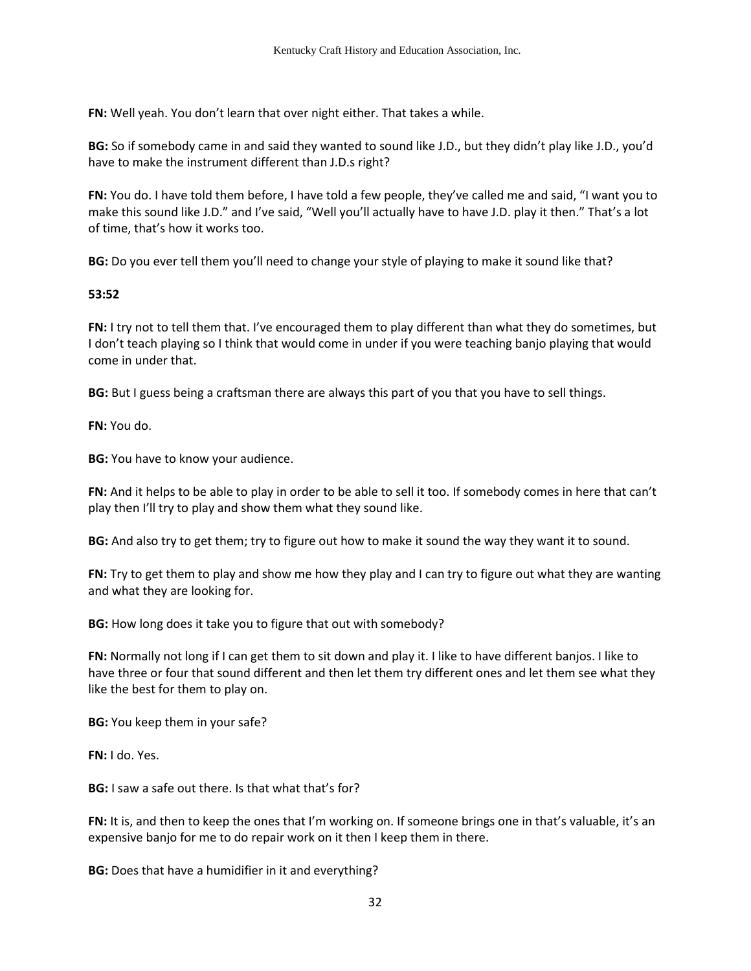**FN:** Well yeah. You don't learn that over night either. That takes a while.

**BG:** So if somebody came in and said they wanted to sound like J.D., but they didn't play like J.D., you'd have to make the instrument different than J.D.s right?

**FN:** You do. I have told them before, I have told a few people, they've called me and said, "I want you to make this sound like J.D." and I've said, "Well you'll actually have to have J.D. play it then." That's a lot of time, that's how it works too.

**BG:** Do you ever tell them you'll need to change your style of playing to make it sound like that?

### **53:52**

**FN:** I try not to tell them that. I've encouraged them to play different than what they do sometimes, but I don't teach playing so I think that would come in under if you were teaching banjo playing that would come in under that.

**BG:** But I guess being a craftsman there are always this part of you that you have to sell things.

**FN:** You do.

**BG:** You have to know your audience.

**FN:** And it helps to be able to play in order to be able to sell it too. If somebody comes in here that can't play then I'll try to play and show them what they sound like.

**BG:** And also try to get them; try to figure out how to make it sound the way they want it to sound.

**FN:** Try to get them to play and show me how they play and I can try to figure out what they are wanting and what they are looking for.

**BG:** How long does it take you to figure that out with somebody?

**FN:** Normally not long if I can get them to sit down and play it. I like to have different banjos. I like to have three or four that sound different and then let them try different ones and let them see what they like the best for them to play on.

**BG:** You keep them in your safe?

**FN:** I do. Yes.

**BG:** I saw a safe out there. Is that what that's for?

**FN:** It is, and then to keep the ones that I'm working on. If someone brings one in that's valuable, it's an expensive banjo for me to do repair work on it then I keep them in there.

**BG:** Does that have a humidifier in it and everything?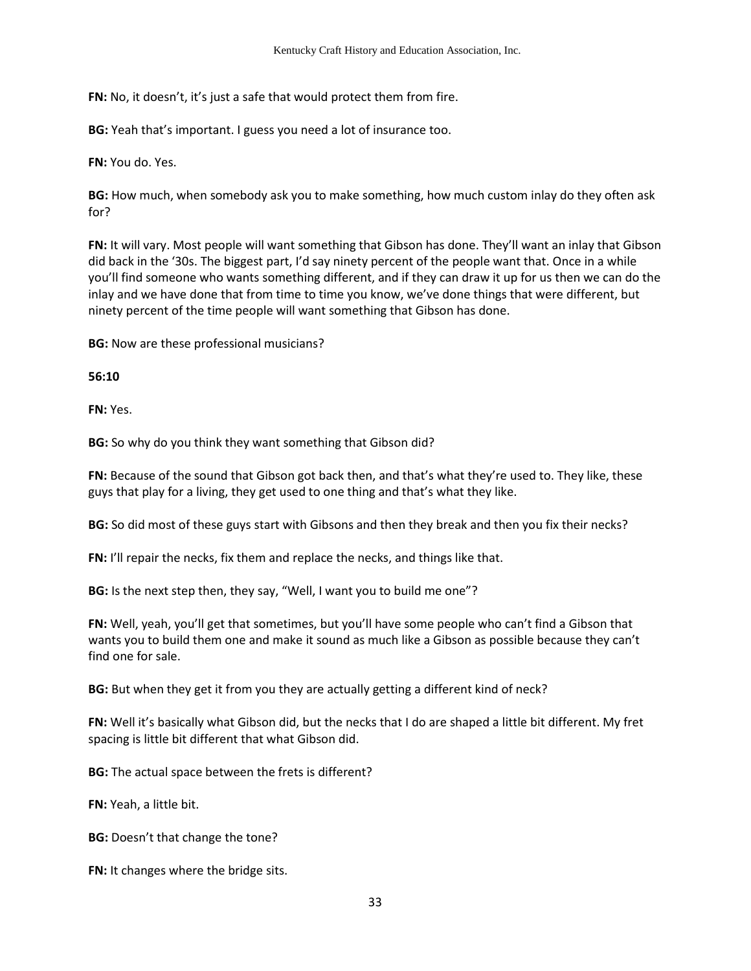**FN:** No, it doesn't, it's just a safe that would protect them from fire.

**BG:** Yeah that's important. I guess you need a lot of insurance too.

**FN:** You do. Yes.

**BG:** How much, when somebody ask you to make something, how much custom inlay do they often ask for?

**FN:** It will vary. Most people will want something that Gibson has done. They'll want an inlay that Gibson did back in the '30s. The biggest part, I'd say ninety percent of the people want that. Once in a while you'll find someone who wants something different, and if they can draw it up for us then we can do the inlay and we have done that from time to time you know, we've done things that were different, but ninety percent of the time people will want something that Gibson has done.

**BG:** Now are these professional musicians?

**56:10** 

**FN:** Yes.

**BG:** So why do you think they want something that Gibson did?

**FN:** Because of the sound that Gibson got back then, and that's what they're used to. They like, these guys that play for a living, they get used to one thing and that's what they like.

**BG:** So did most of these guys start with Gibsons and then they break and then you fix their necks?

**FN:** I'll repair the necks, fix them and replace the necks, and things like that.

**BG:** Is the next step then, they say, "Well, I want you to build me one"?

**FN:** Well, yeah, you'll get that sometimes, but you'll have some people who can't find a Gibson that wants you to build them one and make it sound as much like a Gibson as possible because they can't find one for sale.

**BG:** But when they get it from you they are actually getting a different kind of neck?

**FN:** Well it's basically what Gibson did, but the necks that I do are shaped a little bit different. My fret spacing is little bit different that what Gibson did.

**BG:** The actual space between the frets is different?

**FN:** Yeah, a little bit.

**BG:** Doesn't that change the tone?

**FN:** It changes where the bridge sits.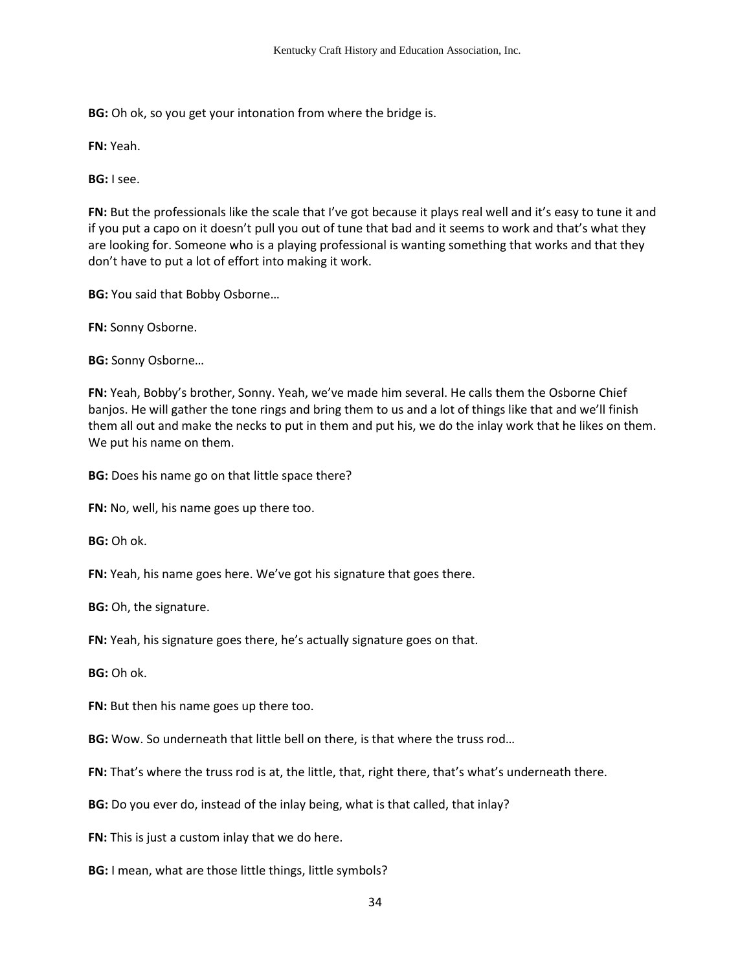**BG:** Oh ok, so you get your intonation from where the bridge is.

**FN:** Yeah.

**BG:** I see.

**FN:** But the professionals like the scale that I've got because it plays real well and it's easy to tune it and if you put a capo on it doesn't pull you out of tune that bad and it seems to work and that's what they are looking for. Someone who is a playing professional is wanting something that works and that they don't have to put a lot of effort into making it work.

**BG:** You said that Bobby Osborne…

**FN:** Sonny Osborne.

**BG:** Sonny Osborne…

**FN:** Yeah, Bobby's brother, Sonny. Yeah, we've made him several. He calls them the Osborne Chief banjos. He will gather the tone rings and bring them to us and a lot of things like that and we'll finish them all out and make the necks to put in them and put his, we do the inlay work that he likes on them. We put his name on them.

**BG:** Does his name go on that little space there?

**FN:** No, well, his name goes up there too.

**BG:** Oh ok.

**FN:** Yeah, his name goes here. We've got his signature that goes there.

**BG:** Oh, the signature.

**FN:** Yeah, his signature goes there, he's actually signature goes on that.

**BG:** Oh ok.

**FN:** But then his name goes up there too.

**BG:** Wow. So underneath that little bell on there, is that where the truss rod…

**FN:** That's where the truss rod is at, the little, that, right there, that's what's underneath there.

**BG:** Do you ever do, instead of the inlay being, what is that called, that inlay?

**FN:** This is just a custom inlay that we do here.

**BG:** I mean, what are those little things, little symbols?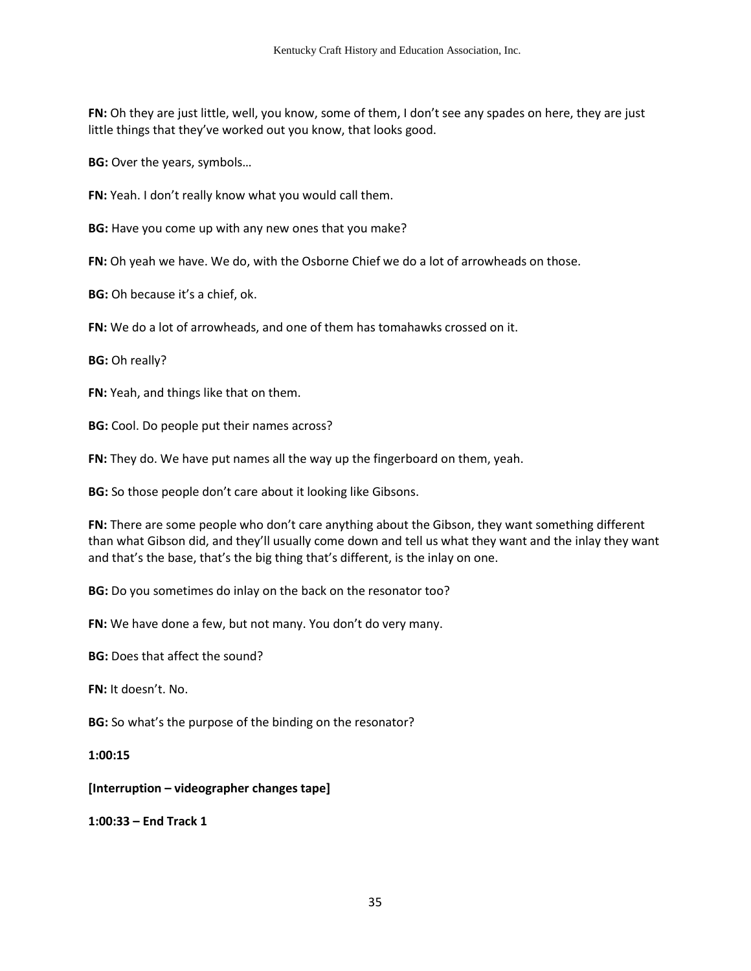**FN:** Oh they are just little, well, you know, some of them, I don't see any spades on here, they are just little things that they've worked out you know, that looks good.

**BG:** Over the years, symbols…

**FN:** Yeah. I don't really know what you would call them.

**BG:** Have you come up with any new ones that you make?

**FN:** Oh yeah we have. We do, with the Osborne Chief we do a lot of arrowheads on those.

**BG:** Oh because it's a chief, ok.

**FN:** We do a lot of arrowheads, and one of them has tomahawks crossed on it.

**BG:** Oh really?

**FN:** Yeah, and things like that on them.

**BG:** Cool. Do people put their names across?

**FN:** They do. We have put names all the way up the fingerboard on them, yeah.

**BG:** So those people don't care about it looking like Gibsons.

**FN:** There are some people who don't care anything about the Gibson, they want something different than what Gibson did, and they'll usually come down and tell us what they want and the inlay they want and that's the base, that's the big thing that's different, is the inlay on one.

**BG:** Do you sometimes do inlay on the back on the resonator too?

**FN:** We have done a few, but not many. You don't do very many.

**BG:** Does that affect the sound?

**FN:** It doesn't. No.

**BG:** So what's the purpose of the binding on the resonator?

**1:00:15**

**[Interruption – videographer changes tape]** 

**1:00:33 – End Track 1**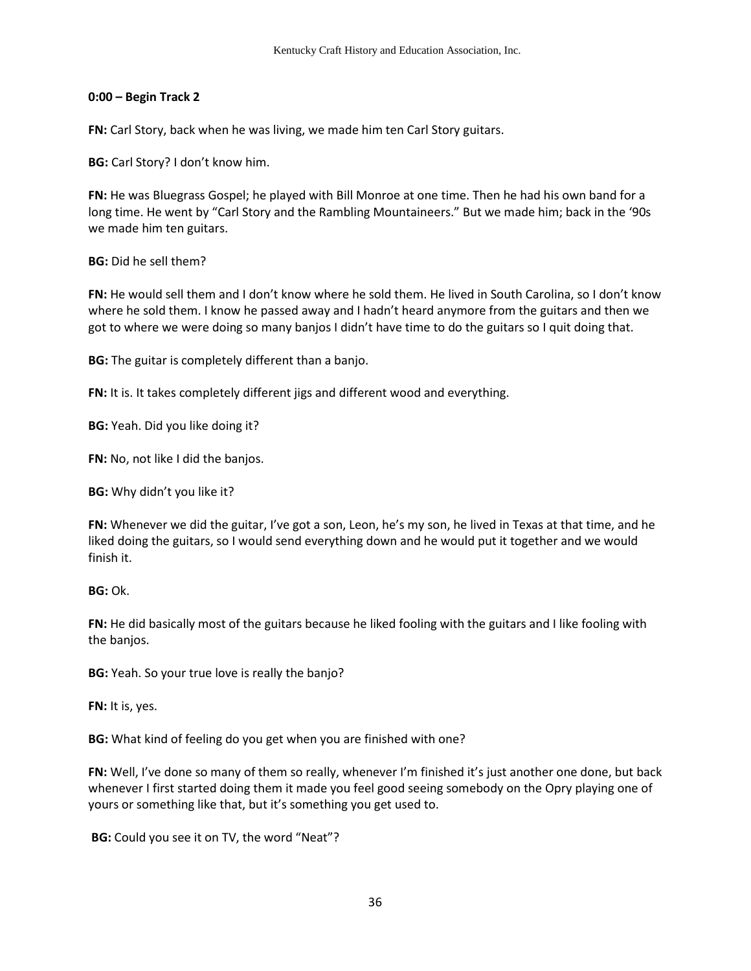### **0:00 – Begin Track 2**

**FN:** Carl Story, back when he was living, we made him ten Carl Story guitars.

**BG:** Carl Story? I don't know him.

**FN:** He was Bluegrass Gospel; he played with Bill Monroe at one time. Then he had his own band for a long time. He went by "Carl Story and the Rambling Mountaineers." But we made him; back in the '90s we made him ten guitars.

**BG:** Did he sell them?

**FN:** He would sell them and I don't know where he sold them. He lived in South Carolina, so I don't know where he sold them. I know he passed away and I hadn't heard anymore from the guitars and then we got to where we were doing so many banjos I didn't have time to do the guitars so I quit doing that.

**BG:** The guitar is completely different than a banjo.

**FN:** It is. It takes completely different jigs and different wood and everything.

**BG:** Yeah. Did you like doing it?

**FN:** No, not like I did the banjos.

**BG:** Why didn't you like it?

**FN:** Whenever we did the guitar, I've got a son, Leon, he's my son, he lived in Texas at that time, and he liked doing the guitars, so I would send everything down and he would put it together and we would finish it.

**BG:** Ok.

**FN:** He did basically most of the guitars because he liked fooling with the guitars and I like fooling with the banjos.

**BG:** Yeah. So your true love is really the banjo?

**FN:** It is, yes.

**BG:** What kind of feeling do you get when you are finished with one?

**FN:** Well, I've done so many of them so really, whenever I'm finished it's just another one done, but back whenever I first started doing them it made you feel good seeing somebody on the Opry playing one of yours or something like that, but it's something you get used to.

**BG:** Could you see it on TV, the word "Neat"?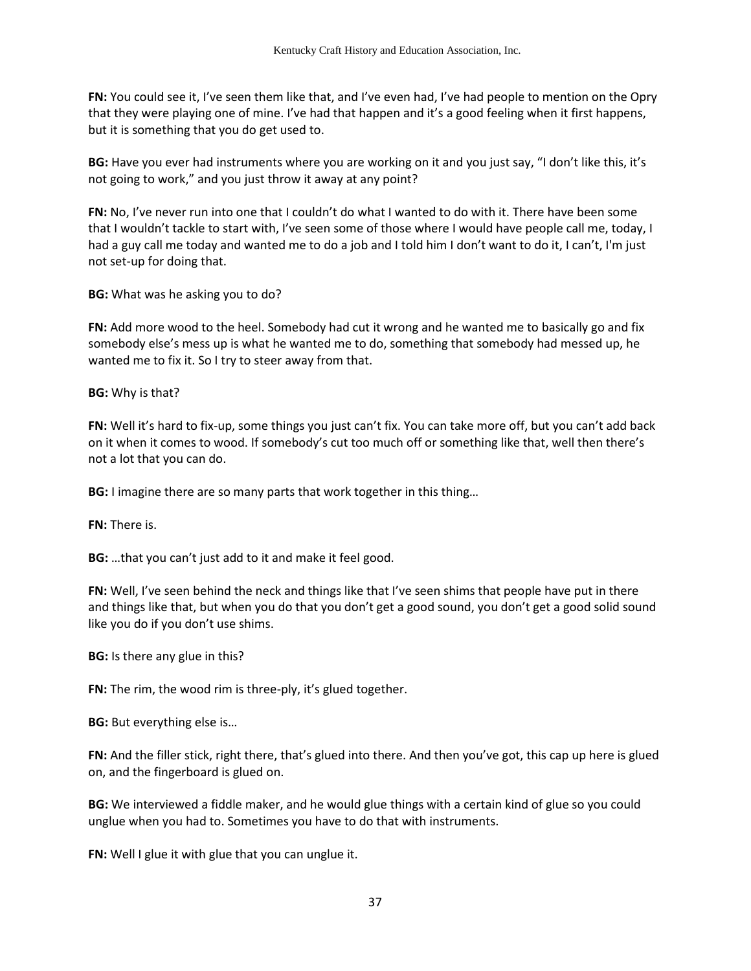**FN:** You could see it, I've seen them like that, and I've even had, I've had people to mention on the Opry that they were playing one of mine. I've had that happen and it's a good feeling when it first happens, but it is something that you do get used to.

**BG:** Have you ever had instruments where you are working on it and you just say, "I don't like this, it's not going to work," and you just throw it away at any point?

**FN:** No, I've never run into one that I couldn't do what I wanted to do with it. There have been some that I wouldn't tackle to start with, I've seen some of those where I would have people call me, today, I had a guy call me today and wanted me to do a job and I told him I don't want to do it, I can't, I'm just not set-up for doing that.

**BG:** What was he asking you to do?

**FN:** Add more wood to the heel. Somebody had cut it wrong and he wanted me to basically go and fix somebody else's mess up is what he wanted me to do, something that somebody had messed up, he wanted me to fix it. So I try to steer away from that.

**BG:** Why is that?

**FN:** Well it's hard to fix-up, some things you just can't fix. You can take more off, but you can't add back on it when it comes to wood. If somebody's cut too much off or something like that, well then there's not a lot that you can do.

**BG:** I imagine there are so many parts that work together in this thing…

**FN:** There is.

**BG:** …that you can't just add to it and make it feel good.

**FN:** Well, I've seen behind the neck and things like that I've seen shims that people have put in there and things like that, but when you do that you don't get a good sound, you don't get a good solid sound like you do if you don't use shims.

**BG:** Is there any glue in this?

**FN:** The rim, the wood rim is three-ply, it's glued together.

**BG:** But everything else is…

**FN:** And the filler stick, right there, that's glued into there. And then you've got, this cap up here is glued on, and the fingerboard is glued on.

**BG:** We interviewed a fiddle maker, and he would glue things with a certain kind of glue so you could unglue when you had to. Sometimes you have to do that with instruments.

**FN:** Well I glue it with glue that you can unglue it.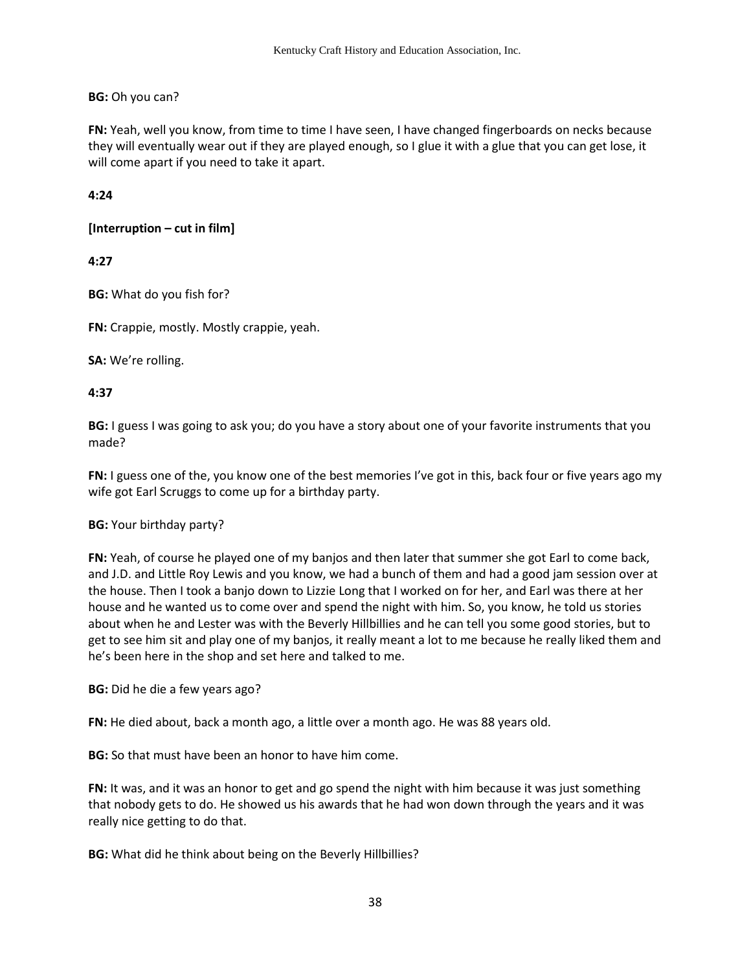# **BG:** Oh you can?

**FN:** Yeah, well you know, from time to time I have seen, I have changed fingerboards on necks because they will eventually wear out if they are played enough, so I glue it with a glue that you can get lose, it will come apart if you need to take it apart.

# **4:24**

# **[Interruption – cut in film]**

# **4:27**

**BG:** What do you fish for?

**FN:** Crappie, mostly. Mostly crappie, yeah.

**SA:** We're rolling.

# **4:37**

**BG:** I guess I was going to ask you; do you have a story about one of your favorite instruments that you made?

**FN:** I guess one of the, you know one of the best memories I've got in this, back four or five years ago my wife got Earl Scruggs to come up for a birthday party.

## **BG:** Your birthday party?

**FN:** Yeah, of course he played one of my banjos and then later that summer she got Earl to come back, and J.D. and Little Roy Lewis and you know, we had a bunch of them and had a good jam session over at the house. Then I took a banjo down to Lizzie Long that I worked on for her, and Earl was there at her house and he wanted us to come over and spend the night with him. So, you know, he told us stories about when he and Lester was with the Beverly Hillbillies and he can tell you some good stories, but to get to see him sit and play one of my banjos, it really meant a lot to me because he really liked them and he's been here in the shop and set here and talked to me.

**BG:** Did he die a few years ago?

**FN:** He died about, back a month ago, a little over a month ago. He was 88 years old.

**BG:** So that must have been an honor to have him come.

**FN:** It was, and it was an honor to get and go spend the night with him because it was just something that nobody gets to do. He showed us his awards that he had won down through the years and it was really nice getting to do that.

**BG:** What did he think about being on the Beverly Hillbillies?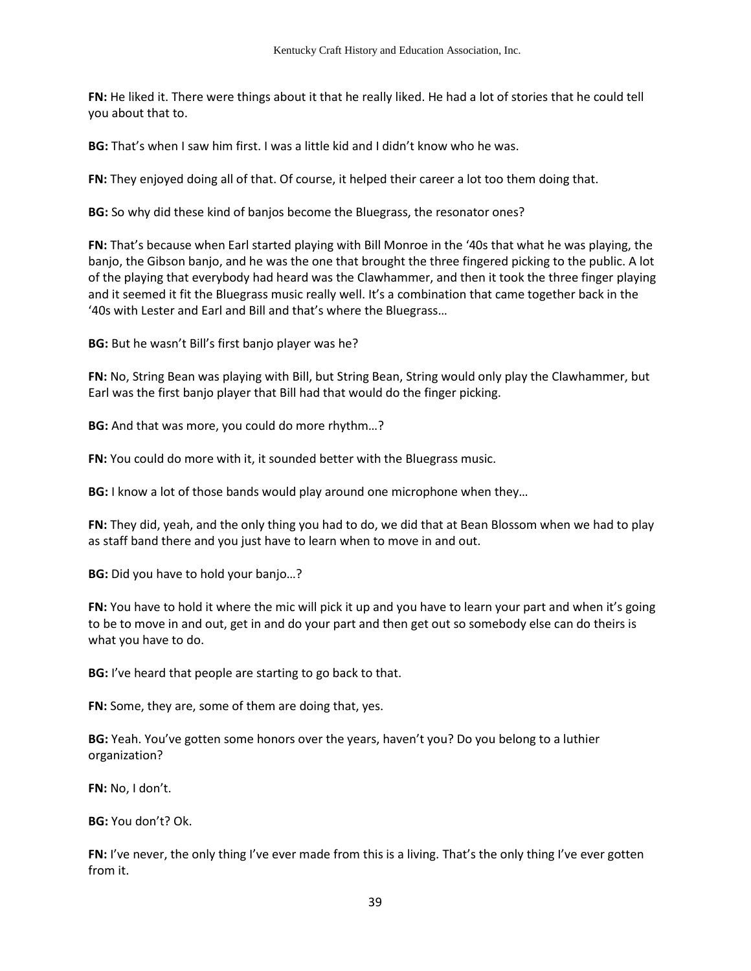**FN:** He liked it. There were things about it that he really liked. He had a lot of stories that he could tell you about that to.

**BG:** That's when I saw him first. I was a little kid and I didn't know who he was.

**FN:** They enjoyed doing all of that. Of course, it helped their career a lot too them doing that.

**BG:** So why did these kind of banjos become the Bluegrass, the resonator ones?

**FN:** That's because when Earl started playing with Bill Monroe in the '40s that what he was playing, the banjo, the Gibson banjo, and he was the one that brought the three fingered picking to the public. A lot of the playing that everybody had heard was the Clawhammer, and then it took the three finger playing and it seemed it fit the Bluegrass music really well. It's a combination that came together back in the '40s with Lester and Earl and Bill and that's where the Bluegrass…

**BG:** But he wasn't Bill's first banjo player was he?

**FN:** No, String Bean was playing with Bill, but String Bean, String would only play the Clawhammer, but Earl was the first banjo player that Bill had that would do the finger picking.

**BG:** And that was more, you could do more rhythm…?

**FN:** You could do more with it, it sounded better with the Bluegrass music.

**BG:** I know a lot of those bands would play around one microphone when they…

**FN:** They did, yeah, and the only thing you had to do, we did that at Bean Blossom when we had to play as staff band there and you just have to learn when to move in and out.

**BG:** Did you have to hold your banjo…?

**FN:** You have to hold it where the mic will pick it up and you have to learn your part and when it's going to be to move in and out, get in and do your part and then get out so somebody else can do theirs is what you have to do.

**BG:** I've heard that people are starting to go back to that.

**FN:** Some, they are, some of them are doing that, yes.

**BG:** Yeah. You've gotten some honors over the years, haven't you? Do you belong to a luthier organization?

**FN:** No, I don't.

**BG:** You don't? Ok.

**FN:** I've never, the only thing I've ever made from this is a living. That's the only thing I've ever gotten from it.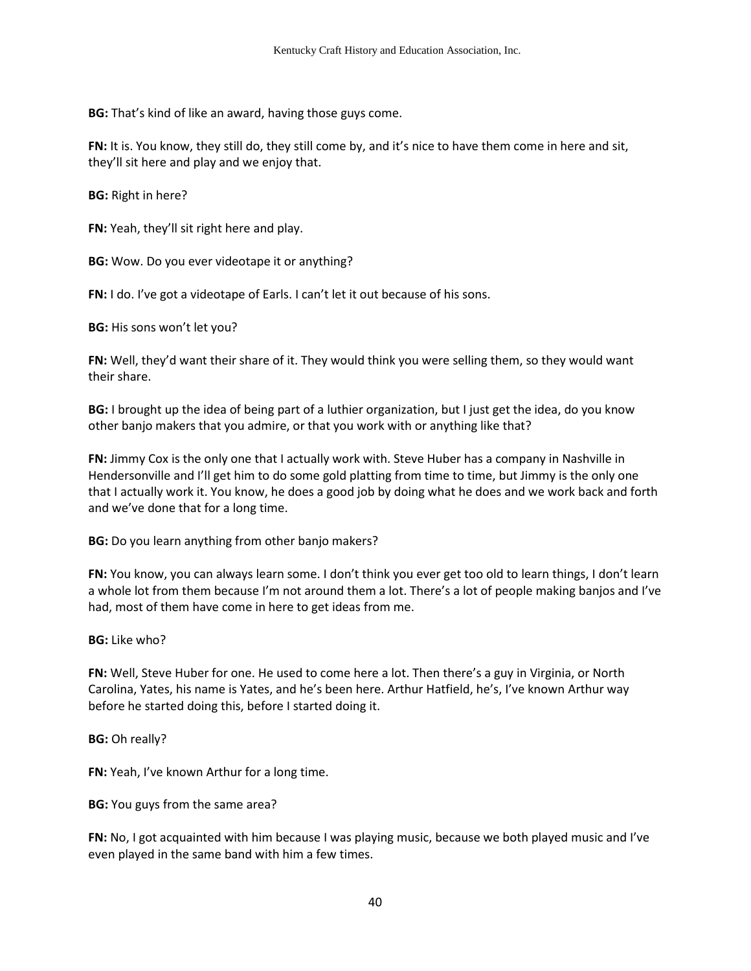**BG:** That's kind of like an award, having those guys come.

**FN:** It is. You know, they still do, they still come by, and it's nice to have them come in here and sit, they'll sit here and play and we enjoy that.

**BG:** Right in here?

**FN:** Yeah, they'll sit right here and play.

**BG:** Wow. Do you ever videotape it or anything?

**FN:** I do. I've got a videotape of Earls. I can't let it out because of his sons.

**BG:** His sons won't let you?

**FN:** Well, they'd want their share of it. They would think you were selling them, so they would want their share.

**BG:** I brought up the idea of being part of a luthier organization, but I just get the idea, do you know other banjo makers that you admire, or that you work with or anything like that?

**FN:** Jimmy Cox is the only one that I actually work with. Steve Huber has a company in Nashville in Hendersonville and I'll get him to do some gold platting from time to time, but Jimmy is the only one that I actually work it. You know, he does a good job by doing what he does and we work back and forth and we've done that for a long time.

**BG:** Do you learn anything from other banjo makers?

**FN:** You know, you can always learn some. I don't think you ever get too old to learn things, I don't learn a whole lot from them because I'm not around them a lot. There's a lot of people making banjos and I've had, most of them have come in here to get ideas from me.

**BG:** Like who?

**FN:** Well, Steve Huber for one. He used to come here a lot. Then there's a guy in Virginia, or North Carolina, Yates, his name is Yates, and he's been here. Arthur Hatfield, he's, I've known Arthur way before he started doing this, before I started doing it.

**BG:** Oh really?

**FN:** Yeah, I've known Arthur for a long time.

**BG:** You guys from the same area?

**FN:** No, I got acquainted with him because I was playing music, because we both played music and I've even played in the same band with him a few times.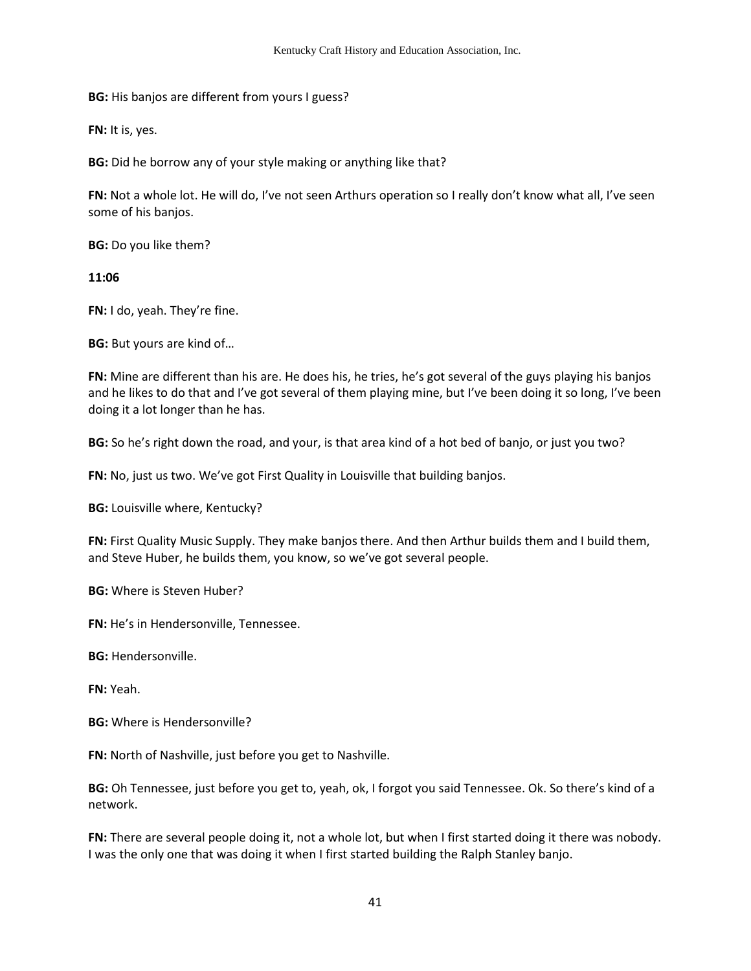**BG:** His banjos are different from yours I guess?

**FN:** It is, yes.

**BG:** Did he borrow any of your style making or anything like that?

**FN:** Not a whole lot. He will do, I've not seen Arthurs operation so I really don't know what all, I've seen some of his banjos.

**BG:** Do you like them?

**11:06** 

**FN:** I do, yeah. They're fine.

**BG:** But yours are kind of…

**FN:** Mine are different than his are. He does his, he tries, he's got several of the guys playing his banjos and he likes to do that and I've got several of them playing mine, but I've been doing it so long, I've been doing it a lot longer than he has.

**BG:** So he's right down the road, and your, is that area kind of a hot bed of banjo, or just you two?

**FN:** No, just us two. We've got First Quality in Louisville that building banjos.

**BG:** Louisville where, Kentucky?

**FN:** First Quality Music Supply. They make banjos there. And then Arthur builds them and I build them, and Steve Huber, he builds them, you know, so we've got several people.

**BG:** Where is Steven Huber?

**FN:** He's in Hendersonville, Tennessee.

**BG:** Hendersonville.

**FN:** Yeah.

**BG:** Where is Hendersonville?

**FN:** North of Nashville, just before you get to Nashville.

**BG:** Oh Tennessee, just before you get to, yeah, ok, I forgot you said Tennessee. Ok. So there's kind of a network.

**FN:** There are several people doing it, not a whole lot, but when I first started doing it there was nobody. I was the only one that was doing it when I first started building the Ralph Stanley banjo.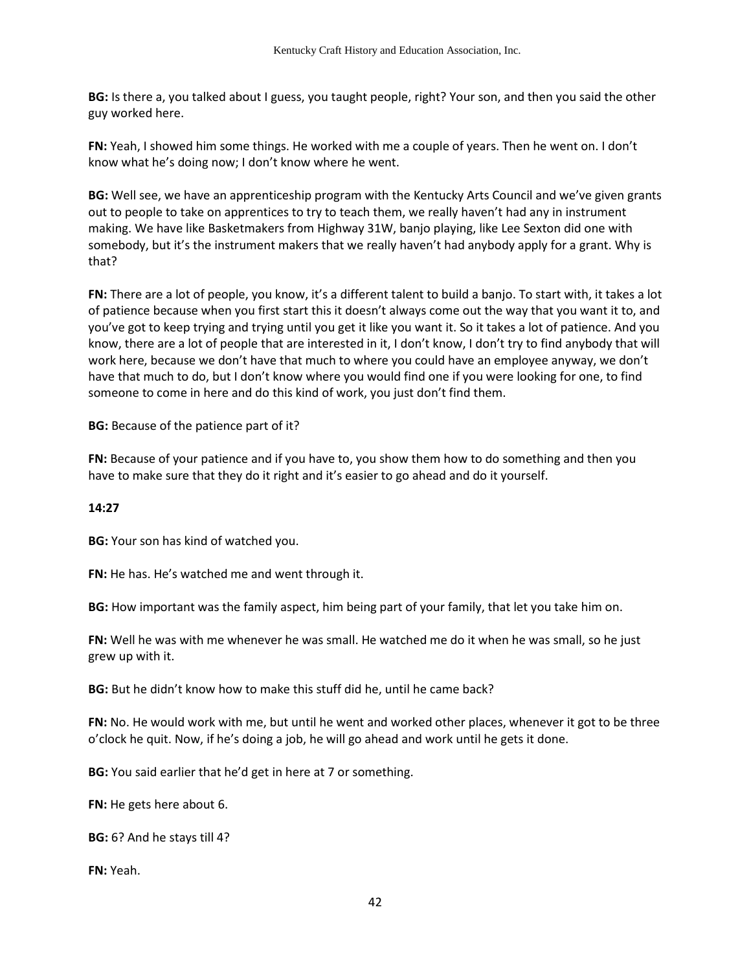**BG:** Is there a, you talked about I guess, you taught people, right? Your son, and then you said the other guy worked here.

**FN:** Yeah, I showed him some things. He worked with me a couple of years. Then he went on. I don't know what he's doing now; I don't know where he went.

**BG:** Well see, we have an apprenticeship program with the Kentucky Arts Council and we've given grants out to people to take on apprentices to try to teach them, we really haven't had any in instrument making. We have like Basketmakers from Highway 31W, banjo playing, like Lee Sexton did one with somebody, but it's the instrument makers that we really haven't had anybody apply for a grant. Why is that?

**FN:** There are a lot of people, you know, it's a different talent to build a banjo. To start with, it takes a lot of patience because when you first start this it doesn't always come out the way that you want it to, and you've got to keep trying and trying until you get it like you want it. So it takes a lot of patience. And you know, there are a lot of people that are interested in it, I don't know, I don't try to find anybody that will work here, because we don't have that much to where you could have an employee anyway, we don't have that much to do, but I don't know where you would find one if you were looking for one, to find someone to come in here and do this kind of work, you just don't find them.

**BG:** Because of the patience part of it?

**FN:** Because of your patience and if you have to, you show them how to do something and then you have to make sure that they do it right and it's easier to go ahead and do it yourself.

## **14:27**

**BG:** Your son has kind of watched you.

**FN:** He has. He's watched me and went through it.

**BG:** How important was the family aspect, him being part of your family, that let you take him on.

**FN:** Well he was with me whenever he was small. He watched me do it when he was small, so he just grew up with it.

**BG:** But he didn't know how to make this stuff did he, until he came back?

**FN:** No. He would work with me, but until he went and worked other places, whenever it got to be three o'clock he quit. Now, if he's doing a job, he will go ahead and work until he gets it done.

**BG:** You said earlier that he'd get in here at 7 or something.

**FN:** He gets here about 6.

**BG:** 6? And he stays till 4?

**FN:** Yeah.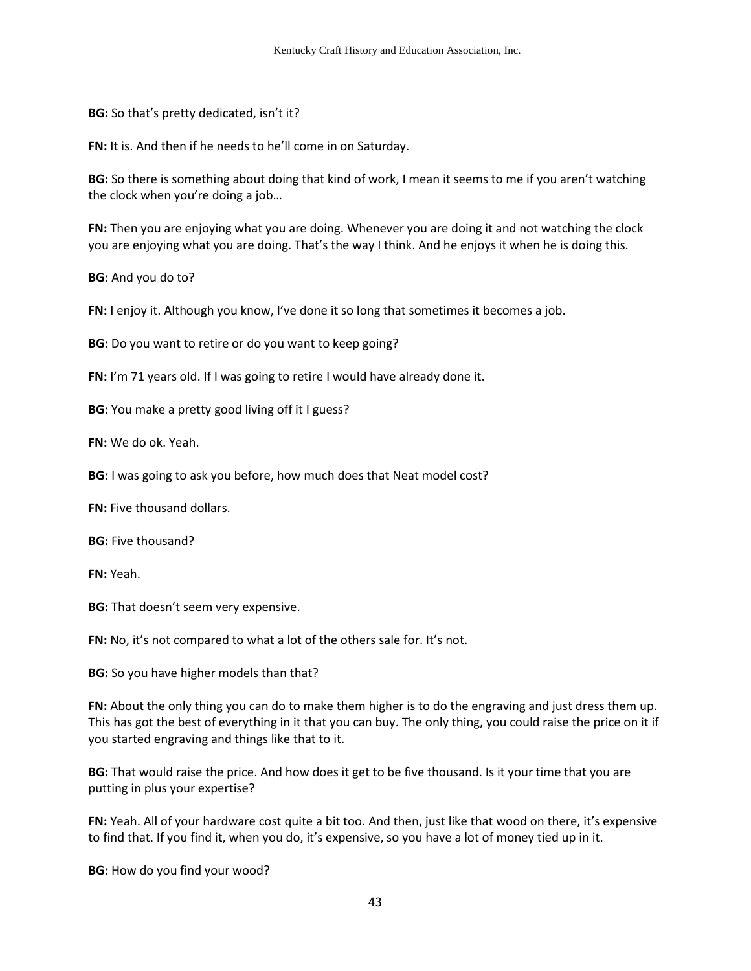**BG:** So that's pretty dedicated, isn't it?

**FN:** It is. And then if he needs to he'll come in on Saturday.

**BG:** So there is something about doing that kind of work, I mean it seems to me if you aren't watching the clock when you're doing a job…

**FN:** Then you are enjoying what you are doing. Whenever you are doing it and not watching the clock you are enjoying what you are doing. That's the way I think. And he enjoys it when he is doing this.

**BG:** And you do to?

**FN:** I enjoy it. Although you know, I've done it so long that sometimes it becomes a job.

**BG:** Do you want to retire or do you want to keep going?

**FN:** I'm 71 years old. If I was going to retire I would have already done it.

**BG:** You make a pretty good living off it I guess?

**FN:** We do ok. Yeah.

**BG:** I was going to ask you before, how much does that Neat model cost?

**FN:** Five thousand dollars.

**BG:** Five thousand?

**FN:** Yeah.

**BG:** That doesn't seem very expensive.

**FN:** No, it's not compared to what a lot of the others sale for. It's not.

**BG:** So you have higher models than that?

**FN:** About the only thing you can do to make them higher is to do the engraving and just dress them up. This has got the best of everything in it that you can buy. The only thing, you could raise the price on it if you started engraving and things like that to it.

**BG:** That would raise the price. And how does it get to be five thousand. Is it your time that you are putting in plus your expertise?

**FN:** Yeah. All of your hardware cost quite a bit too. And then, just like that wood on there, it's expensive to find that. If you find it, when you do, it's expensive, so you have a lot of money tied up in it.

**BG:** How do you find your wood?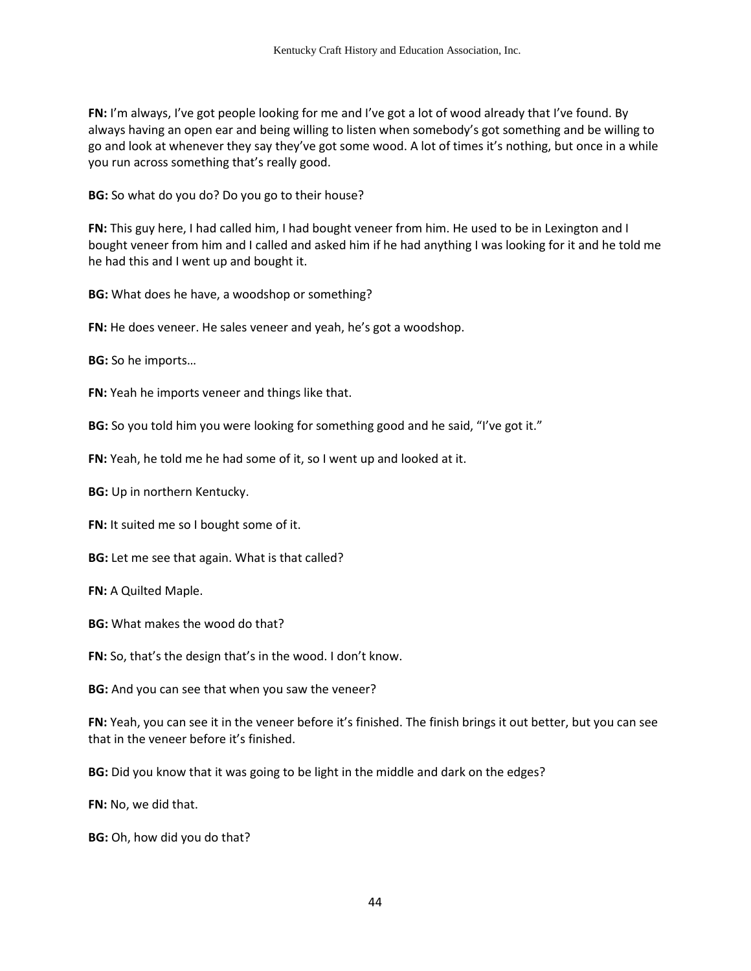**FN:** I'm always, I've got people looking for me and I've got a lot of wood already that I've found. By always having an open ear and being willing to listen when somebody's got something and be willing to go and look at whenever they say they've got some wood. A lot of times it's nothing, but once in a while you run across something that's really good.

**BG:** So what do you do? Do you go to their house?

**FN:** This guy here, I had called him, I had bought veneer from him. He used to be in Lexington and I bought veneer from him and I called and asked him if he had anything I was looking for it and he told me he had this and I went up and bought it.

**BG:** What does he have, a woodshop or something?

**FN:** He does veneer. He sales veneer and yeah, he's got a woodshop.

**BG:** So he imports…

**FN:** Yeah he imports veneer and things like that.

**BG:** So you told him you were looking for something good and he said, "I've got it."

**FN:** Yeah, he told me he had some of it, so I went up and looked at it.

**BG:** Up in northern Kentucky.

**FN:** It suited me so I bought some of it.

**BG:** Let me see that again. What is that called?

**FN:** A Quilted Maple.

**BG:** What makes the wood do that?

**FN:** So, that's the design that's in the wood. I don't know.

**BG:** And you can see that when you saw the veneer?

**FN:** Yeah, you can see it in the veneer before it's finished. The finish brings it out better, but you can see that in the veneer before it's finished.

**BG:** Did you know that it was going to be light in the middle and dark on the edges?

**FN:** No, we did that.

**BG:** Oh, how did you do that?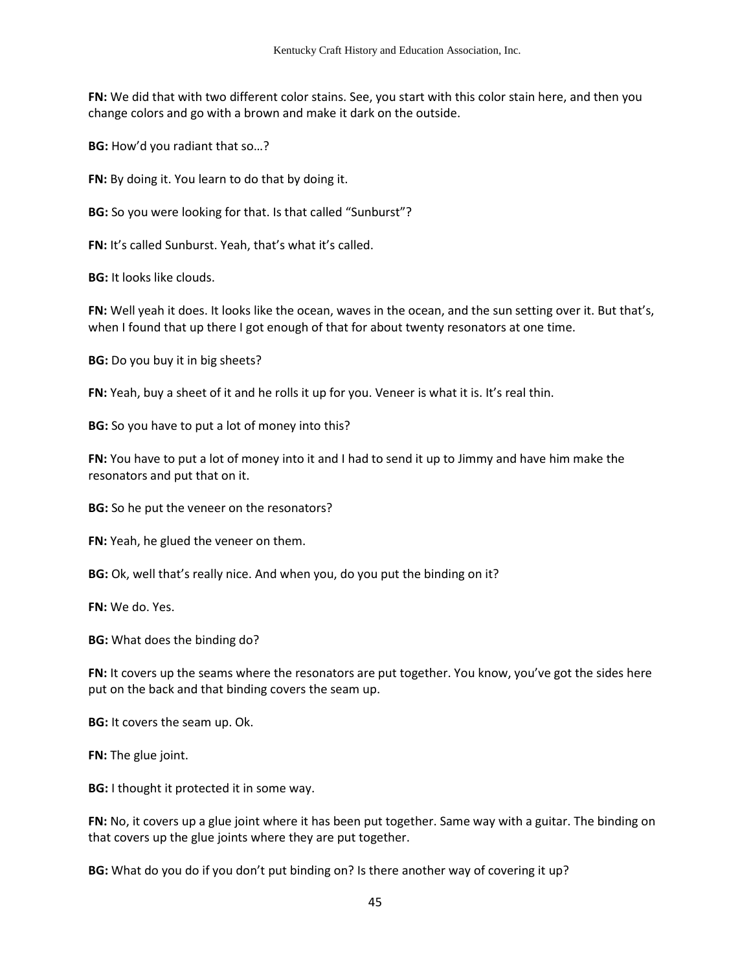**FN:** We did that with two different color stains. See, you start with this color stain here, and then you change colors and go with a brown and make it dark on the outside.

**BG:** How'd you radiant that so…?

**FN:** By doing it. You learn to do that by doing it.

**BG:** So you were looking for that. Is that called "Sunburst"?

**FN:** It's called Sunburst. Yeah, that's what it's called.

**BG:** It looks like clouds.

**FN:** Well yeah it does. It looks like the ocean, waves in the ocean, and the sun setting over it. But that's, when I found that up there I got enough of that for about twenty resonators at one time.

**BG:** Do you buy it in big sheets?

**FN:** Yeah, buy a sheet of it and he rolls it up for you. Veneer is what it is. It's real thin.

**BG:** So you have to put a lot of money into this?

**FN:** You have to put a lot of money into it and I had to send it up to Jimmy and have him make the resonators and put that on it.

**BG:** So he put the veneer on the resonators?

**FN:** Yeah, he glued the veneer on them.

**BG:** Ok, well that's really nice. And when you, do you put the binding on it?

**FN:** We do. Yes.

**BG:** What does the binding do?

**FN:** It covers up the seams where the resonators are put together. You know, you've got the sides here put on the back and that binding covers the seam up.

**BG:** It covers the seam up. Ok.

**FN:** The glue joint.

**BG:** I thought it protected it in some way.

**FN:** No, it covers up a glue joint where it has been put together. Same way with a guitar. The binding on that covers up the glue joints where they are put together.

**BG:** What do you do if you don't put binding on? Is there another way of covering it up?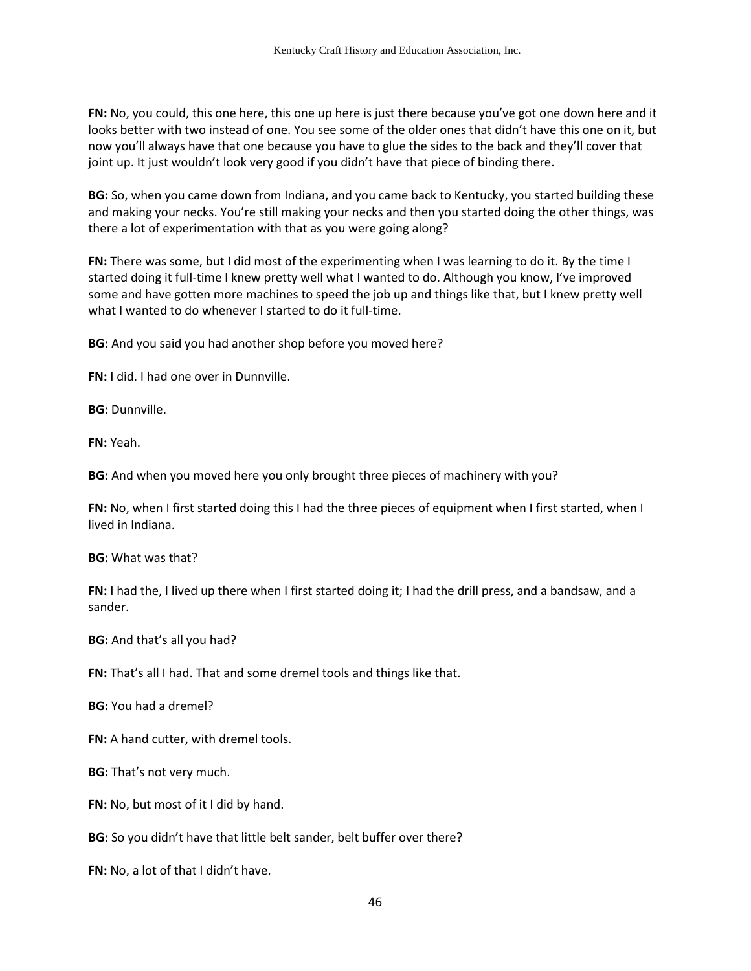**FN:** No, you could, this one here, this one up here is just there because you've got one down here and it looks better with two instead of one. You see some of the older ones that didn't have this one on it, but now you'll always have that one because you have to glue the sides to the back and they'll cover that joint up. It just wouldn't look very good if you didn't have that piece of binding there.

**BG:** So, when you came down from Indiana, and you came back to Kentucky, you started building these and making your necks. You're still making your necks and then you started doing the other things, was there a lot of experimentation with that as you were going along?

**FN:** There was some, but I did most of the experimenting when I was learning to do it. By the time I started doing it full-time I knew pretty well what I wanted to do. Although you know, I've improved some and have gotten more machines to speed the job up and things like that, but I knew pretty well what I wanted to do whenever I started to do it full-time.

**BG:** And you said you had another shop before you moved here?

**FN:** I did. I had one over in Dunnville.

**BG:** Dunnville.

**FN:** Yeah.

**BG:** And when you moved here you only brought three pieces of machinery with you?

**FN:** No, when I first started doing this I had the three pieces of equipment when I first started, when I lived in Indiana.

**BG:** What was that?

**FN:** I had the, I lived up there when I first started doing it; I had the drill press, and a bandsaw, and a sander.

**BG:** And that's all you had?

**FN:** That's all I had. That and some dremel tools and things like that.

**BG:** You had a dremel?

**FN:** A hand cutter, with dremel tools.

**BG:** That's not very much.

**FN:** No, but most of it I did by hand.

**BG:** So you didn't have that little belt sander, belt buffer over there?

**FN:** No, a lot of that I didn't have.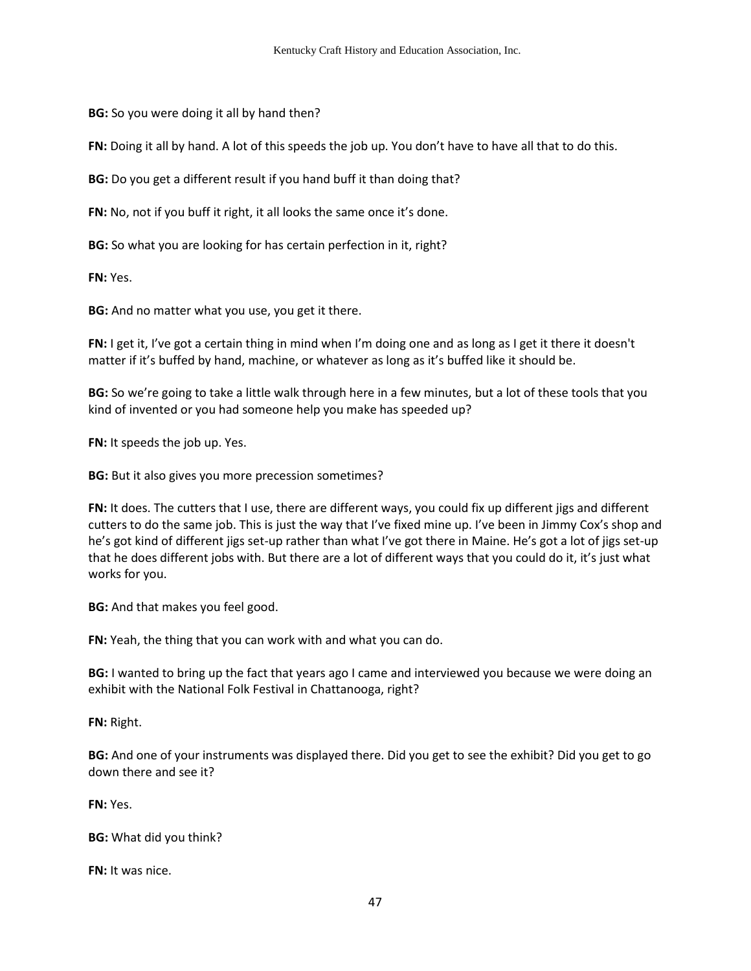**BG:** So you were doing it all by hand then?

**FN:** Doing it all by hand. A lot of this speeds the job up. You don't have to have all that to do this.

**BG:** Do you get a different result if you hand buff it than doing that?

**FN:** No, not if you buff it right, it all looks the same once it's done.

**BG:** So what you are looking for has certain perfection in it, right?

**FN:** Yes.

**BG:** And no matter what you use, you get it there.

**FN:** I get it, I've got a certain thing in mind when I'm doing one and as long as I get it there it doesn't matter if it's buffed by hand, machine, or whatever as long as it's buffed like it should be.

**BG:** So we're going to take a little walk through here in a few minutes, but a lot of these tools that you kind of invented or you had someone help you make has speeded up?

**FN:** It speeds the job up. Yes.

**BG:** But it also gives you more precession sometimes?

**FN:** It does. The cutters that I use, there are different ways, you could fix up different jigs and different cutters to do the same job. This is just the way that I've fixed mine up. I've been in Jimmy Cox's shop and he's got kind of different jigs set-up rather than what I've got there in Maine. He's got a lot of jigs set-up that he does different jobs with. But there are a lot of different ways that you could do it, it's just what works for you.

**BG:** And that makes you feel good.

**FN:** Yeah, the thing that you can work with and what you can do.

**BG:** I wanted to bring up the fact that years ago I came and interviewed you because we were doing an exhibit with the National Folk Festival in Chattanooga, right?

**FN:** Right.

**BG:** And one of your instruments was displayed there. Did you get to see the exhibit? Did you get to go down there and see it?

**FN:** Yes.

**BG:** What did you think?

**FN:** It was nice.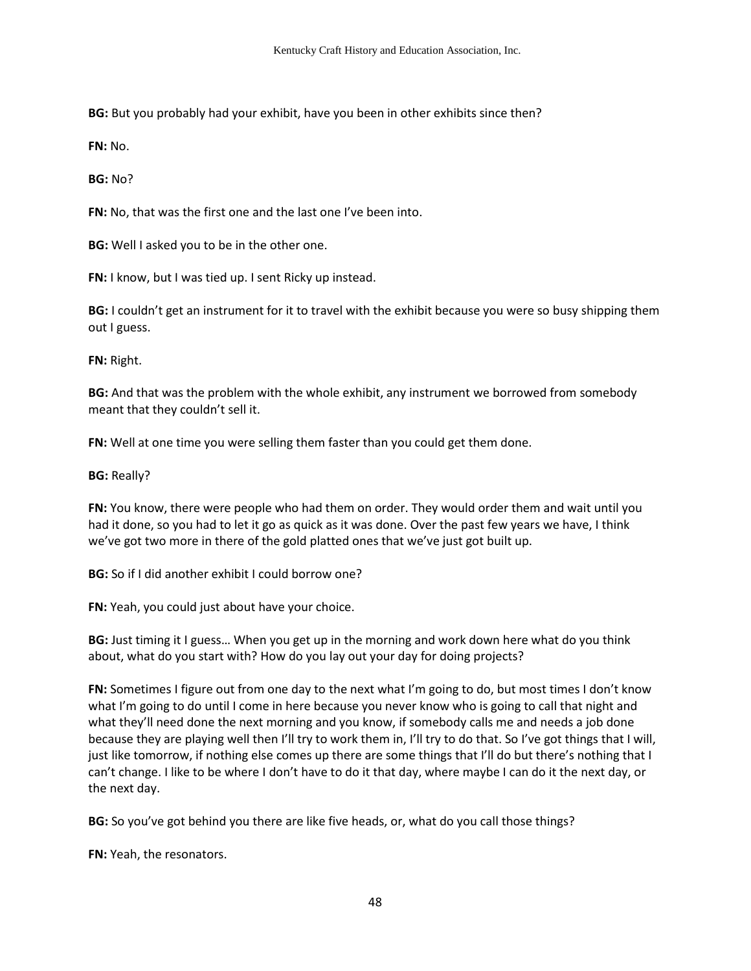**BG:** But you probably had your exhibit, have you been in other exhibits since then?

**FN:** No.

**BG:** No?

**FN:** No, that was the first one and the last one I've been into.

**BG:** Well I asked you to be in the other one.

**FN:** I know, but I was tied up. I sent Ricky up instead.

**BG:** I couldn't get an instrument for it to travel with the exhibit because you were so busy shipping them out I guess.

**FN:** Right.

**BG:** And that was the problem with the whole exhibit, any instrument we borrowed from somebody meant that they couldn't sell it.

**FN:** Well at one time you were selling them faster than you could get them done.

**BG:** Really?

**FN:** You know, there were people who had them on order. They would order them and wait until you had it done, so you had to let it go as quick as it was done. Over the past few years we have, I think we've got two more in there of the gold platted ones that we've just got built up.

**BG:** So if I did another exhibit I could borrow one?

**FN:** Yeah, you could just about have your choice.

**BG:** Just timing it I guess… When you get up in the morning and work down here what do you think about, what do you start with? How do you lay out your day for doing projects?

**FN:** Sometimes I figure out from one day to the next what I'm going to do, but most times I don't know what I'm going to do until I come in here because you never know who is going to call that night and what they'll need done the next morning and you know, if somebody calls me and needs a job done because they are playing well then I'll try to work them in, I'll try to do that. So I've got things that I will, just like tomorrow, if nothing else comes up there are some things that I'll do but there's nothing that I can't change. I like to be where I don't have to do it that day, where maybe I can do it the next day, or the next day.

**BG:** So you've got behind you there are like five heads, or, what do you call those things?

**FN:** Yeah, the resonators.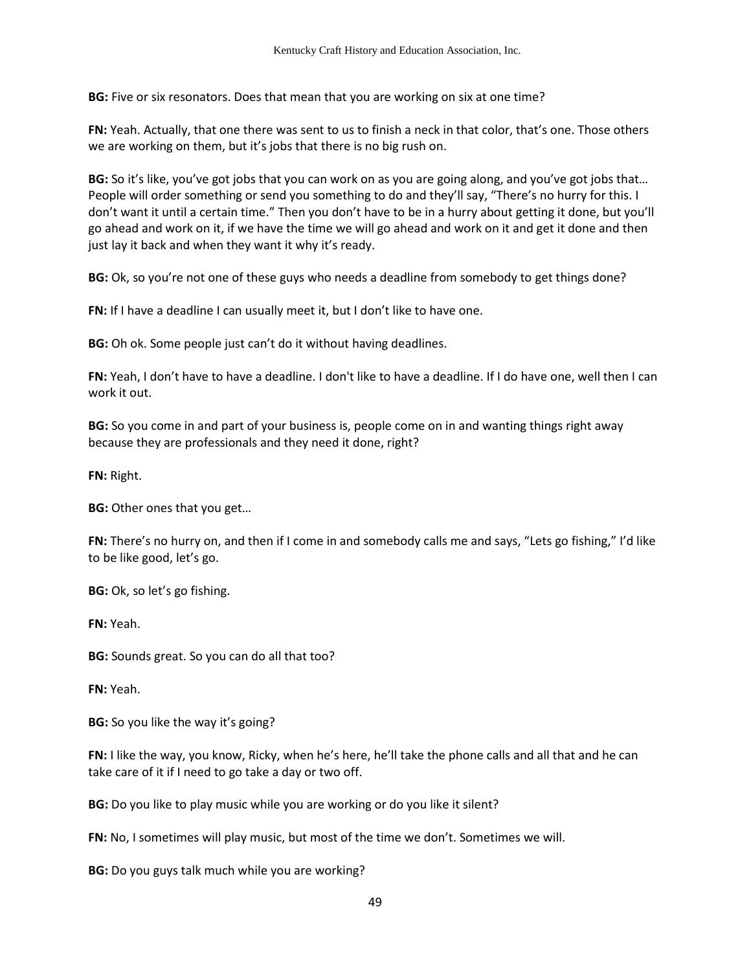**BG:** Five or six resonators. Does that mean that you are working on six at one time?

**FN:** Yeah. Actually, that one there was sent to us to finish a neck in that color, that's one. Those others we are working on them, but it's jobs that there is no big rush on.

**BG:** So it's like, you've got jobs that you can work on as you are going along, and you've got jobs that… People will order something or send you something to do and they'll say, "There's no hurry for this. I don't want it until a certain time." Then you don't have to be in a hurry about getting it done, but you'll go ahead and work on it, if we have the time we will go ahead and work on it and get it done and then just lay it back and when they want it why it's ready.

**BG:** Ok, so you're not one of these guys who needs a deadline from somebody to get things done?

**FN:** If I have a deadline I can usually meet it, but I don't like to have one.

**BG:** Oh ok. Some people just can't do it without having deadlines.

**FN:** Yeah, I don't have to have a deadline. I don't like to have a deadline. If I do have one, well then I can work it out.

**BG:** So you come in and part of your business is, people come on in and wanting things right away because they are professionals and they need it done, right?

**FN:** Right.

**BG:** Other ones that you get…

**FN:** There's no hurry on, and then if I come in and somebody calls me and says, "Lets go fishing," I'd like to be like good, let's go.

**BG:** Ok, so let's go fishing.

**FN:** Yeah.

**BG:** Sounds great. So you can do all that too?

**FN:** Yeah.

**BG:** So you like the way it's going?

**FN:** I like the way, you know, Ricky, when he's here, he'll take the phone calls and all that and he can take care of it if I need to go take a day or two off.

**BG:** Do you like to play music while you are working or do you like it silent?

**FN:** No, I sometimes will play music, but most of the time we don't. Sometimes we will.

**BG:** Do you guys talk much while you are working?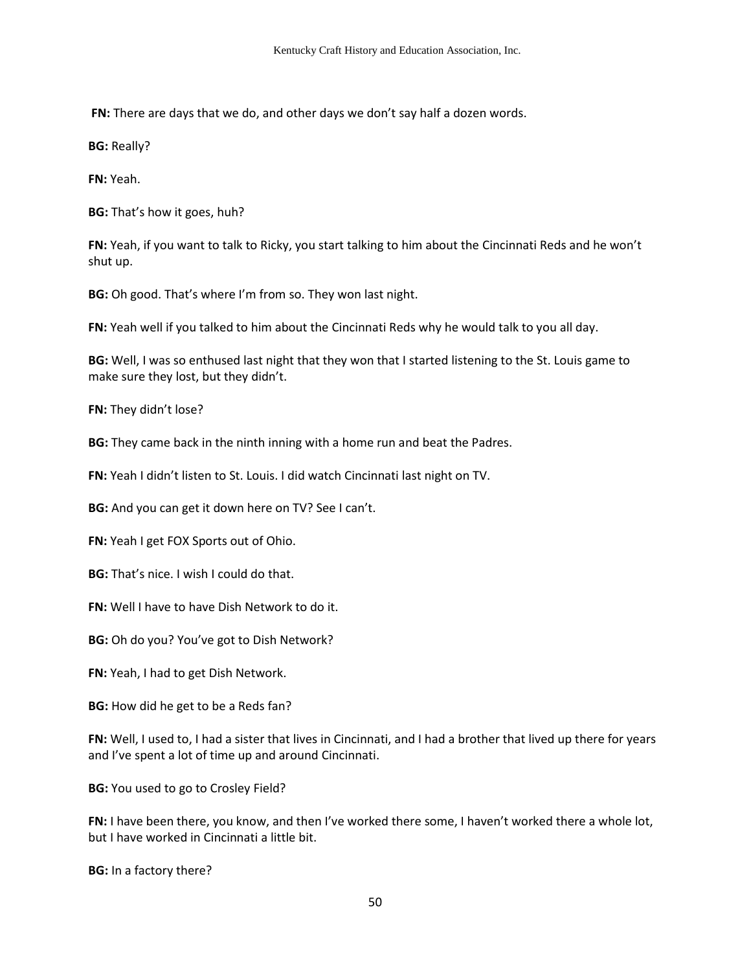**FN:** There are days that we do, and other days we don't say half a dozen words.

**BG:** Really?

**FN:** Yeah.

**BG:** That's how it goes, huh?

**FN:** Yeah, if you want to talk to Ricky, you start talking to him about the Cincinnati Reds and he won't shut up.

**BG:** Oh good. That's where I'm from so. They won last night.

**FN:** Yeah well if you talked to him about the Cincinnati Reds why he would talk to you all day.

**BG:** Well, I was so enthused last night that they won that I started listening to the St. Louis game to make sure they lost, but they didn't.

**FN:** They didn't lose?

**BG:** They came back in the ninth inning with a home run and beat the Padres.

**FN:** Yeah I didn't listen to St. Louis. I did watch Cincinnati last night on TV.

**BG:** And you can get it down here on TV? See I can't.

**FN:** Yeah I get FOX Sports out of Ohio.

**BG:** That's nice. I wish I could do that.

**FN:** Well I have to have Dish Network to do it.

**BG:** Oh do you? You've got to Dish Network?

**FN:** Yeah, I had to get Dish Network.

**BG:** How did he get to be a Reds fan?

**FN:** Well, I used to, I had a sister that lives in Cincinnati, and I had a brother that lived up there for years and I've spent a lot of time up and around Cincinnati.

**BG:** You used to go to Crosley Field?

FN: I have been there, you know, and then I've worked there some, I haven't worked there a whole lot, but I have worked in Cincinnati a little bit.

**BG:** In a factory there?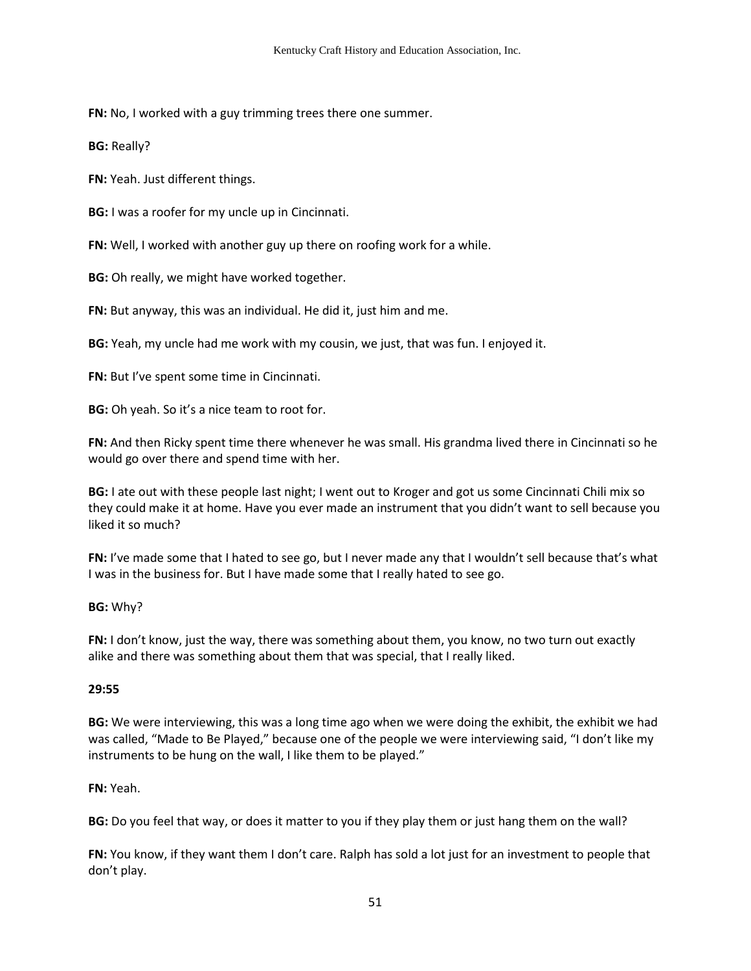**FN:** No, I worked with a guy trimming trees there one summer.

**BG:** Really?

**FN:** Yeah. Just different things.

**BG:** I was a roofer for my uncle up in Cincinnati.

**FN:** Well, I worked with another guy up there on roofing work for a while.

**BG:** Oh really, we might have worked together.

**FN:** But anyway, this was an individual. He did it, just him and me.

**BG:** Yeah, my uncle had me work with my cousin, we just, that was fun. I enjoyed it.

**FN:** But I've spent some time in Cincinnati.

**BG:** Oh yeah. So it's a nice team to root for.

**FN:** And then Ricky spent time there whenever he was small. His grandma lived there in Cincinnati so he would go over there and spend time with her.

**BG:** I ate out with these people last night; I went out to Kroger and got us some Cincinnati Chili mix so they could make it at home. Have you ever made an instrument that you didn't want to sell because you liked it so much?

**FN:** I've made some that I hated to see go, but I never made any that I wouldn't sell because that's what I was in the business for. But I have made some that I really hated to see go.

#### **BG:** Why?

**FN:** I don't know, just the way, there was something about them, you know, no two turn out exactly alike and there was something about them that was special, that I really liked.

#### **29:55**

**BG:** We were interviewing, this was a long time ago when we were doing the exhibit, the exhibit we had was called, "Made to Be Played," because one of the people we were interviewing said, "I don't like my instruments to be hung on the wall, I like them to be played."

### **FN:** Yeah.

**BG:** Do you feel that way, or does it matter to you if they play them or just hang them on the wall?

**FN:** You know, if they want them I don't care. Ralph has sold a lot just for an investment to people that don't play.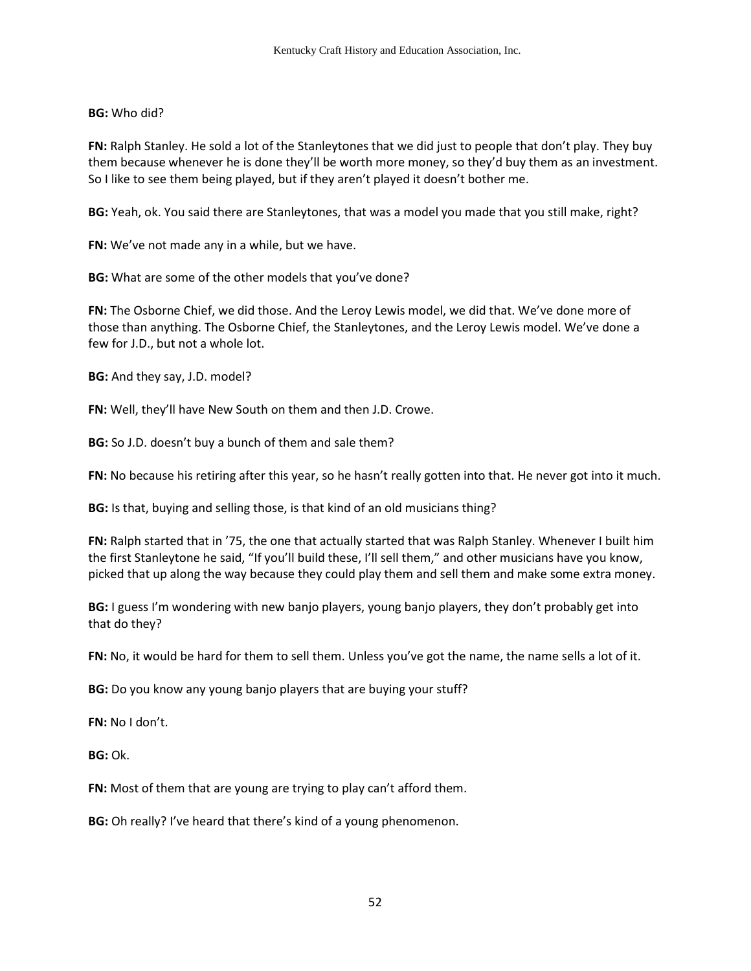# **BG:** Who did?

**FN:** Ralph Stanley. He sold a lot of the Stanleytones that we did just to people that don't play. They buy them because whenever he is done they'll be worth more money, so they'd buy them as an investment. So I like to see them being played, but if they aren't played it doesn't bother me.

**BG:** Yeah, ok. You said there are Stanleytones, that was a model you made that you still make, right?

**FN:** We've not made any in a while, but we have.

**BG:** What are some of the other models that you've done?

**FN:** The Osborne Chief, we did those. And the Leroy Lewis model, we did that. We've done more of those than anything. The Osborne Chief, the Stanleytones, and the Leroy Lewis model. We've done a few for J.D., but not a whole lot.

**BG:** And they say, J.D. model?

**FN:** Well, they'll have New South on them and then J.D. Crowe.

**BG:** So J.D. doesn't buy a bunch of them and sale them?

**FN:** No because his retiring after this year, so he hasn't really gotten into that. He never got into it much.

**BG:** Is that, buying and selling those, is that kind of an old musicians thing?

**FN:** Ralph started that in '75, the one that actually started that was Ralph Stanley. Whenever I built him the first Stanleytone he said, "If you'll build these, I'll sell them," and other musicians have you know, picked that up along the way because they could play them and sell them and make some extra money.

**BG:** I guess I'm wondering with new banjo players, young banjo players, they don't probably get into that do they?

**FN:** No, it would be hard for them to sell them. Unless you've got the name, the name sells a lot of it.

**BG:** Do you know any young banjo players that are buying your stuff?

**FN:** No I don't.

**BG:** Ok.

**FN:** Most of them that are young are trying to play can't afford them.

**BG:** Oh really? I've heard that there's kind of a young phenomenon.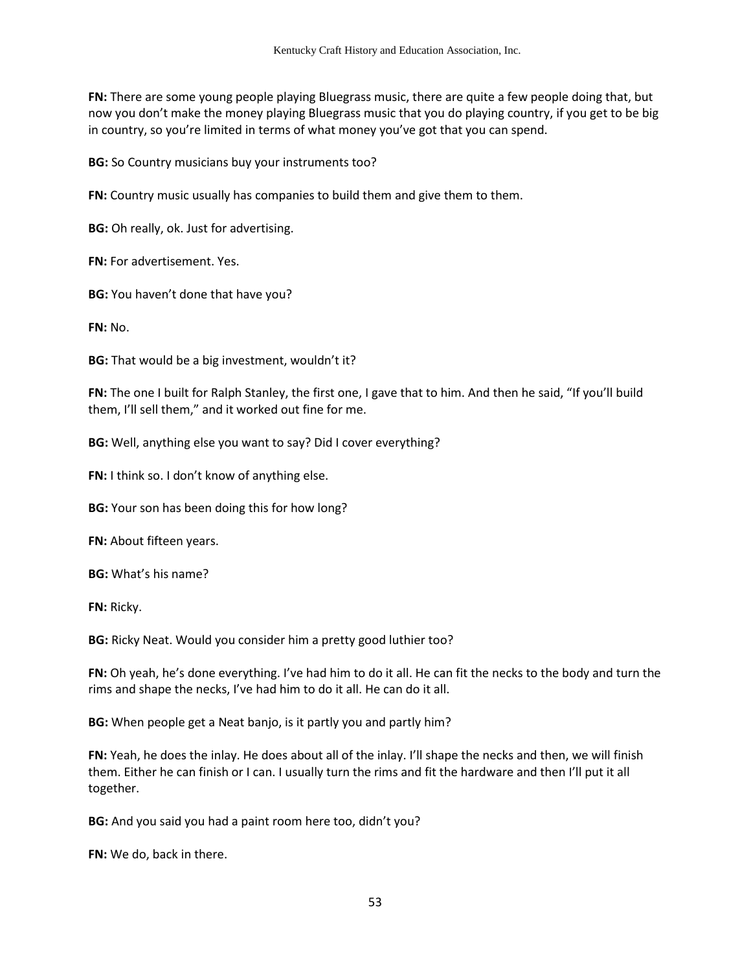**FN:** There are some young people playing Bluegrass music, there are quite a few people doing that, but now you don't make the money playing Bluegrass music that you do playing country, if you get to be big in country, so you're limited in terms of what money you've got that you can spend.

**BG:** So Country musicians buy your instruments too?

**FN:** Country music usually has companies to build them and give them to them.

**BG:** Oh really, ok. Just for advertising.

**FN:** For advertisement. Yes.

**BG:** You haven't done that have you?

**FN:** No.

**BG:** That would be a big investment, wouldn't it?

**FN:** The one I built for Ralph Stanley, the first one, I gave that to him. And then he said, "If you'll build them, I'll sell them," and it worked out fine for me.

**BG:** Well, anything else you want to say? Did I cover everything?

**FN:** I think so. I don't know of anything else.

**BG:** Your son has been doing this for how long?

**FN:** About fifteen years.

**BG:** What's his name?

**FN:** Ricky.

**BG:** Ricky Neat. Would you consider him a pretty good luthier too?

**FN:** Oh yeah, he's done everything. I've had him to do it all. He can fit the necks to the body and turn the rims and shape the necks, I've had him to do it all. He can do it all.

**BG:** When people get a Neat banjo, is it partly you and partly him?

**FN:** Yeah, he does the inlay. He does about all of the inlay. I'll shape the necks and then, we will finish them. Either he can finish or I can. I usually turn the rims and fit the hardware and then I'll put it all together.

**BG:** And you said you had a paint room here too, didn't you?

**FN:** We do, back in there.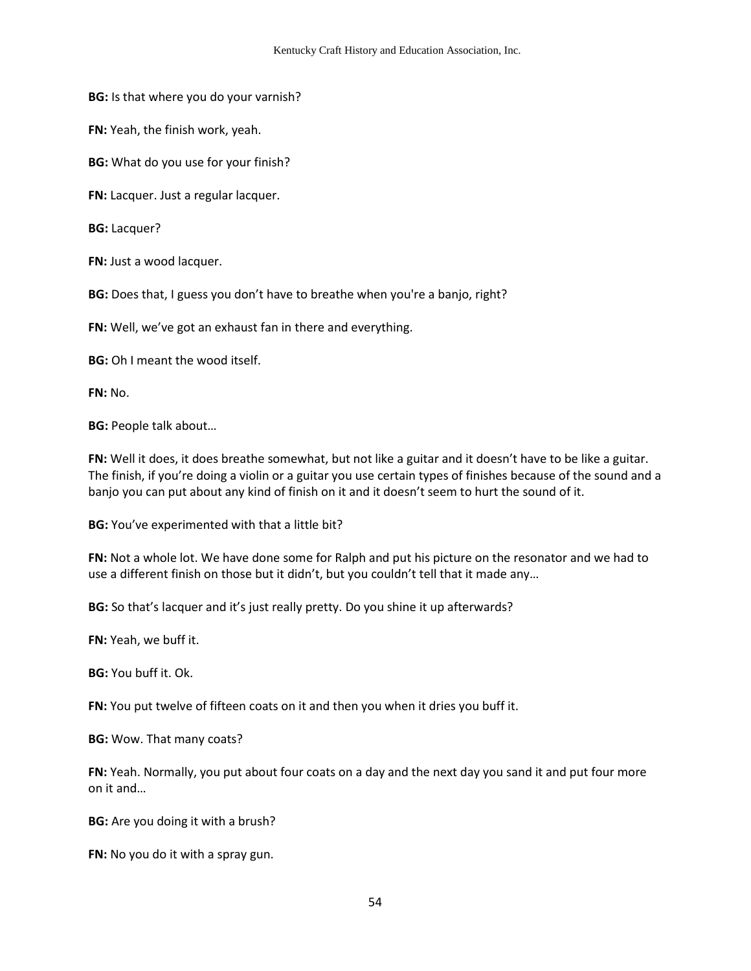**BG:** Is that where you do your varnish?

**FN:** Yeah, the finish work, yeah.

**BG:** What do you use for your finish?

**FN:** Lacquer. Just a regular lacquer.

**BG:** Lacquer?

**FN:** Just a wood lacquer.

**BG:** Does that, I guess you don't have to breathe when you're a banjo, right?

**FN:** Well, we've got an exhaust fan in there and everything.

**BG:** Oh I meant the wood itself.

**FN:** No.

**BG:** People talk about…

**FN:** Well it does, it does breathe somewhat, but not like a guitar and it doesn't have to be like a guitar. The finish, if you're doing a violin or a guitar you use certain types of finishes because of the sound and a banjo you can put about any kind of finish on it and it doesn't seem to hurt the sound of it.

**BG:** You've experimented with that a little bit?

**FN:** Not a whole lot. We have done some for Ralph and put his picture on the resonator and we had to use a different finish on those but it didn't, but you couldn't tell that it made any…

**BG:** So that's lacquer and it's just really pretty. Do you shine it up afterwards?

**FN:** Yeah, we buff it.

**BG:** You buff it. Ok.

**FN:** You put twelve of fifteen coats on it and then you when it dries you buff it.

**BG:** Wow. That many coats?

**FN:** Yeah. Normally, you put about four coats on a day and the next day you sand it and put four more on it and…

**BG:** Are you doing it with a brush?

**FN:** No you do it with a spray gun.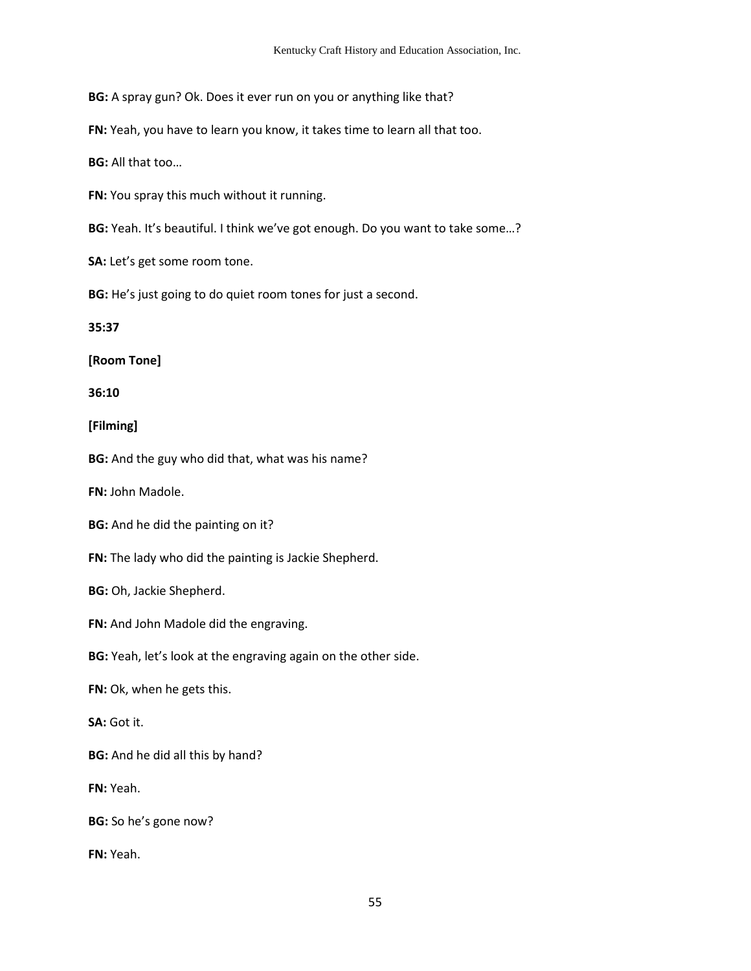**BG:** A spray gun? Ok. Does it ever run on you or anything like that?

**FN:** Yeah, you have to learn you know, it takes time to learn all that too.

**BG:** All that too…

**FN:** You spray this much without it running.

**BG:** Yeah. It's beautiful. I think we've got enough. Do you want to take some…?

**SA:** Let's get some room tone.

**BG:** He's just going to do quiet room tones for just a second.

**35:37**

**[Room Tone]**

**36:10**

**[Filming]**

**BG:** And the guy who did that, what was his name?

**FN:** John Madole.

**BG:** And he did the painting on it?

**FN:** The lady who did the painting is Jackie Shepherd.

**BG:** Oh, Jackie Shepherd.

**FN:** And John Madole did the engraving.

**BG:** Yeah, let's look at the engraving again on the other side.

**FN:** Ok, when he gets this.

**SA:** Got it.

**BG:** And he did all this by hand?

**FN:** Yeah.

**BG:** So he's gone now?

**FN:** Yeah.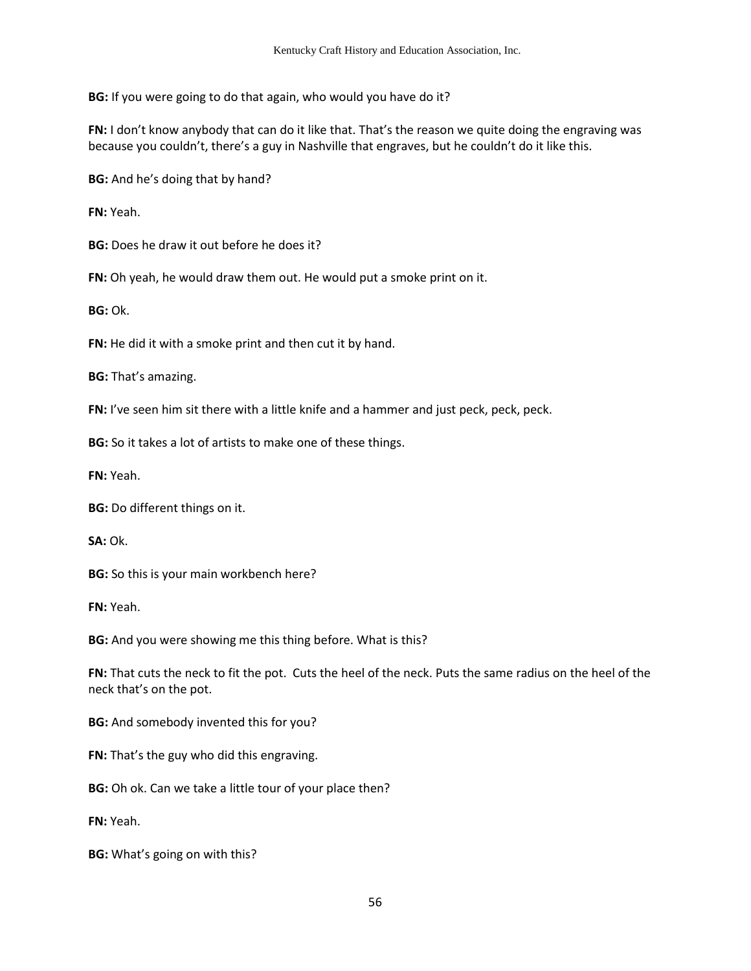**BG:** If you were going to do that again, who would you have do it?

**FN:** I don't know anybody that can do it like that. That's the reason we quite doing the engraving was because you couldn't, there's a guy in Nashville that engraves, but he couldn't do it like this.

**BG:** And he's doing that by hand?

**FN:** Yeah.

**BG:** Does he draw it out before he does it?

**FN:** Oh yeah, he would draw them out. He would put a smoke print on it.

**BG:** Ok.

**FN:** He did it with a smoke print and then cut it by hand.

**BG:** That's amazing.

**FN:** I've seen him sit there with a little knife and a hammer and just peck, peck, peck.

**BG:** So it takes a lot of artists to make one of these things.

**FN:** Yeah.

**BG:** Do different things on it.

**SA:** Ok.

**BG:** So this is your main workbench here?

**FN:** Yeah.

**BG:** And you were showing me this thing before. What is this?

**FN:** That cuts the neck to fit the pot. Cuts the heel of the neck. Puts the same radius on the heel of the neck that's on the pot.

**BG:** And somebody invented this for you?

**FN:** That's the guy who did this engraving.

**BG:** Oh ok. Can we take a little tour of your place then?

**FN:** Yeah.

**BG:** What's going on with this?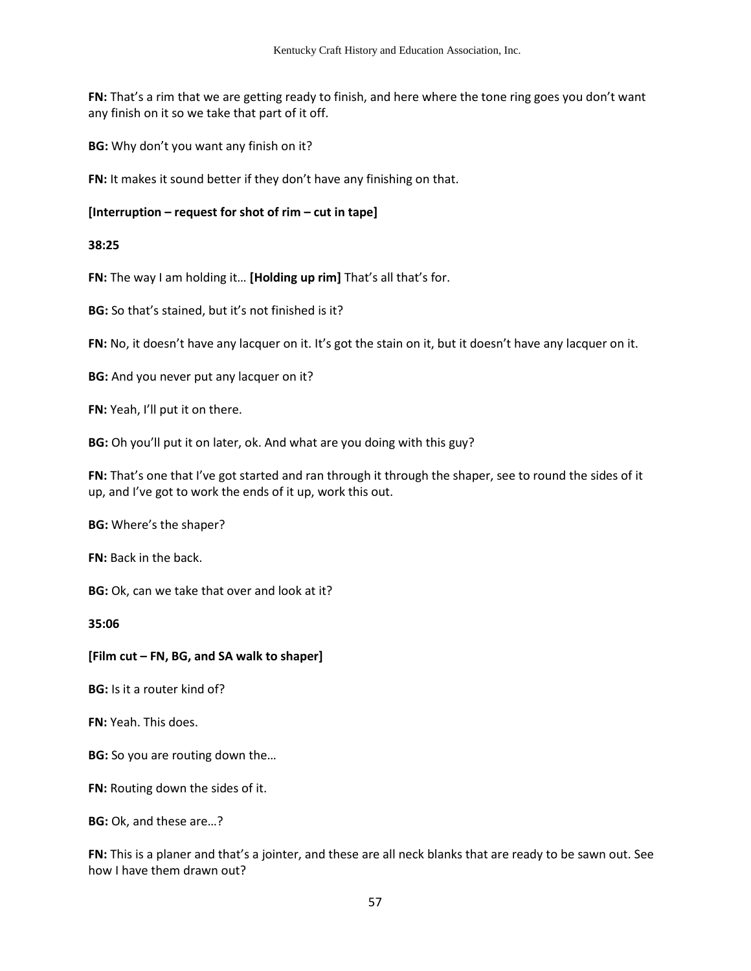**FN:** That's a rim that we are getting ready to finish, and here where the tone ring goes you don't want any finish on it so we take that part of it off.

**BG:** Why don't you want any finish on it?

**FN:** It makes it sound better if they don't have any finishing on that.

### **[Interruption – request for shot of rim – cut in tape]**

### **38:25**

**FN:** The way I am holding it… **[Holding up rim]** That's all that's for.

**BG:** So that's stained, but it's not finished is it?

**FN:** No, it doesn't have any lacquer on it. It's got the stain on it, but it doesn't have any lacquer on it.

**BG:** And you never put any lacquer on it?

**FN:** Yeah, I'll put it on there.

**BG:** Oh you'll put it on later, ok. And what are you doing with this guy?

**FN:** That's one that I've got started and ran through it through the shaper, see to round the sides of it up, and I've got to work the ends of it up, work this out.

**BG:** Where's the shaper?

**FN:** Back in the back.

**BG:** Ok, can we take that over and look at it?

**35:06** 

## **[Film cut – FN, BG, and SA walk to shaper]**

**BG:** Is it a router kind of?

**FN:** Yeah. This does.

**BG:** So you are routing down the...

**FN:** Routing down the sides of it.

**BG:** Ok, and these are…?

**FN:** This is a planer and that's a jointer, and these are all neck blanks that are ready to be sawn out. See how I have them drawn out?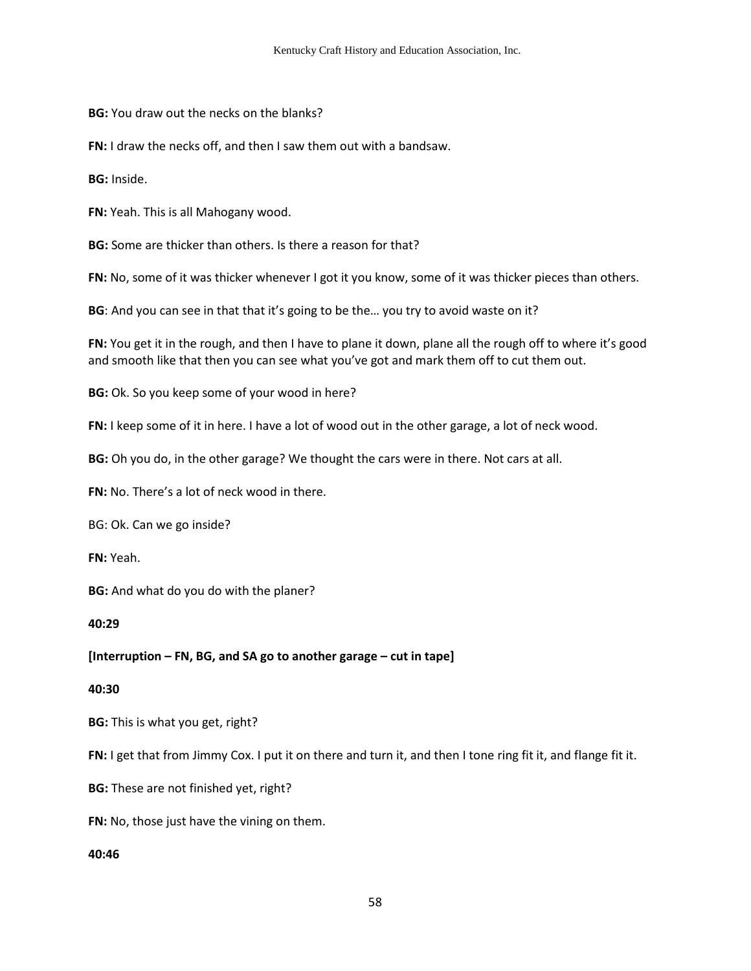**BG:** You draw out the necks on the blanks?

**FN:** I draw the necks off, and then I saw them out with a bandsaw.

**BG:** Inside.

**FN:** Yeah. This is all Mahogany wood.

**BG:** Some are thicker than others. Is there a reason for that?

**FN:** No, some of it was thicker whenever I got it you know, some of it was thicker pieces than others.

**BG**: And you can see in that that it's going to be the... you try to avoid waste on it?

FN: You get it in the rough, and then I have to plane it down, plane all the rough off to where it's good and smooth like that then you can see what you've got and mark them off to cut them out.

**BG:** Ok. So you keep some of your wood in here?

**FN:** I keep some of it in here. I have a lot of wood out in the other garage, a lot of neck wood.

**BG:** Oh you do, in the other garage? We thought the cars were in there. Not cars at all.

**FN:** No. There's a lot of neck wood in there.

BG: Ok. Can we go inside?

**FN:** Yeah.

**BG:** And what do you do with the planer?

**40:29** 

**[Interruption – FN, BG, and SA go to another garage – cut in tape]** 

#### **40:30**

**BG:** This is what you get, right?

**FN:** I get that from Jimmy Cox. I put it on there and turn it, and then I tone ring fit it, and flange fit it.

**BG:** These are not finished yet, right?

**FN:** No, those just have the vining on them.

#### **40:46**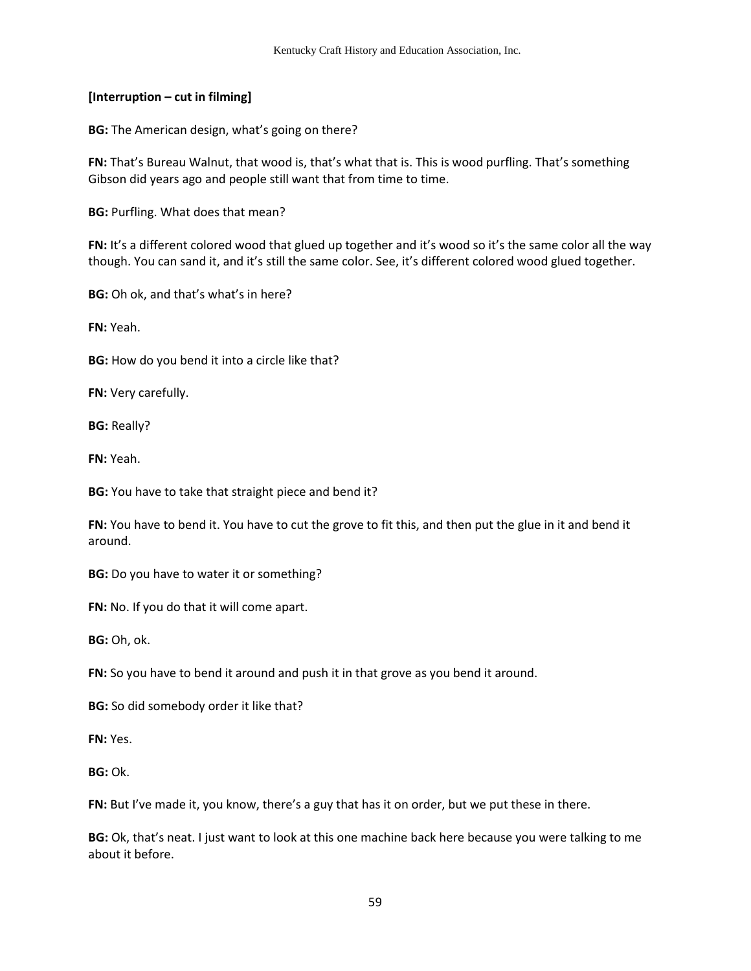## **[Interruption – cut in filming]**

**BG:** The American design, what's going on there?

**FN:** That's Bureau Walnut, that wood is, that's what that is. This is wood purfling. That's something Gibson did years ago and people still want that from time to time.

**BG:** Purfling. What does that mean?

FN: It's a different colored wood that glued up together and it's wood so it's the same color all the way though. You can sand it, and it's still the same color. See, it's different colored wood glued together.

**BG:** Oh ok, and that's what's in here?

**FN:** Yeah.

**BG:** How do you bend it into a circle like that?

**FN:** Very carefully.

**BG:** Really?

**FN:** Yeah.

**BG:** You have to take that straight piece and bend it?

**FN:** You have to bend it. You have to cut the grove to fit this, and then put the glue in it and bend it around.

**BG:** Do you have to water it or something?

**FN:** No. If you do that it will come apart.

**BG:** Oh, ok.

**FN:** So you have to bend it around and push it in that grove as you bend it around.

**BG:** So did somebody order it like that?

**FN:** Yes.

**BG:** Ok.

**FN:** But I've made it, you know, there's a guy that has it on order, but we put these in there.

**BG:** Ok, that's neat. I just want to look at this one machine back here because you were talking to me about it before.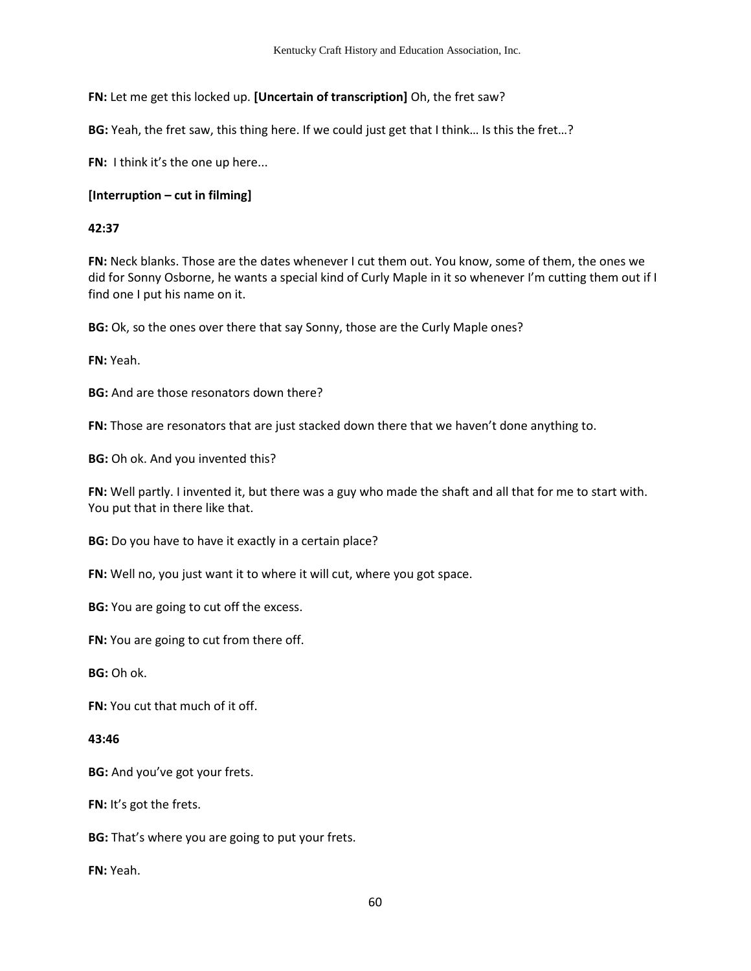**FN:** Let me get this locked up. **[Uncertain of transcription]** Oh, the fret saw?

**BG:** Yeah, the fret saw, this thing here. If we could just get that I think… Is this the fret…?

**FN:** I think it's the one up here...

# **[Interruption – cut in filming]**

# **42:37**

**FN:** Neck blanks. Those are the dates whenever I cut them out. You know, some of them, the ones we did for Sonny Osborne, he wants a special kind of Curly Maple in it so whenever I'm cutting them out if I find one I put his name on it.

**BG:** Ok, so the ones over there that say Sonny, those are the Curly Maple ones?

**FN:** Yeah.

**BG:** And are those resonators down there?

**FN:** Those are resonators that are just stacked down there that we haven't done anything to.

**BG:** Oh ok. And you invented this?

**FN:** Well partly. I invented it, but there was a guy who made the shaft and all that for me to start with. You put that in there like that.

**BG:** Do you have to have it exactly in a certain place?

**FN:** Well no, you just want it to where it will cut, where you got space.

**BG:** You are going to cut off the excess.

**FN:** You are going to cut from there off.

**BG:** Oh ok.

**FN:** You cut that much of it off.

## **43:46**

**BG:** And you've got your frets.

**FN:** It's got the frets.

**BG:** That's where you are going to put your frets.

**FN:** Yeah.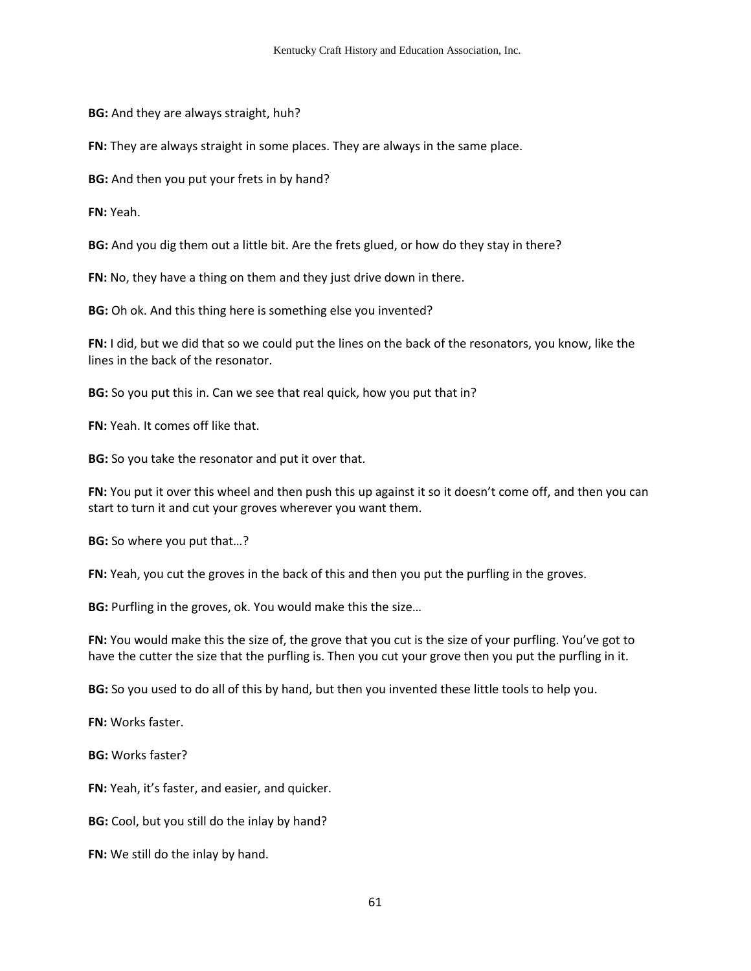**BG:** And they are always straight, huh?

**FN:** They are always straight in some places. They are always in the same place.

**BG:** And then you put your frets in by hand?

**FN:** Yeah.

**BG:** And you dig them out a little bit. Are the frets glued, or how do they stay in there?

**FN:** No, they have a thing on them and they just drive down in there.

**BG:** Oh ok. And this thing here is something else you invented?

**FN:** I did, but we did that so we could put the lines on the back of the resonators, you know, like the lines in the back of the resonator.

**BG:** So you put this in. Can we see that real quick, how you put that in?

**FN:** Yeah. It comes off like that.

**BG:** So you take the resonator and put it over that.

**FN:** You put it over this wheel and then push this up against it so it doesn't come off, and then you can start to turn it and cut your groves wherever you want them.

**BG:** So where you put that…?

**FN:** Yeah, you cut the groves in the back of this and then you put the purfling in the groves.

**BG:** Purfling in the groves, ok. You would make this the size…

**FN:** You would make this the size of, the grove that you cut is the size of your purfling. You've got to have the cutter the size that the purfling is. Then you cut your grove then you put the purfling in it.

**BG:** So you used to do all of this by hand, but then you invented these little tools to help you.

**FN:** Works faster.

**BG:** Works faster?

**FN:** Yeah, it's faster, and easier, and quicker.

**BG:** Cool, but you still do the inlay by hand?

**FN:** We still do the inlay by hand.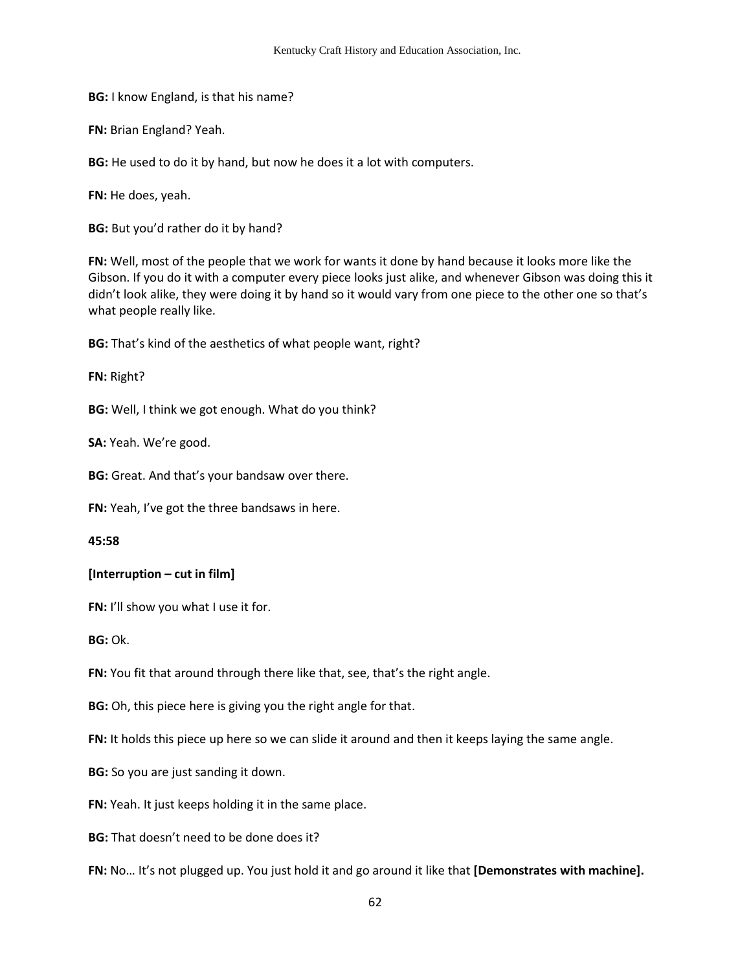**BG:** I know England, is that his name?

**FN:** Brian England? Yeah.

**BG:** He used to do it by hand, but now he does it a lot with computers.

**FN:** He does, yeah.

**BG:** But you'd rather do it by hand?

**FN:** Well, most of the people that we work for wants it done by hand because it looks more like the Gibson. If you do it with a computer every piece looks just alike, and whenever Gibson was doing this it didn't look alike, they were doing it by hand so it would vary from one piece to the other one so that's what people really like.

**BG:** That's kind of the aesthetics of what people want, right?

**FN:** Right?

**BG:** Well, I think we got enough. What do you think?

**SA:** Yeah. We're good.

**BG:** Great. And that's your bandsaw over there.

**FN:** Yeah, I've got the three bandsaws in here.

**45:58** 

#### **[Interruption – cut in film]**

**FN:** I'll show you what I use it for.

**BG:** Ok.

**FN:** You fit that around through there like that, see, that's the right angle.

**BG:** Oh, this piece here is giving you the right angle for that.

**FN:** It holds this piece up here so we can slide it around and then it keeps laying the same angle.

**BG:** So you are just sanding it down.

**FN:** Yeah. It just keeps holding it in the same place.

**BG:** That doesn't need to be done does it?

**FN:** No… It's not plugged up. You just hold it and go around it like that **[Demonstrates with machine].**